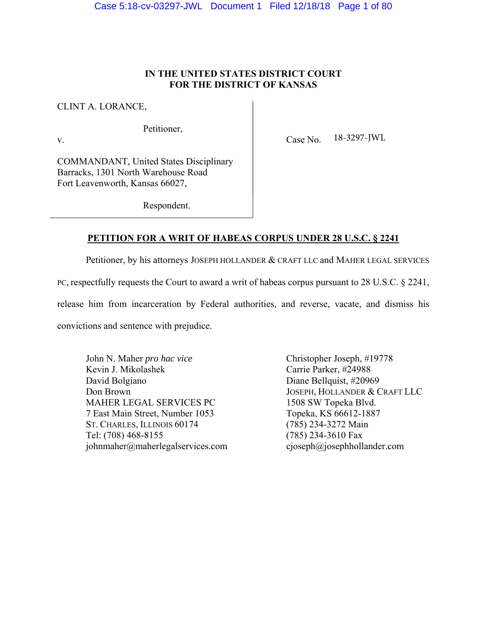# **IN THE UNITED STATES DISTRICT COURT FOR THE DISTRICT OF KANSAS**

CLINT A. LORANCE,

Petitioner,

v. Case No. 18-3297-JWL

COMMANDANT, United States Disciplinary Barracks, 1301 North Warehouse Road Fort Leavenworth, Kansas 66027,

Respondent.

# **PETITION FOR A WRIT OF HABEAS CORPUS UNDER 28 U.S.C. § 2241**

Petitioner, by his attorneys JOSEPH HOLLANDER & CRAFT LLC and MAHER LEGAL SERVICES

PC, respectfully requests the Court to award a writ of habeas corpus pursuant to 28 U.S.C. § 2241,

release him from incarceration by Federal authorities, and reverse, vacate, and dismiss his

convictions and sentence with prejudice.

John N. Maher *pro hac vice* Christopher Joseph, #19778 Kevin J. Mikolashek Carrie Parker, #24988 David Bolgiano Diane Bellquist, #20969 Don Brown JOSEPH, HOLLANDER & CRAFT LLC MAHER LEGAL SERVICES PC 1508 SW Topeka Blvd. 7 East Main Street, Number 1053 Topeka, KS 66612-1887 ST. CHARLES, ILLINOIS 60174 (785) 234-3272 Main Tel: (708) 468-8155 (785) 234-3610 Fax johnmaher@maherlegalservices.com cjoseph@josephhollander.com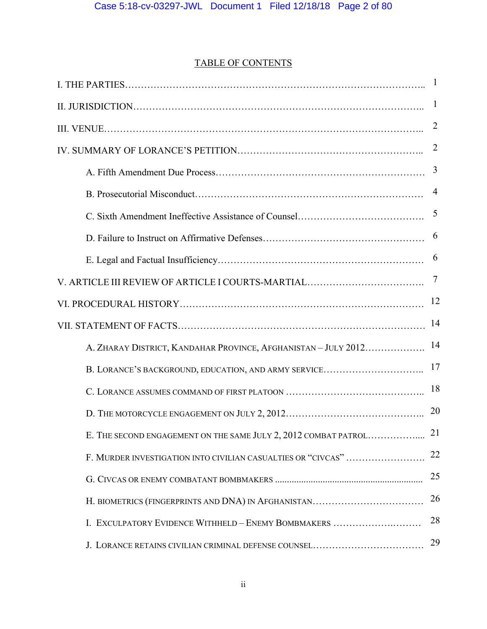# TABLE OF CONTENTS

|                                                                 | $\mathbf{1}$   |
|-----------------------------------------------------------------|----------------|
|                                                                 | 1              |
|                                                                 | $\overline{2}$ |
|                                                                 | $\overline{2}$ |
|                                                                 | 3              |
|                                                                 | $\overline{4}$ |
|                                                                 | 5              |
|                                                                 | 6              |
|                                                                 | 6              |
| V. ARTICLE III REVIEW OF ARTICLE I COURTS-MARTIAL               | $\tau$         |
|                                                                 | 12             |
|                                                                 | 14             |
| A. ZHARAY DISTRICT, KANDAHAR PROVINCE, AFGHANISTAN - JULY 2012  | 14             |
| B. LORANCE'S BACKGROUND, EDUCATION, AND ARMY SERVICE            | 17             |
|                                                                 | 18             |
|                                                                 | 20             |
| E. THE SECOND ENGAGEMENT ON THE SAME JULY 2, 2012 COMBAT PATROL | 21             |
| F. MURDER INVESTIGATION INTO CIVILIAN CASUALTIES OR "CIVCAS"    | 22             |
|                                                                 | 25             |
|                                                                 | 26             |
| I. EXCULPATORY EVIDENCE WITHHELD - ENEMY BOMBMAKERS             | 28             |
| J. LORANCE RETAINS CIVILIAN CRIMINAL DEFENSE COUNSEL            | 29             |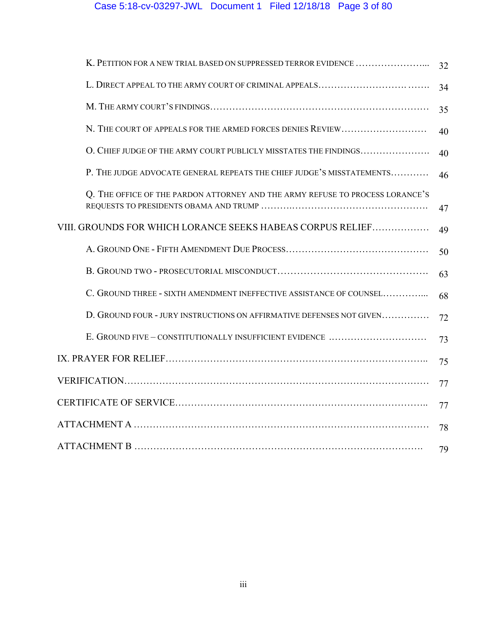| K. PETITION FOR A NEW TRIAL BASED ON SUPPRESSED TERROR EVIDENCE               | 32 |
|-------------------------------------------------------------------------------|----|
|                                                                               | 34 |
|                                                                               | 35 |
| N. THE COURT OF APPEALS FOR THE ARMED FORCES DENIES REVIEW                    | 40 |
| O. CHIEF JUDGE OF THE ARMY COURT PUBLICLY MISSTATES THE FINDINGS              | 40 |
| P. THE JUDGE ADVOCATE GENERAL REPEATS THE CHIEF JUDGE'S MISSTATEMENTS         | 46 |
| Q. THE OFFICE OF THE PARDON ATTORNEY AND THE ARMY REFUSE TO PROCESS LORANCE'S | 47 |
| VIII. GROUNDS FOR WHICH LORANCE SEEKS HABEAS CORPUS RELIEF                    | 49 |
|                                                                               | 50 |
|                                                                               | 63 |
| C. GROUND THREE - SIXTH AMENDMENT INEFFECTIVE ASSISTANCE OF COUNSEL           | 68 |
| D. GROUND FOUR - JURY INSTRUCTIONS ON AFFIRMATIVE DEFENSES NOT GIVEN          | 72 |
| E. GROUND FIVE - CONSTITUTIONALLY INSUFFICIENT EVIDENCE                       | 73 |
|                                                                               | 75 |
|                                                                               | 77 |
|                                                                               | 77 |
|                                                                               | 78 |
|                                                                               | 79 |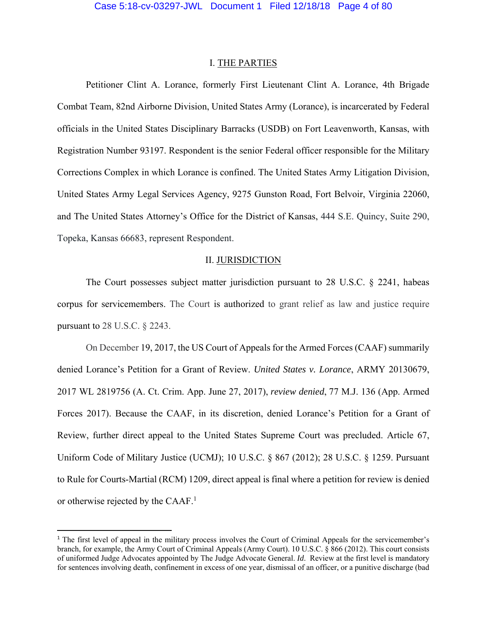# I. THE PARTIES

 Petitioner Clint A. Lorance, formerly First Lieutenant Clint A. Lorance, 4th Brigade Combat Team, 82nd Airborne Division, United States Army (Lorance), is incarcerated by Federal officials in the United States Disciplinary Barracks (USDB) on Fort Leavenworth, Kansas, with Registration Number 93197. Respondent is the senior Federal officer responsible for the Military Corrections Complex in which Lorance is confined. The United States Army Litigation Division, United States Army Legal Services Agency, 9275 Gunston Road, Fort Belvoir, Virginia 22060, and The United States Attorney's Office for the District of Kansas, 444 S.E. Quincy, Suite 290, Topeka, Kansas 66683, represent Respondent.

# II. JURISDICTION

 The Court possesses subject matter jurisdiction pursuant to 28 U.S.C. § 2241, habeas corpus for servicemembers. The Court is authorized to grant relief as law and justice require pursuant to 28 U.S.C. § 2243.

 On December 19, 2017, the US Court of Appeals for the Armed Forces (CAAF) summarily denied Lorance's Petition for a Grant of Review. *United States v. Lorance*, ARMY 20130679, 2017 WL 2819756 (A. Ct. Crim. App. June 27, 2017), *review denied*, 77 M.J. 136 (App. Armed Forces 2017). Because the CAAF, in its discretion, denied Lorance's Petition for a Grant of Review, further direct appeal to the United States Supreme Court was precluded. Article 67, Uniform Code of Military Justice (UCMJ); 10 U.S.C. § 867 (2012); 28 U.S.C. § 1259. Pursuant to Rule for Courts-Martial (RCM) 1209, direct appeal is final where a petition for review is denied or otherwise rejected by the CAAF.<sup>1</sup>

<sup>&</sup>lt;sup>1</sup> The first level of appeal in the military process involves the Court of Criminal Appeals for the servicemember's branch, for example, the Army Court of Criminal Appeals (Army Court). 10 U.S.C. § 866 (2012). This court consists of uniformed Judge Advocates appointed by The Judge Advocate General. *Id*. Review at the first level is mandatory for sentences involving death, confinement in excess of one year, dismissal of an officer, or a punitive discharge (bad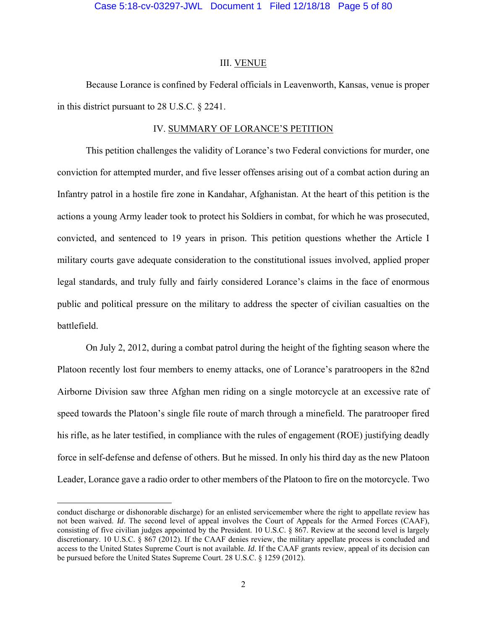# Case 5:18-cv-03297-JWL Document 1 Filed 12/18/18 Page 5 of 80

# III. VENUE

 Because Lorance is confined by Federal officials in Leavenworth, Kansas, venue is proper in this district pursuant to 28 U.S.C. § 2241.

# IV. SUMMARY OF LORANCE'S PETITION

 This petition challenges the validity of Lorance's two Federal convictions for murder, one conviction for attempted murder, and five lesser offenses arising out of a combat action during an Infantry patrol in a hostile fire zone in Kandahar, Afghanistan. At the heart of this petition is the actions a young Army leader took to protect his Soldiers in combat, for which he was prosecuted, convicted, and sentenced to 19 years in prison. This petition questions whether the Article I military courts gave adequate consideration to the constitutional issues involved, applied proper legal standards, and truly fully and fairly considered Lorance's claims in the face of enormous public and political pressure on the military to address the specter of civilian casualties on the battlefield.

 On July 2, 2012, during a combat patrol during the height of the fighting season where the Platoon recently lost four members to enemy attacks, one of Lorance's paratroopers in the 82nd Airborne Division saw three Afghan men riding on a single motorcycle at an excessive rate of speed towards the Platoon's single file route of march through a minefield. The paratrooper fired his rifle, as he later testified, in compliance with the rules of engagement (ROE) justifying deadly force in self-defense and defense of others. But he missed. In only his third day as the new Platoon Leader, Lorance gave a radio order to other members of the Platoon to fire on the motorcycle. Two

conduct discharge or dishonorable discharge) for an enlisted servicemember where the right to appellate review has not been waived. *Id*. The second level of appeal involves the Court of Appeals for the Armed Forces (CAAF), consisting of five civilian judges appointed by the President. 10 U.S.C. § 867. Review at the second level is largely discretionary. 10 U.S.C. § 867 (2012). If the CAAF denies review, the military appellate process is concluded and access to the United States Supreme Court is not available. *Id*. If the CAAF grants review, appeal of its decision can be pursued before the United States Supreme Court. 28 U.S.C. § 1259 (2012).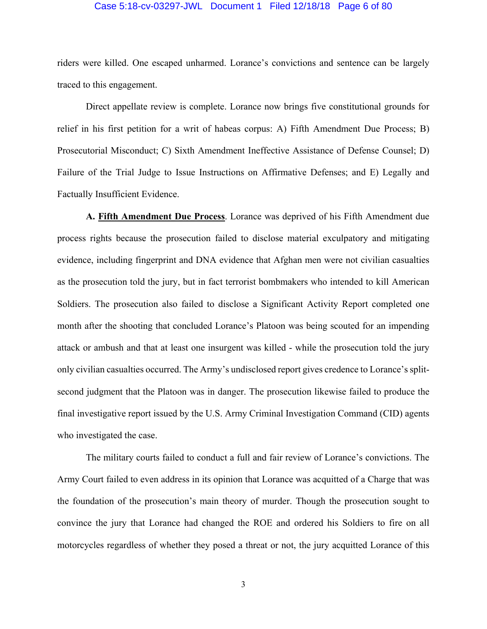# Case 5:18-cv-03297-JWL Document 1 Filed 12/18/18 Page 6 of 80

riders were killed. One escaped unharmed. Lorance's convictions and sentence can be largely traced to this engagement.

 Direct appellate review is complete. Lorance now brings five constitutional grounds for relief in his first petition for a writ of habeas corpus: A) Fifth Amendment Due Process; B) Prosecutorial Misconduct; C) Sixth Amendment Ineffective Assistance of Defense Counsel; D) Failure of the Trial Judge to Issue Instructions on Affirmative Defenses; and E) Legally and Factually Insufficient Evidence.

**A. Fifth Amendment Due Process**. Lorance was deprived of his Fifth Amendment due process rights because the prosecution failed to disclose material exculpatory and mitigating evidence, including fingerprint and DNA evidence that Afghan men were not civilian casualties as the prosecution told the jury, but in fact terrorist bombmakers who intended to kill American Soldiers. The prosecution also failed to disclose a Significant Activity Report completed one month after the shooting that concluded Lorance's Platoon was being scouted for an impending attack or ambush and that at least one insurgent was killed - while the prosecution told the jury only civilian casualties occurred. The Army's undisclosed report gives credence to Lorance's splitsecond judgment that the Platoon was in danger. The prosecution likewise failed to produce the final investigative report issued by the U.S. Army Criminal Investigation Command (CID) agents who investigated the case.

The military courts failed to conduct a full and fair review of Lorance's convictions. The Army Court failed to even address in its opinion that Lorance was acquitted of a Charge that was the foundation of the prosecution's main theory of murder. Though the prosecution sought to convince the jury that Lorance had changed the ROE and ordered his Soldiers to fire on all motorcycles regardless of whether they posed a threat or not, the jury acquitted Lorance of this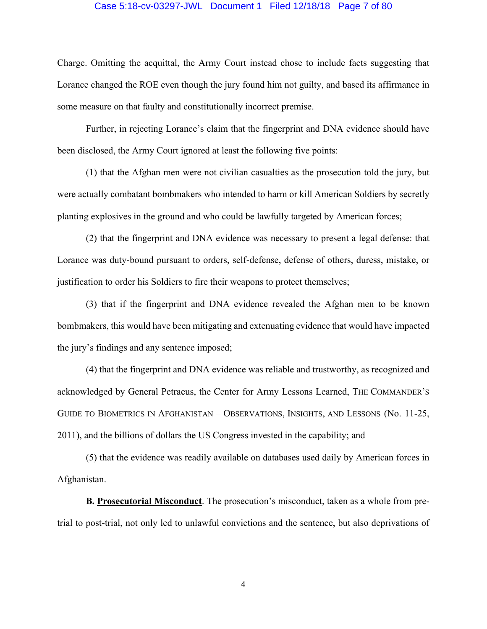# Case 5:18-cv-03297-JWL Document 1 Filed 12/18/18 Page 7 of 80

Charge. Omitting the acquittal, the Army Court instead chose to include facts suggesting that Lorance changed the ROE even though the jury found him not guilty, and based its affirmance in some measure on that faulty and constitutionally incorrect premise.

Further, in rejecting Lorance's claim that the fingerprint and DNA evidence should have been disclosed, the Army Court ignored at least the following five points:

(1) that the Afghan men were not civilian casualties as the prosecution told the jury, but were actually combatant bombmakers who intended to harm or kill American Soldiers by secretly planting explosives in the ground and who could be lawfully targeted by American forces;

(2) that the fingerprint and DNA evidence was necessary to present a legal defense: that Lorance was duty-bound pursuant to orders, self-defense, defense of others, duress, mistake, or justification to order his Soldiers to fire their weapons to protect themselves;

(3) that if the fingerprint and DNA evidence revealed the Afghan men to be known bombmakers, this would have been mitigating and extenuating evidence that would have impacted the jury's findings and any sentence imposed;

(4) that the fingerprint and DNA evidence was reliable and trustworthy, as recognized and acknowledged by General Petraeus, the Center for Army Lessons Learned, THE COMMANDER'S GUIDE TO BIOMETRICS IN AFGHANISTAN – OBSERVATIONS, INSIGHTS, AND LESSONS (No. 11-25, 2011), and the billions of dollars the US Congress invested in the capability; and

(5) that the evidence was readily available on databases used daily by American forces in Afghanistan.

**B. Prosecutorial Misconduct**. The prosecution's misconduct, taken as a whole from pretrial to post-trial, not only led to unlawful convictions and the sentence, but also deprivations of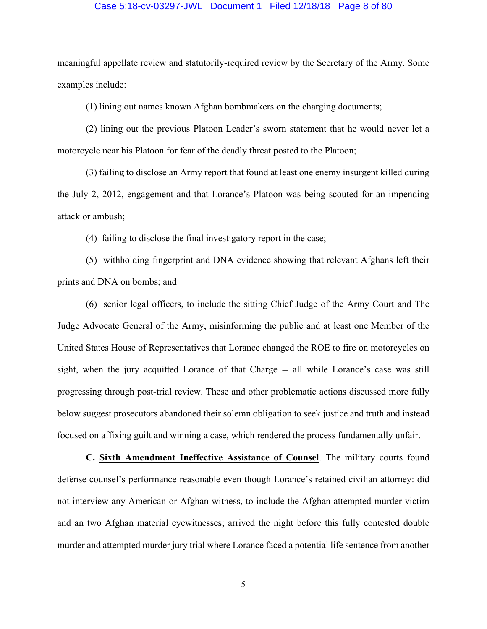# Case 5:18-cv-03297-JWL Document 1 Filed 12/18/18 Page 8 of 80

meaningful appellate review and statutorily-required review by the Secretary of the Army. Some examples include:

(1) lining out names known Afghan bombmakers on the charging documents;

 (2) lining out the previous Platoon Leader's sworn statement that he would never let a motorcycle near his Platoon for fear of the deadly threat posted to the Platoon;

 (3) failing to disclose an Army report that found at least one enemy insurgent killed during the July 2, 2012, engagement and that Lorance's Platoon was being scouted for an impending attack or ambush;

(4) failing to disclose the final investigatory report in the case;

 (5) withholding fingerprint and DNA evidence showing that relevant Afghans left their prints and DNA on bombs; and

 (6) senior legal officers, to include the sitting Chief Judge of the Army Court and The Judge Advocate General of the Army, misinforming the public and at least one Member of the United States House of Representatives that Lorance changed the ROE to fire on motorcycles on sight, when the jury acquitted Lorance of that Charge -- all while Lorance's case was still progressing through post-trial review. These and other problematic actions discussed more fully below suggest prosecutors abandoned their solemn obligation to seek justice and truth and instead focused on affixing guilt and winning a case, which rendered the process fundamentally unfair.

**C. Sixth Amendment Ineffective Assistance of Counsel**. The military courts found defense counsel's performance reasonable even though Lorance's retained civilian attorney: did not interview any American or Afghan witness, to include the Afghan attempted murder victim and an two Afghan material eyewitnesses; arrived the night before this fully contested double murder and attempted murder jury trial where Lorance faced a potential life sentence from another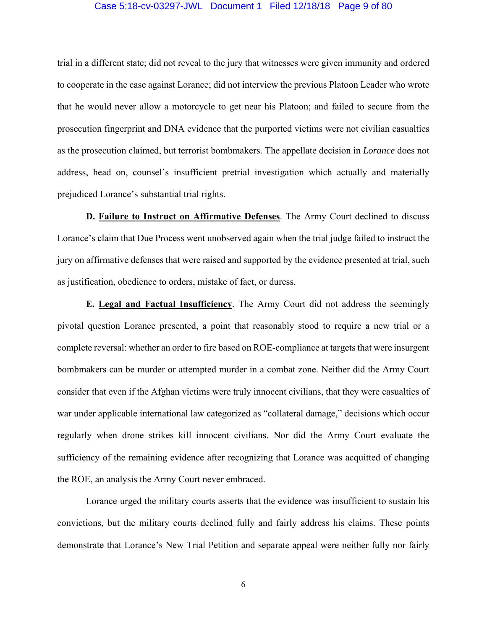# Case 5:18-cv-03297-JWL Document 1 Filed 12/18/18 Page 9 of 80

trial in a different state; did not reveal to the jury that witnesses were given immunity and ordered to cooperate in the case against Lorance; did not interview the previous Platoon Leader who wrote that he would never allow a motorcycle to get near his Platoon; and failed to secure from the prosecution fingerprint and DNA evidence that the purported victims were not civilian casualties as the prosecution claimed, but terrorist bombmakers. The appellate decision in *Lorance* does not address, head on, counsel's insufficient pretrial investigation which actually and materially prejudiced Lorance's substantial trial rights.

**D. Failure to Instruct on Affirmative Defenses**. The Army Court declined to discuss Lorance's claim that Due Process went unobserved again when the trial judge failed to instruct the jury on affirmative defenses that were raised and supported by the evidence presented at trial, such as justification, obedience to orders, mistake of fact, or duress.

**E. Legal and Factual Insufficiency**. The Army Court did not address the seemingly pivotal question Lorance presented, a point that reasonably stood to require a new trial or a complete reversal: whether an order to fire based on ROE-compliance at targets that were insurgent bombmakers can be murder or attempted murder in a combat zone. Neither did the Army Court consider that even if the Afghan victims were truly innocent civilians, that they were casualties of war under applicable international law categorized as "collateral damage," decisions which occur regularly when drone strikes kill innocent civilians. Nor did the Army Court evaluate the sufficiency of the remaining evidence after recognizing that Lorance was acquitted of changing the ROE, an analysis the Army Court never embraced.

 Lorance urged the military courts asserts that the evidence was insufficient to sustain his convictions, but the military courts declined fully and fairly address his claims. These points demonstrate that Lorance's New Trial Petition and separate appeal were neither fully nor fairly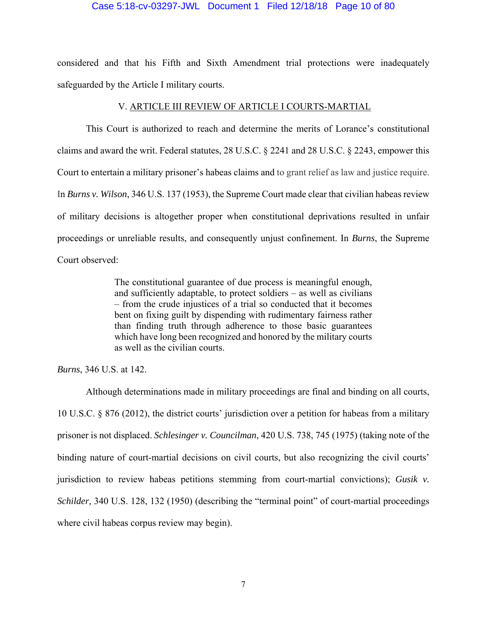# Case 5:18-cv-03297-JWL Document 1 Filed 12/18/18 Page 10 of 80

considered and that his Fifth and Sixth Amendment trial protections were inadequately safeguarded by the Article I military courts.

# V. ARTICLE III REVIEW OF ARTICLE I COURTS-MARTIAL

This Court is authorized to reach and determine the merits of Lorance's constitutional claims and award the writ. Federal statutes, 28 U.S.C. § 2241 and 28 U.S.C. § 2243, empower this Court to entertain a military prisoner's habeas claims and to grant relief as law and justice require. In *Burns v. Wilson*, 346 U.S. 137 (1953), the Supreme Court made clear that civilian habeas review of military decisions is altogether proper when constitutional deprivations resulted in unfair proceedings or unreliable results, and consequently unjust confinement. In *Burns*, the Supreme Court observed:

> The constitutional guarantee of due process is meaningful enough, and sufficiently adaptable, to protect soldiers – as well as civilians – from the crude injustices of a trial so conducted that it becomes bent on fixing guilt by dispending with rudimentary fairness rather than finding truth through adherence to those basic guarantees which have long been recognized and honored by the military courts as well as the civilian courts.

*Burns*, 346 U.S. at 142.

 Although determinations made in military proceedings are final and binding on all courts, 10 U.S.C. § 876 (2012), the district courts' jurisdiction over a petition for habeas from a military prisoner is not displaced. *Schlesinger v. Councilman*, 420 U.S. 738, 745 (1975) (taking note of the binding nature of court-martial decisions on civil courts, but also recognizing the civil courts' jurisdiction to review habeas petitions stemming from court-martial convictions); *Gusik v. Schilder,* 340 U.S. 128, 132 (1950) (describing the "terminal point" of court-martial proceedings where civil habeas corpus review may begin).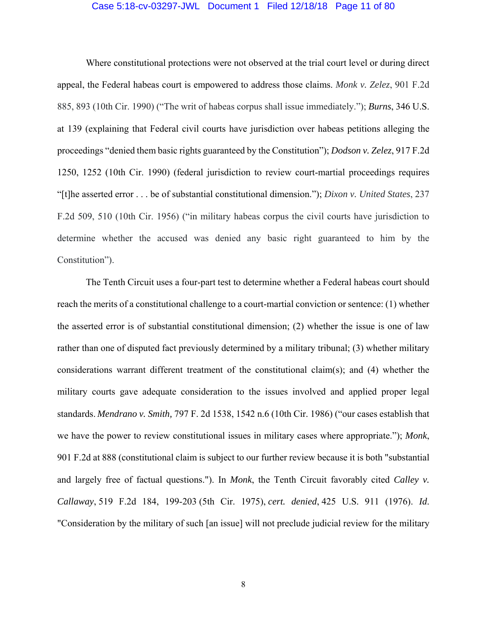# Case 5:18-cv-03297-JWL Document 1 Filed 12/18/18 Page 11 of 80

Where constitutional protections were not observed at the trial court level or during direct appeal, the Federal habeas court is empowered to address those claims. *Monk v. Zelez*, 901 F.2d 885, 893 (10th Cir. 1990) ("The writ of habeas corpus shall issue immediately."); *Burns*, 346 U.S. at 139 (explaining that Federal civil courts have jurisdiction over habeas petitions alleging the proceedings "denied them basic rights guaranteed by the Constitution"); *Dodson v. Zelez*, 917 F.2d 1250, 1252 (10th Cir. 1990) (federal jurisdiction to review court-martial proceedings requires "[t]he asserted error . . . be of substantial constitutional dimension."); *Dixon v. United States*, 237 F.2d 509, 510 (10th Cir. 1956) ("in military habeas corpus the civil courts have jurisdiction to determine whether the accused was denied any basic right guaranteed to him by the Constitution").

 The Tenth Circuit uses a four-part test to determine whether a Federal habeas court should reach the merits of a constitutional challenge to a court-martial conviction or sentence: (1) whether the asserted error is of substantial constitutional dimension; (2) whether the issue is one of law rather than one of disputed fact previously determined by a military tribunal; (3) whether military considerations warrant different treatment of the constitutional claim(s); and (4) whether the military courts gave adequate consideration to the issues involved and applied proper legal standards. *Mendrano v. Smith,* 797 F. 2d 1538, 1542 n.6 (10th Cir. 1986) ("our cases establish that we have the power to review constitutional issues in military cases where appropriate."); *Monk*, 901 F.2d at 888 (constitutional claim is subject to our further review because it is both "substantial and largely free of factual questions."). In *Monk*, the Tenth Circuit favorably cited *Calley v. Callaway*, 519 F.2d 184, 199-203 (5th Cir. 1975), *cert. denied*, 425 U.S. 911 (1976). *Id*. "Consideration by the military of such [an issue] will not preclude judicial review for the military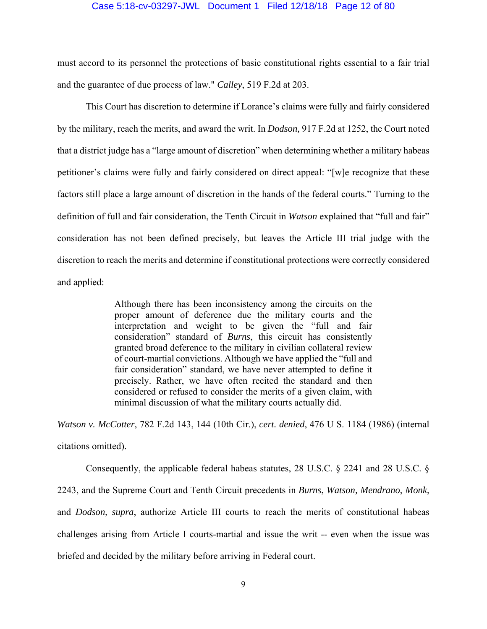## Case 5:18-cv-03297-JWL Document 1 Filed 12/18/18 Page 12 of 80

must accord to its personnel the protections of basic constitutional rights essential to a fair trial and the guarantee of due process of law." *Calley*, 519 F.2d at 203.

 This Court has discretion to determine if Lorance's claims were fully and fairly considered by the military, reach the merits, and award the writ. In *Dodson,* 917 F.2d at 1252, the Court noted that a district judge has a "large amount of discretion" when determining whether a military habeas petitioner's claims were fully and fairly considered on direct appeal: "[w]e recognize that these factors still place a large amount of discretion in the hands of the federal courts." Turning to the definition of full and fair consideration, the Tenth Circuit in *Watson* explained that "full and fair" consideration has not been defined precisely, but leaves the Article III trial judge with the discretion to reach the merits and determine if constitutional protections were correctly considered and applied:

> Although there has been inconsistency among the circuits on the proper amount of deference due the military courts and the interpretation and weight to be given the "full and fair consideration" standard of *Burns*, this circuit has consistently granted broad deference to the military in civilian collateral review of court-martial convictions. Although we have applied the "full and fair consideration" standard, we have never attempted to define it precisely. Rather, we have often recited the standard and then considered or refused to consider the merits of a given claim, with minimal discussion of what the military courts actually did.

*Watson v. McCotter*, 782 F.2d 143, 144 (10th Cir.), *cert. denied*, 476 U S. 1184 (1986) (internal citations omitted).

 Consequently, the applicable federal habeas statutes, 28 U.S.C. § 2241 and 28 U.S.C. § 2243, and the Supreme Court and Tenth Circuit precedents in *Burns*, *Watson, Mendrano*, *Monk*, and *Dodson*, *supra*, authorize Article III courts to reach the merits of constitutional habeas challenges arising from Article I courts-martial and issue the writ -- even when the issue was briefed and decided by the military before arriving in Federal court.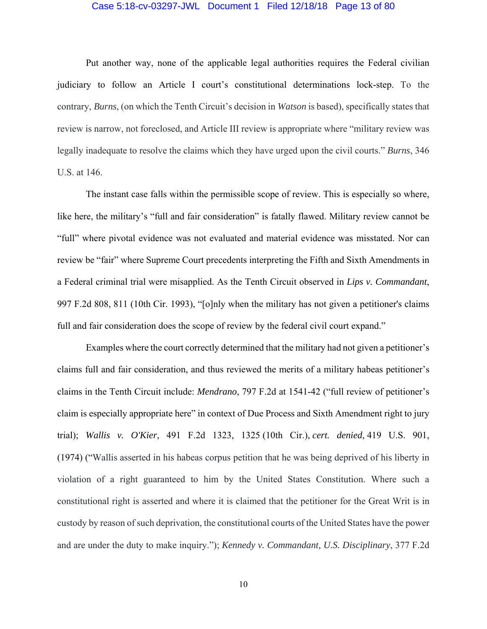# Case 5:18-cv-03297-JWL Document 1 Filed 12/18/18 Page 13 of 80

 Put another way, none of the applicable legal authorities requires the Federal civilian judiciary to follow an Article I court's constitutional determinations lock-step. To the contrary, *Burns*, (on which the Tenth Circuit's decision in *Watson* is based), specifically states that review is narrow, not foreclosed, and Article III review is appropriate where "military review was legally inadequate to resolve the claims which they have urged upon the civil courts." *Burns*, 346 U.S. at 146.

 The instant case falls within the permissible scope of review. This is especially so where, like here, the military's "full and fair consideration" is fatally flawed. Military review cannot be "full" where pivotal evidence was not evaluated and material evidence was misstated. Nor can review be "fair" where Supreme Court precedents interpreting the Fifth and Sixth Amendments in a Federal criminal trial were misapplied. As the Tenth Circuit observed in *Lips v. Commandant*, 997 F.2d 808, 811 (10th Cir. 1993), "[o]nly when the military has not given a petitioner's claims full and fair consideration does the scope of review by the federal civil court expand."

 Examples where the court correctly determined that the military had not given a petitioner's claims full and fair consideration, and thus reviewed the merits of a military habeas petitioner's claims in the Tenth Circuit include: *Mendrano*, 797 F.2d at 1541-42 ("full review of petitioner's claim is especially appropriate here" in context of Due Process and Sixth Amendment right to jury trial); *Wallis v. O'Kier*, 491 F.2d 1323, 1325 (10th Cir.), *cert. denied*, 419 U.S. 901, (1974) ("Wallis asserted in his habeas corpus petition that he was being deprived of his liberty in violation of a right guaranteed to him by the United States Constitution. Where such a constitutional right is asserted and where it is claimed that the petitioner for the Great Writ is in custody by reason of such deprivation, the constitutional courts of the United States have the power and are under the duty to make inquiry."); *Kennedy v. Commandant, U.S. Disciplinary*, 377 F.2d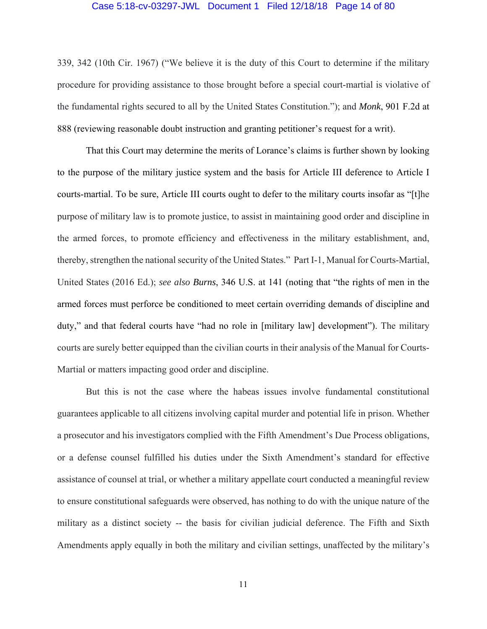# Case 5:18-cv-03297-JWL Document 1 Filed 12/18/18 Page 14 of 80

339, 342 (10th Cir. 1967) ("We believe it is the duty of this Court to determine if the military procedure for providing assistance to those brought before a special court-martial is violative of the fundamental rights secured to all by the United States Constitution."); and *Monk*, 901 F.2d at 888 (reviewing reasonable doubt instruction and granting petitioner's request for a writ).

 That this Court may determine the merits of Lorance's claims is further shown by looking to the purpose of the military justice system and the basis for Article III deference to Article I courts-martial. To be sure, Article III courts ought to defer to the military courts insofar as "[t]he purpose of military law is to promote justice, to assist in maintaining good order and discipline in the armed forces, to promote efficiency and effectiveness in the military establishment, and, thereby, strengthen the national security of the United States." Part I-1, Manual for Courts-Martial, United States (2016 Ed.); *see also Burns*, 346 U.S. at 141 (noting that "the rights of men in the armed forces must perforce be conditioned to meet certain overriding demands of discipline and duty," and that federal courts have "had no role in [military law] development"). The military courts are surely better equipped than the civilian courts in their analysis of the Manual for Courts-Martial or matters impacting good order and discipline.

 But this is not the case where the habeas issues involve fundamental constitutional guarantees applicable to all citizens involving capital murder and potential life in prison. Whether a prosecutor and his investigators complied with the Fifth Amendment's Due Process obligations, or a defense counsel fulfilled his duties under the Sixth Amendment's standard for effective assistance of counsel at trial, or whether a military appellate court conducted a meaningful review to ensure constitutional safeguards were observed, has nothing to do with the unique nature of the military as a distinct society -- the basis for civilian judicial deference. The Fifth and Sixth Amendments apply equally in both the military and civilian settings, unaffected by the military's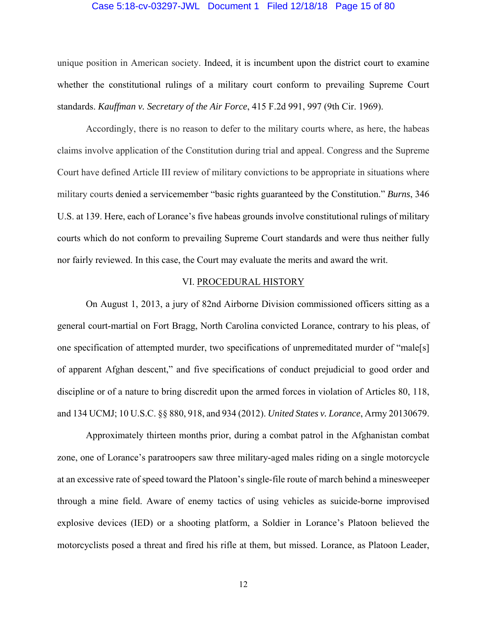# Case 5:18-cv-03297-JWL Document 1 Filed 12/18/18 Page 15 of 80

unique position in American society. Indeed, it is incumbent upon the district court to examine whether the constitutional rulings of a military court conform to prevailing Supreme Court standards. *Kauffman v. Secretary of the Air Force*, 415 F.2d 991, 997 (9th Cir. 1969).

 Accordingly, there is no reason to defer to the military courts where, as here, the habeas claims involve application of the Constitution during trial and appeal. Congress and the Supreme Court have defined Article III review of military convictions to be appropriate in situations where military courts denied a servicemember "basic rights guaranteed by the Constitution." *Burns*, 346 U.S. at 139. Here, each of Lorance's five habeas grounds involve constitutional rulings of military courts which do not conform to prevailing Supreme Court standards and were thus neither fully nor fairly reviewed. In this case, the Court may evaluate the merits and award the writ.

# VI. PROCEDURAL HISTORY

 On August 1, 2013, a jury of 82nd Airborne Division commissioned officers sitting as a general court-martial on Fort Bragg, North Carolina convicted Lorance, contrary to his pleas, of one specification of attempted murder, two specifications of unpremeditated murder of "male[s] of apparent Afghan descent," and five specifications of conduct prejudicial to good order and discipline or of a nature to bring discredit upon the armed forces in violation of Articles 80, 118, and 134 UCMJ; 10 U.S.C. §§ 880, 918, and 934 (2012). *United States v. Lorance*, Army 20130679.

 Approximately thirteen months prior, during a combat patrol in the Afghanistan combat zone, one of Lorance's paratroopers saw three military-aged males riding on a single motorcycle at an excessive rate of speed toward the Platoon's single-file route of march behind a minesweeper through a mine field. Aware of enemy tactics of using vehicles as suicide-borne improvised explosive devices (IED) or a shooting platform, a Soldier in Lorance's Platoon believed the motorcyclists posed a threat and fired his rifle at them, but missed. Lorance, as Platoon Leader,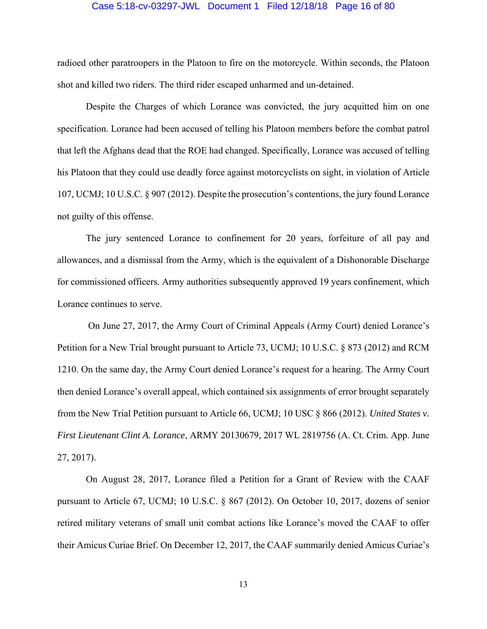# Case 5:18-cv-03297-JWL Document 1 Filed 12/18/18 Page 16 of 80

radioed other paratroopers in the Platoon to fire on the motorcycle. Within seconds, the Platoon shot and killed two riders. The third rider escaped unharmed and un-detained.

 Despite the Charges of which Lorance was convicted, the jury acquitted him on one specification. Lorance had been accused of telling his Platoon members before the combat patrol that left the Afghans dead that the ROE had changed. Specifically, Lorance was accused of telling his Platoon that they could use deadly force against motorcyclists on sight, in violation of Article 107, UCMJ; 10 U.S.C. § 907 (2012). Despite the prosecution's contentions, the jury found Lorance not guilty of this offense.

 The jury sentenced Lorance to confinement for 20 years, forfeiture of all pay and allowances, and a dismissal from the Army, which is the equivalent of a Dishonorable Discharge for commissioned officers. Army authorities subsequently approved 19 years confinement, which Lorance continues to serve.

 On June 27, 2017, the Army Court of Criminal Appeals (Army Court) denied Lorance's Petition for a New Trial brought pursuant to Article 73, UCMJ; 10 U.S.C. § 873 (2012) and RCM 1210. On the same day, the Army Court denied Lorance's request for a hearing. The Army Court then denied Lorance's overall appeal, which contained six assignments of error brought separately from the New Trial Petition pursuant to Article 66, UCMJ; 10 USC § 866 (2012). *United States v. First Lieutenant Clint A. Lorance*, ARMY 20130679, 2017 WL 2819756 (A. Ct. Crim. App. June 27, 2017).

 On August 28, 2017, Lorance filed a Petition for a Grant of Review with the CAAF pursuant to Article 67, UCMJ; 10 U.S.C. § 867 (2012). On October 10, 2017, dozens of senior retired military veterans of small unit combat actions like Lorance's moved the CAAF to offer their Amicus Curiae Brief. On December 12, 2017, the CAAF summarily denied Amicus Curiae's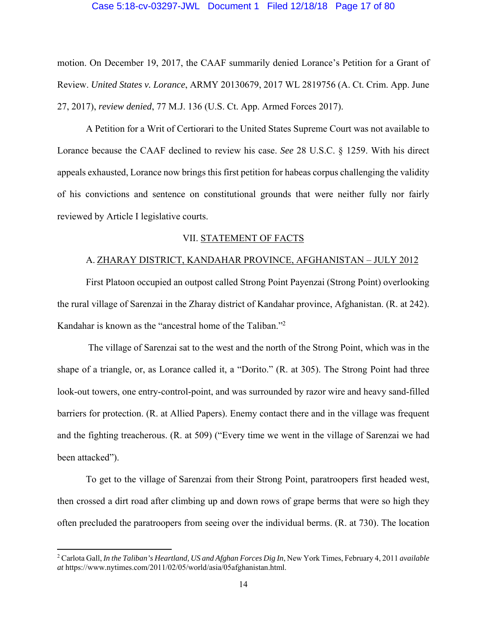# Case 5:18-cv-03297-JWL Document 1 Filed 12/18/18 Page 17 of 80

motion. On December 19, 2017, the CAAF summarily denied Lorance's Petition for a Grant of Review. *United States v. Lorance*, ARMY 20130679, 2017 WL 2819756 (A. Ct. Crim. App. June 27, 2017), *review denied*, 77 M.J. 136 (U.S. Ct. App. Armed Forces 2017).

 A Petition for a Writ of Certiorari to the United States Supreme Court was not available to Lorance because the CAAF declined to review his case. *See* 28 U.S.C. § 1259. With his direct appeals exhausted, Lorance now brings this first petition for habeas corpus challenging the validity of his convictions and sentence on constitutional grounds that were neither fully nor fairly reviewed by Article I legislative courts.

# VII. STATEMENT OF FACTS

# A. ZHARAY DISTRICT, KANDAHAR PROVINCE, AFGHANISTAN – JULY 2012

 First Platoon occupied an outpost called Strong Point Payenzai (Strong Point) overlooking the rural village of Sarenzai in the Zharay district of Kandahar province, Afghanistan. (R. at 242). Kandahar is known as the "ancestral home of the Taliban."2

 The village of Sarenzai sat to the west and the north of the Strong Point, which was in the shape of a triangle, or, as Lorance called it, a "Dorito." (R. at 305). The Strong Point had three look-out towers, one entry-control-point, and was surrounded by razor wire and heavy sand-filled barriers for protection. (R. at Allied Papers). Enemy contact there and in the village was frequent and the fighting treacherous. (R. at 509) ("Every time we went in the village of Sarenzai we had been attacked").

 To get to the village of Sarenzai from their Strong Point, paratroopers first headed west, then crossed a dirt road after climbing up and down rows of grape berms that were so high they often precluded the paratroopers from seeing over the individual berms. (R. at 730). The location

<sup>2</sup> Carlota Gall, *In the Taliban's Heartland, US and Afghan Forces Dig In*, New York Times, February 4, 2011 *available at* https://www.nytimes.com/2011/02/05/world/asia/05afghanistan.html.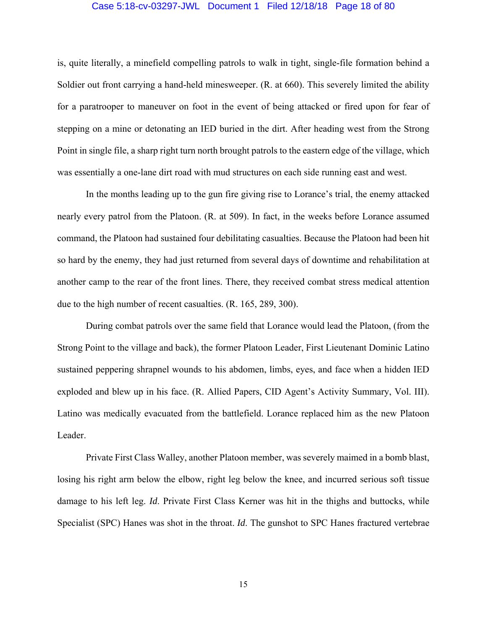# Case 5:18-cv-03297-JWL Document 1 Filed 12/18/18 Page 18 of 80

is, quite literally, a minefield compelling patrols to walk in tight, single-file formation behind a Soldier out front carrying a hand-held minesweeper. (R. at 660). This severely limited the ability for a paratrooper to maneuver on foot in the event of being attacked or fired upon for fear of stepping on a mine or detonating an IED buried in the dirt. After heading west from the Strong Point in single file, a sharp right turn north brought patrols to the eastern edge of the village, which was essentially a one-lane dirt road with mud structures on each side running east and west.

 In the months leading up to the gun fire giving rise to Lorance's trial, the enemy attacked nearly every patrol from the Platoon. (R. at 509). In fact, in the weeks before Lorance assumed command, the Platoon had sustained four debilitating casualties. Because the Platoon had been hit so hard by the enemy, they had just returned from several days of downtime and rehabilitation at another camp to the rear of the front lines. There, they received combat stress medical attention due to the high number of recent casualties. (R. 165, 289, 300).

 During combat patrols over the same field that Lorance would lead the Platoon, (from the Strong Point to the village and back), the former Platoon Leader, First Lieutenant Dominic Latino sustained peppering shrapnel wounds to his abdomen, limbs, eyes, and face when a hidden IED exploded and blew up in his face. (R. Allied Papers, CID Agent's Activity Summary, Vol. III). Latino was medically evacuated from the battlefield. Lorance replaced him as the new Platoon Leader.

 Private First Class Walley, another Platoon member, was severely maimed in a bomb blast, losing his right arm below the elbow, right leg below the knee, and incurred serious soft tissue damage to his left leg. *Id*. Private First Class Kerner was hit in the thighs and buttocks, while Specialist (SPC) Hanes was shot in the throat. *Id*. The gunshot to SPC Hanes fractured vertebrae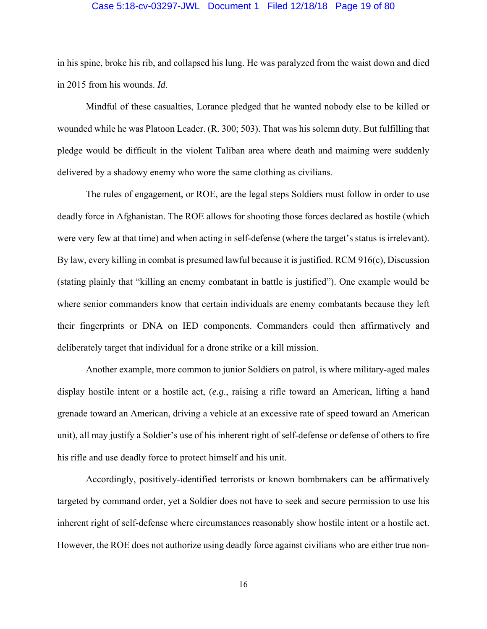# Case 5:18-cv-03297-JWL Document 1 Filed 12/18/18 Page 19 of 80

in his spine, broke his rib, and collapsed his lung. He was paralyzed from the waist down and died in 2015 from his wounds. *Id*.

 Mindful of these casualties, Lorance pledged that he wanted nobody else to be killed or wounded while he was Platoon Leader. (R. 300; 503). That was his solemn duty. But fulfilling that pledge would be difficult in the violent Taliban area where death and maiming were suddenly delivered by a shadowy enemy who wore the same clothing as civilians.

 The rules of engagement, or ROE, are the legal steps Soldiers must follow in order to use deadly force in Afghanistan. The ROE allows for shooting those forces declared as hostile (which were very few at that time) and when acting in self-defense (where the target's status is irrelevant). By law, every killing in combat is presumed lawful because it is justified. RCM 916(c), Discussion (stating plainly that "killing an enemy combatant in battle is justified"). One example would be where senior commanders know that certain individuals are enemy combatants because they left their fingerprints or DNA on IED components. Commanders could then affirmatively and deliberately target that individual for a drone strike or a kill mission.

 Another example, more common to junior Soldiers on patrol, is where military-aged males display hostile intent or a hostile act, (*e.g*., raising a rifle toward an American, lifting a hand grenade toward an American, driving a vehicle at an excessive rate of speed toward an American unit), all may justify a Soldier's use of his inherent right of self-defense or defense of others to fire his rifle and use deadly force to protect himself and his unit.

 Accordingly, positively-identified terrorists or known bombmakers can be affirmatively targeted by command order, yet a Soldier does not have to seek and secure permission to use his inherent right of self-defense where circumstances reasonably show hostile intent or a hostile act. However, the ROE does not authorize using deadly force against civilians who are either true non-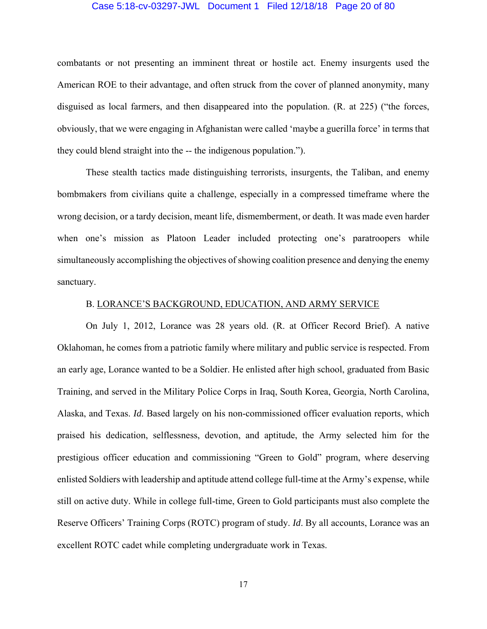# Case 5:18-cv-03297-JWL Document 1 Filed 12/18/18 Page 20 of 80

combatants or not presenting an imminent threat or hostile act. Enemy insurgents used the American ROE to their advantage, and often struck from the cover of planned anonymity, many disguised as local farmers, and then disappeared into the population. (R. at 225) ("the forces, obviously, that we were engaging in Afghanistan were called 'maybe a guerilla force' in terms that they could blend straight into the -- the indigenous population.").

 These stealth tactics made distinguishing terrorists, insurgents, the Taliban, and enemy bombmakers from civilians quite a challenge, especially in a compressed timeframe where the wrong decision, or a tardy decision, meant life, dismemberment, or death. It was made even harder when one's mission as Platoon Leader included protecting one's paratroopers while simultaneously accomplishing the objectives of showing coalition presence and denying the enemy sanctuary.

# B. LORANCE'S BACKGROUND, EDUCATION, AND ARMY SERVICE

 On July 1, 2012, Lorance was 28 years old. (R. at Officer Record Brief). A native Oklahoman, he comes from a patriotic family where military and public service is respected. From an early age, Lorance wanted to be a Soldier. He enlisted after high school, graduated from Basic Training, and served in the Military Police Corps in Iraq, South Korea, Georgia, North Carolina, Alaska, and Texas. *Id*. Based largely on his non-commissioned officer evaluation reports, which praised his dedication, selflessness, devotion, and aptitude, the Army selected him for the prestigious officer education and commissioning "Green to Gold" program, where deserving enlisted Soldiers with leadership and aptitude attend college full-time at the Army's expense, while still on active duty. While in college full-time, Green to Gold participants must also complete the Reserve Officers' Training Corps (ROTC) program of study. *Id*. By all accounts, Lorance was an excellent ROTC cadet while completing undergraduate work in Texas.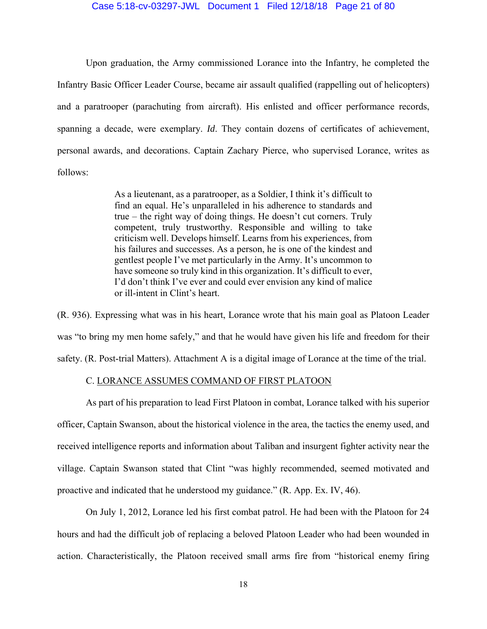# Case 5:18-cv-03297-JWL Document 1 Filed 12/18/18 Page 21 of 80

 Upon graduation, the Army commissioned Lorance into the Infantry, he completed the Infantry Basic Officer Leader Course, became air assault qualified (rappelling out of helicopters) and a paratrooper (parachuting from aircraft). His enlisted and officer performance records, spanning a decade, were exemplary. *Id*. They contain dozens of certificates of achievement, personal awards, and decorations. Captain Zachary Pierce, who supervised Lorance, writes as follows:

> As a lieutenant, as a paratrooper, as a Soldier, I think it's difficult to find an equal. He's unparalleled in his adherence to standards and true – the right way of doing things. He doesn't cut corners. Truly competent, truly trustworthy. Responsible and willing to take criticism well. Develops himself. Learns from his experiences, from his failures and successes. As a person, he is one of the kindest and gentlest people I've met particularly in the Army. It's uncommon to have someone so truly kind in this organization. It's difficult to ever, I'd don't think I've ever and could ever envision any kind of malice or ill-intent in Clint's heart.

(R. 936). Expressing what was in his heart, Lorance wrote that his main goal as Platoon Leader was "to bring my men home safely," and that he would have given his life and freedom for their safety. (R. Post-trial Matters). Attachment A is a digital image of Lorance at the time of the trial.

# C. LORANCE ASSUMES COMMAND OF FIRST PLATOON

 As part of his preparation to lead First Platoon in combat, Lorance talked with his superior officer, Captain Swanson, about the historical violence in the area, the tactics the enemy used, and received intelligence reports and information about Taliban and insurgent fighter activity near the village. Captain Swanson stated that Clint "was highly recommended, seemed motivated and proactive and indicated that he understood my guidance." (R. App. Ex. IV, 46).

 On July 1, 2012, Lorance led his first combat patrol. He had been with the Platoon for 24 hours and had the difficult job of replacing a beloved Platoon Leader who had been wounded in action. Characteristically, the Platoon received small arms fire from "historical enemy firing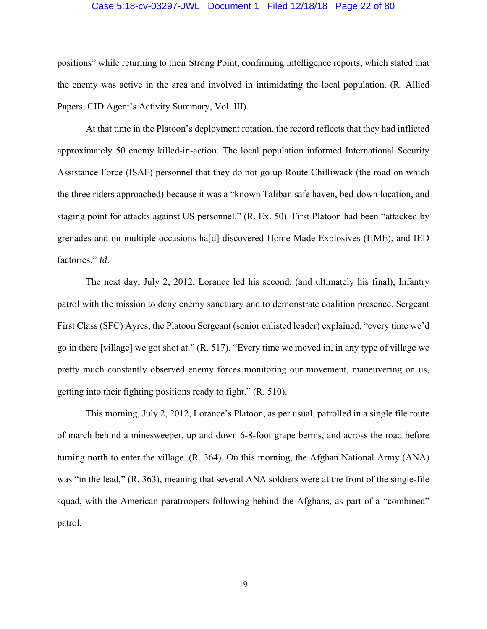# Case 5:18-cv-03297-JWL Document 1 Filed 12/18/18 Page 22 of 80

positions" while returning to their Strong Point, confirming intelligence reports, which stated that the enemy was active in the area and involved in intimidating the local population. (R. Allied Papers, CID Agent's Activity Summary, Vol. III).

 At that time in the Platoon's deployment rotation, the record reflects that they had inflicted approximately 50 enemy killed-in-action. The local population informed International Security Assistance Force (ISAF) personnel that they do not go up Route Chilliwack (the road on which the three riders approached) because it was a "known Taliban safe haven, bed-down location, and staging point for attacks against US personnel." (R. Ex. 50). First Platoon had been "attacked by grenades and on multiple occasions ha[d] discovered Home Made Explosives (HME), and IED factories." *Id*.

 The next day, July 2, 2012, Lorance led his second, (and ultimately his final), Infantry patrol with the mission to deny enemy sanctuary and to demonstrate coalition presence. Sergeant First Class (SFC) Ayres, the Platoon Sergeant (senior enlisted leader) explained, "every time we'd go in there [village] we got shot at." (R. 517). "Every time we moved in, in any type of village we pretty much constantly observed enemy forces monitoring our movement, maneuvering on us, getting into their fighting positions ready to fight." (R. 510).

 This morning, July 2, 2012, Lorance's Platoon, as per usual, patrolled in a single file route of march behind a minesweeper, up and down 6-8-foot grape berms, and across the road before turning north to enter the village. (R. 364). On this morning, the Afghan National Army (ANA) was "in the lead," (R. 363), meaning that several ANA soldiers were at the front of the single-file squad, with the American paratroopers following behind the Afghans, as part of a "combined" patrol.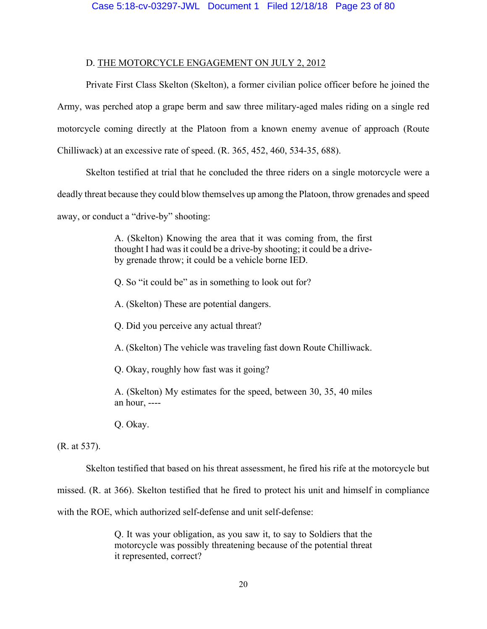# D. THE MOTORCYCLE ENGAGEMENT ON JULY 2, 2012

 Private First Class Skelton (Skelton), a former civilian police officer before he joined the Army, was perched atop a grape berm and saw three military-aged males riding on a single red motorcycle coming directly at the Platoon from a known enemy avenue of approach (Route Chilliwack) at an excessive rate of speed. (R. 365, 452, 460, 534-35, 688).

 Skelton testified at trial that he concluded the three riders on a single motorcycle were a deadly threat because they could blow themselves up among the Platoon, throw grenades and speed away, or conduct a "drive-by" shooting:

> A. (Skelton) Knowing the area that it was coming from, the first thought I had was it could be a drive-by shooting; it could be a driveby grenade throw; it could be a vehicle borne IED.

Q. So "it could be" as in something to look out for?

A. (Skelton) These are potential dangers.

Q. Did you perceive any actual threat?

A. (Skelton) The vehicle was traveling fast down Route Chilliwack.

Q. Okay, roughly how fast was it going?

A. (Skelton) My estimates for the speed, between 30, 35, 40 miles an hour, ----

Q. Okay.

(R. at 537).

Skelton testified that based on his threat assessment, he fired his rife at the motorcycle but

missed. (R. at 366). Skelton testified that he fired to protect his unit and himself in compliance

with the ROE, which authorized self-defense and unit self-defense:

Q. It was your obligation, as you saw it, to say to Soldiers that the motorcycle was possibly threatening because of the potential threat it represented, correct?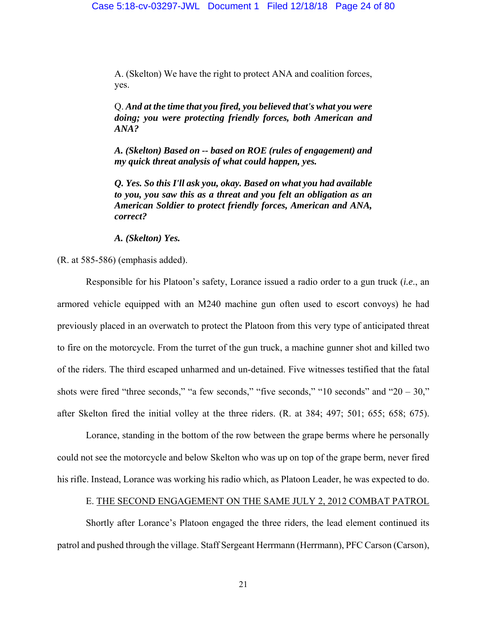A. (Skelton) We have the right to protect ANA and coalition forces, yes.

Q. *And at the time that you fired, you believed that's what you were doing; you were protecting friendly forces, both American and ANA?* 

*A. (Skelton) Based on -- based on ROE (rules of engagement) and my quick threat analysis of what could happen, yes.* 

*Q. Yes. So this I'll ask you, okay. Based on what you had available to you, you saw this as a threat and you felt an obligation as an American Soldier to protect friendly forces, American and ANA, correct?* 

*A. (Skelton) Yes.* 

(R. at 585-586) (emphasis added).

 Responsible for his Platoon's safety, Lorance issued a radio order to a gun truck (*i.e*., an armored vehicle equipped with an M240 machine gun often used to escort convoys) he had previously placed in an overwatch to protect the Platoon from this very type of anticipated threat to fire on the motorcycle. From the turret of the gun truck, a machine gunner shot and killed two of the riders. The third escaped unharmed and un-detained. Five witnesses testified that the fatal shots were fired "three seconds," "a few seconds," "five seconds," "10 seconds" and "20 – 30," after Skelton fired the initial volley at the three riders. (R. at 384; 497; 501; 655; 658; 675).

 Lorance, standing in the bottom of the row between the grape berms where he personally could not see the motorcycle and below Skelton who was up on top of the grape berm, never fired his rifle. Instead, Lorance was working his radio which, as Platoon Leader, he was expected to do.

# E. THE SECOND ENGAGEMENT ON THE SAME JULY 2, 2012 COMBAT PATROL

 Shortly after Lorance's Platoon engaged the three riders, the lead element continued its patrol and pushed through the village. Staff Sergeant Herrmann (Herrmann), PFC Carson (Carson),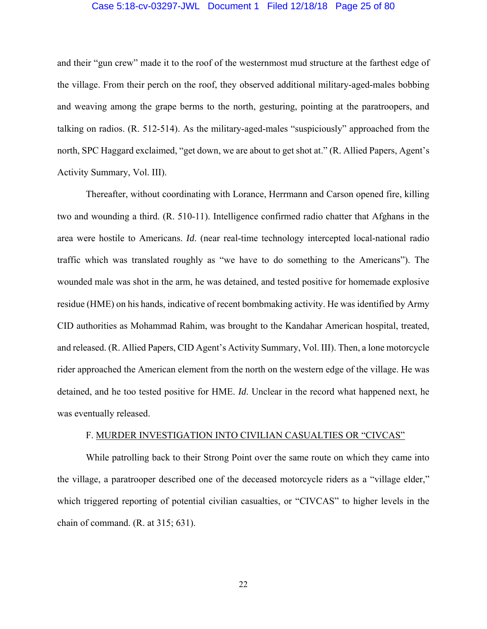# Case 5:18-cv-03297-JWL Document 1 Filed 12/18/18 Page 25 of 80

and their "gun crew" made it to the roof of the westernmost mud structure at the farthest edge of the village. From their perch on the roof, they observed additional military-aged-males bobbing and weaving among the grape berms to the north, gesturing, pointing at the paratroopers, and talking on radios. (R. 512-514). As the military-aged-males "suspiciously" approached from the north, SPC Haggard exclaimed, "get down, we are about to get shot at." (R. Allied Papers, Agent's Activity Summary, Vol. III).

 Thereafter, without coordinating with Lorance, Herrmann and Carson opened fire, killing two and wounding a third. (R. 510-11). Intelligence confirmed radio chatter that Afghans in the area were hostile to Americans. *Id*. (near real-time technology intercepted local-national radio traffic which was translated roughly as "we have to do something to the Americans"). The wounded male was shot in the arm, he was detained, and tested positive for homemade explosive residue (HME) on his hands, indicative of recent bombmaking activity. He was identified by Army CID authorities as Mohammad Rahim, was brought to the Kandahar American hospital, treated, and released. (R. Allied Papers, CID Agent's Activity Summary, Vol. III). Then, a lone motorcycle rider approached the American element from the north on the western edge of the village. He was detained, and he too tested positive for HME. *Id*. Unclear in the record what happened next, he was eventually released.

# F. MURDER INVESTIGATION INTO CIVILIAN CASUALTIES OR "CIVCAS"

 While patrolling back to their Strong Point over the same route on which they came into the village, a paratrooper described one of the deceased motorcycle riders as a "village elder," which triggered reporting of potential civilian casualties, or "CIVCAS" to higher levels in the chain of command. (R. at 315; 631).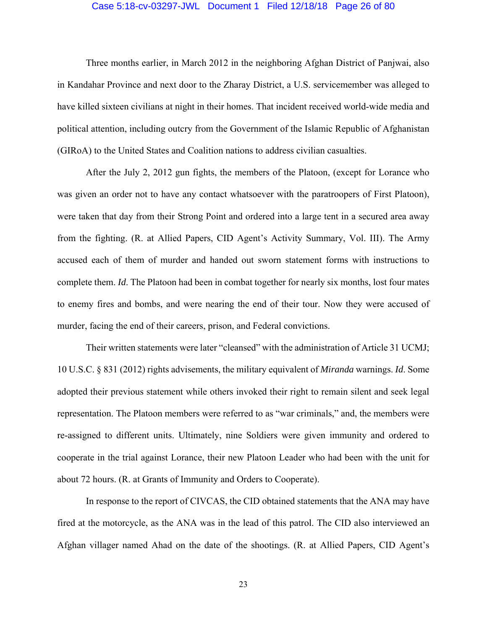# Case 5:18-cv-03297-JWL Document 1 Filed 12/18/18 Page 26 of 80

 Three months earlier, in March 2012 in the neighboring Afghan District of Panjwai, also in Kandahar Province and next door to the Zharay District, a U.S. servicemember was alleged to have killed sixteen civilians at night in their homes. That incident received world-wide media and political attention, including outcry from the Government of the Islamic Republic of Afghanistan (GIRoA) to the United States and Coalition nations to address civilian casualties.

 After the July 2, 2012 gun fights, the members of the Platoon, (except for Lorance who was given an order not to have any contact whatsoever with the paratroopers of First Platoon), were taken that day from their Strong Point and ordered into a large tent in a secured area away from the fighting. (R. at Allied Papers, CID Agent's Activity Summary, Vol. III). The Army accused each of them of murder and handed out sworn statement forms with instructions to complete them. *Id*. The Platoon had been in combat together for nearly six months, lost four mates to enemy fires and bombs, and were nearing the end of their tour. Now they were accused of murder, facing the end of their careers, prison, and Federal convictions.

 Their written statements were later "cleansed" with the administration of Article 31 UCMJ; 10 U.S.C. § 831 (2012) rights advisements, the military equivalent of *Miranda* warnings. *Id*. Some adopted their previous statement while others invoked their right to remain silent and seek legal representation. The Platoon members were referred to as "war criminals," and, the members were re-assigned to different units. Ultimately, nine Soldiers were given immunity and ordered to cooperate in the trial against Lorance, their new Platoon Leader who had been with the unit for about 72 hours. (R. at Grants of Immunity and Orders to Cooperate).

 In response to the report of CIVCAS, the CID obtained statements that the ANA may have fired at the motorcycle, as the ANA was in the lead of this patrol. The CID also interviewed an Afghan villager named Ahad on the date of the shootings. (R. at Allied Papers, CID Agent's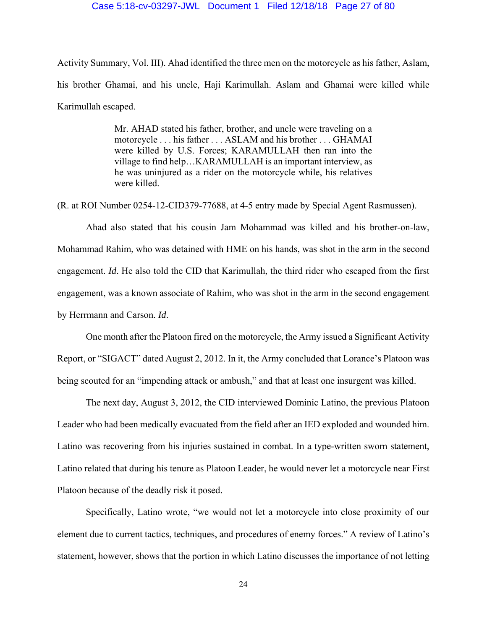# Case 5:18-cv-03297-JWL Document 1 Filed 12/18/18 Page 27 of 80

Activity Summary, Vol. III). Ahad identified the three men on the motorcycle as his father, Aslam, his brother Ghamai, and his uncle, Haji Karimullah. Aslam and Ghamai were killed while Karimullah escaped.

> Mr. AHAD stated his father, brother, and uncle were traveling on a motorcycle . . . his father . . . ASLAM and his brother . . . GHAMAI were killed by U.S. Forces; KARAMULLAH then ran into the village to find help…KARAMULLAH is an important interview, as he was uninjured as a rider on the motorcycle while, his relatives were killed.

(R. at ROI Number 0254-12-CID379-77688, at 4-5 entry made by Special Agent Rasmussen).

 Ahad also stated that his cousin Jam Mohammad was killed and his brother-on-law, Mohammad Rahim, who was detained with HME on his hands, was shot in the arm in the second engagement. *Id*. He also told the CID that Karimullah, the third rider who escaped from the first engagement, was a known associate of Rahim, who was shot in the arm in the second engagement by Herrmann and Carson. *Id*.

 One month after the Platoon fired on the motorcycle, the Army issued a Significant Activity Report, or "SIGACT" dated August 2, 2012. In it, the Army concluded that Lorance's Platoon was being scouted for an "impending attack or ambush," and that at least one insurgent was killed.

 The next day, August 3, 2012, the CID interviewed Dominic Latino, the previous Platoon Leader who had been medically evacuated from the field after an IED exploded and wounded him. Latino was recovering from his injuries sustained in combat. In a type-written sworn statement, Latino related that during his tenure as Platoon Leader, he would never let a motorcycle near First Platoon because of the deadly risk it posed.

 Specifically, Latino wrote, "we would not let a motorcycle into close proximity of our element due to current tactics, techniques, and procedures of enemy forces." A review of Latino's statement, however, shows that the portion in which Latino discusses the importance of not letting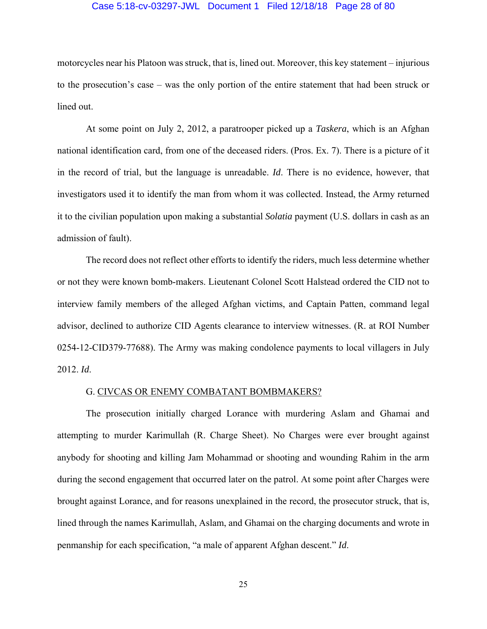# Case 5:18-cv-03297-JWL Document 1 Filed 12/18/18 Page 28 of 80

motorcycles near his Platoon was struck, that is, lined out. Moreover, this key statement – injurious to the prosecution's case – was the only portion of the entire statement that had been struck or lined out.

 At some point on July 2, 2012, a paratrooper picked up a *Taskera*, which is an Afghan national identification card, from one of the deceased riders. (Pros. Ex. 7). There is a picture of it in the record of trial, but the language is unreadable. *Id*. There is no evidence, however, that investigators used it to identify the man from whom it was collected. Instead, the Army returned it to the civilian population upon making a substantial *Solatia* payment (U.S. dollars in cash as an admission of fault).

 The record does not reflect other efforts to identify the riders, much less determine whether or not they were known bomb-makers. Lieutenant Colonel Scott Halstead ordered the CID not to interview family members of the alleged Afghan victims, and Captain Patten, command legal advisor, declined to authorize CID Agents clearance to interview witnesses. (R. at ROI Number 0254-12-CID379-77688). The Army was making condolence payments to local villagers in July 2012. *Id*.

# G. CIVCAS OR ENEMY COMBATANT BOMBMAKERS?

 The prosecution initially charged Lorance with murdering Aslam and Ghamai and attempting to murder Karimullah (R. Charge Sheet). No Charges were ever brought against anybody for shooting and killing Jam Mohammad or shooting and wounding Rahim in the arm during the second engagement that occurred later on the patrol. At some point after Charges were brought against Lorance, and for reasons unexplained in the record, the prosecutor struck, that is, lined through the names Karimullah, Aslam, and Ghamai on the charging documents and wrote in penmanship for each specification, "a male of apparent Afghan descent." *Id*.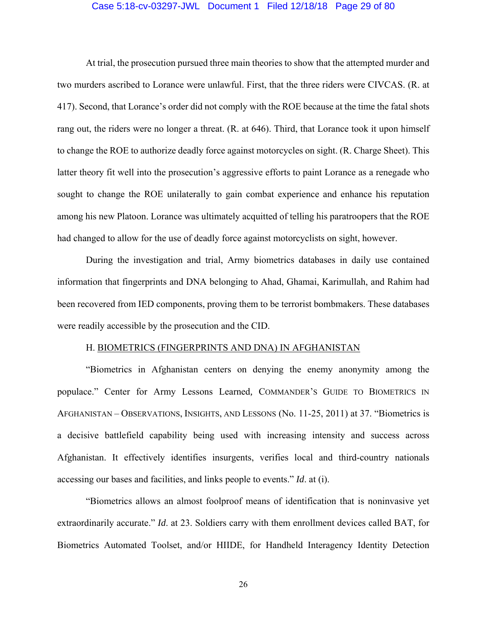# Case 5:18-cv-03297-JWL Document 1 Filed 12/18/18 Page 29 of 80

 At trial, the prosecution pursued three main theories to show that the attempted murder and two murders ascribed to Lorance were unlawful. First, that the three riders were CIVCAS. (R. at 417). Second, that Lorance's order did not comply with the ROE because at the time the fatal shots rang out, the riders were no longer a threat. (R. at 646). Third, that Lorance took it upon himself to change the ROE to authorize deadly force against motorcycles on sight. (R. Charge Sheet). This latter theory fit well into the prosecution's aggressive efforts to paint Lorance as a renegade who sought to change the ROE unilaterally to gain combat experience and enhance his reputation among his new Platoon. Lorance was ultimately acquitted of telling his paratroopers that the ROE had changed to allow for the use of deadly force against motorcyclists on sight, however.

During the investigation and trial, Army biometrics databases in daily use contained information that fingerprints and DNA belonging to Ahad, Ghamai, Karimullah, and Rahim had been recovered from IED components, proving them to be terrorist bombmakers. These databases were readily accessible by the prosecution and the CID.

### H. BIOMETRICS (FINGERPRINTS AND DNA) IN AFGHANISTAN

 "Biometrics in Afghanistan centers on denying the enemy anonymity among the populace." Center for Army Lessons Learned*,* COMMANDER'S GUIDE TO BIOMETRICS IN AFGHANISTAN – OBSERVATIONS, INSIGHTS, AND LESSONS (No. 11-25, 2011) at 37. "Biometrics is a decisive battlefield capability being used with increasing intensity and success across Afghanistan. It effectively identifies insurgents, verifies local and third-country nationals accessing our bases and facilities, and links people to events." *Id*. at (i).

 "Biometrics allows an almost foolproof means of identification that is noninvasive yet extraordinarily accurate." *Id*. at 23. Soldiers carry with them enrollment devices called BAT, for Biometrics Automated Toolset, and/or HIIDE, for Handheld Interagency Identity Detection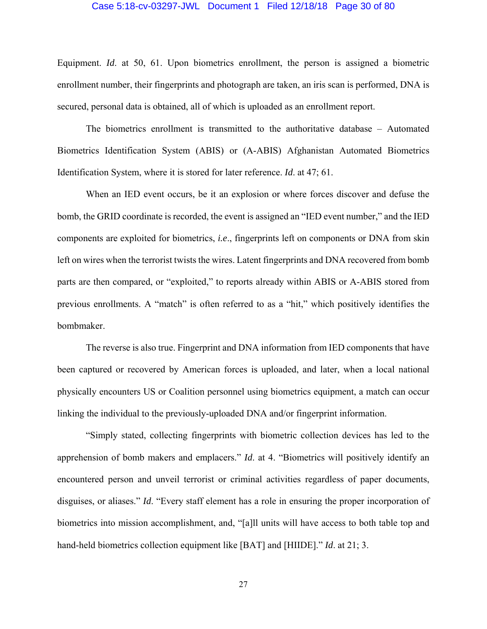# Case 5:18-cv-03297-JWL Document 1 Filed 12/18/18 Page 30 of 80

Equipment. *Id*. at 50, 61. Upon biometrics enrollment, the person is assigned a biometric enrollment number, their fingerprints and photograph are taken, an iris scan is performed, DNA is secured, personal data is obtained, all of which is uploaded as an enrollment report.

 The biometrics enrollment is transmitted to the authoritative database – Automated Biometrics Identification System (ABIS) or (A-ABIS) Afghanistan Automated Biometrics Identification System, where it is stored for later reference. *Id*. at 47; 61.

 When an IED event occurs, be it an explosion or where forces discover and defuse the bomb, the GRID coordinate is recorded, the event is assigned an "IED event number," and the IED components are exploited for biometrics, *i.e*., fingerprints left on components or DNA from skin left on wires when the terrorist twists the wires. Latent fingerprints and DNA recovered from bomb parts are then compared, or "exploited," to reports already within ABIS or A-ABIS stored from previous enrollments. A "match" is often referred to as a "hit," which positively identifies the bombmaker.

 The reverse is also true. Fingerprint and DNA information from IED components that have been captured or recovered by American forces is uploaded, and later, when a local national physically encounters US or Coalition personnel using biometrics equipment, a match can occur linking the individual to the previously-uploaded DNA and/or fingerprint information.

 "Simply stated, collecting fingerprints with biometric collection devices has led to the apprehension of bomb makers and emplacers." *Id*. at 4. "Biometrics will positively identify an encountered person and unveil terrorist or criminal activities regardless of paper documents, disguises, or aliases." *Id*. "Every staff element has a role in ensuring the proper incorporation of biometrics into mission accomplishment, and, "[a]ll units will have access to both table top and hand-held biometrics collection equipment like [BAT] and [HIIDE]." *Id*. at 21; 3.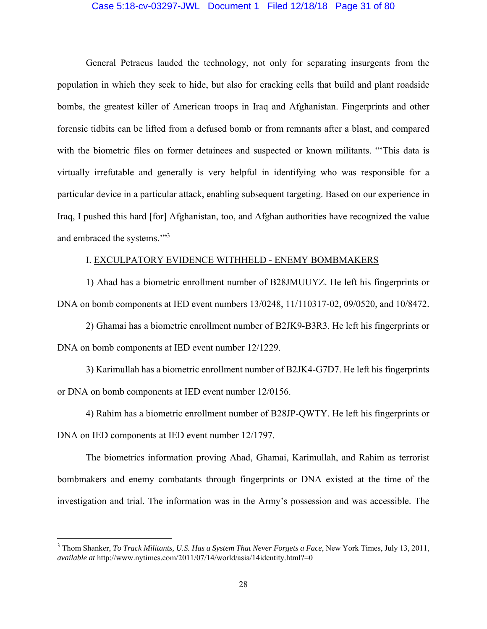# Case 5:18-cv-03297-JWL Document 1 Filed 12/18/18 Page 31 of 80

 General Petraeus lauded the technology, not only for separating insurgents from the population in which they seek to hide, but also for cracking cells that build and plant roadside bombs, the greatest killer of American troops in Iraq and Afghanistan. Fingerprints and other forensic tidbits can be lifted from a defused bomb or from remnants after a blast, and compared with the biometric files on former detainees and suspected or known militants. "'This data is virtually irrefutable and generally is very helpful in identifying who was responsible for a particular device in a particular attack, enabling subsequent targeting. Based on our experience in Iraq, I pushed this hard [for] Afghanistan, too, and Afghan authorities have recognized the value and embraced the systems.'"3

# I. EXCULPATORY EVIDENCE WITHHELD - ENEMY BOMBMAKERS

1) Ahad has a biometric enrollment number of B28JMUUYZ. He left his fingerprints or DNA on bomb components at IED event numbers 13/0248, 11/110317-02, 09/0520, and 10/8472.

2) Ghamai has a biometric enrollment number of B2JK9-B3R3. He left his fingerprints or DNA on bomb components at IED event number 12/1229.

3) Karimullah has a biometric enrollment number of B2JK4-G7D7. He left his fingerprints or DNA on bomb components at IED event number 12/0156.

4) Rahim has a biometric enrollment number of B28JP-QWTY. He left his fingerprints or DNA on IED components at IED event number 12/1797.

 The biometrics information proving Ahad, Ghamai, Karimullah, and Rahim as terrorist bombmakers and enemy combatants through fingerprints or DNA existed at the time of the investigation and trial. The information was in the Army's possession and was accessible. The

<sup>3</sup> Thom Shanker, *To Track Militants, U.S. Has a System That Never Forgets a Face*, New York Times, July 13, 2011, *available at* http://www.nytimes.com/2011/07/14/world/asia/14identity.html?=0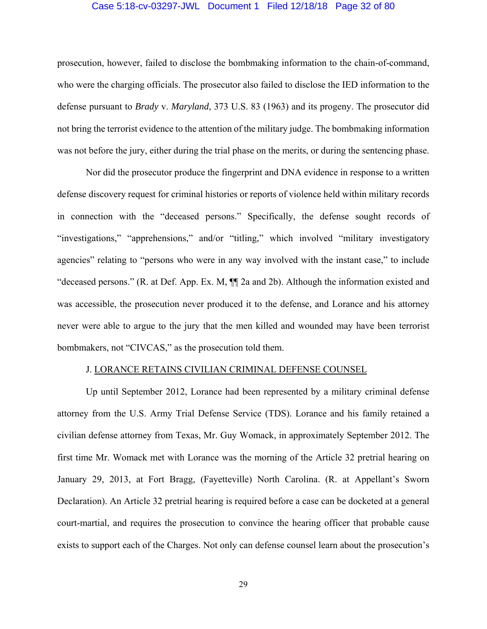# Case 5:18-cv-03297-JWL Document 1 Filed 12/18/18 Page 32 of 80

prosecution, however, failed to disclose the bombmaking information to the chain-of-command, who were the charging officials. The prosecutor also failed to disclose the IED information to the defense pursuant to *Brady* v. *Maryland*, 373 U.S. 83 (1963) and its progeny. The prosecutor did not bring the terrorist evidence to the attention of the military judge. The bombmaking information was not before the jury, either during the trial phase on the merits, or during the sentencing phase.

 Nor did the prosecutor produce the fingerprint and DNA evidence in response to a written defense discovery request for criminal histories or reports of violence held within military records in connection with the "deceased persons." Specifically, the defense sought records of "investigations," "apprehensions," and/or "titling," which involved "military investigatory agencies" relating to "persons who were in any way involved with the instant case," to include "deceased persons." (R. at Def. App. Ex. M, ¶¶ 2a and 2b). Although the information existed and was accessible, the prosecution never produced it to the defense, and Lorance and his attorney never were able to argue to the jury that the men killed and wounded may have been terrorist bombmakers, not "CIVCAS," as the prosecution told them.

# J. LORANCE RETAINS CIVILIAN CRIMINAL DEFENSE COUNSEL

 Up until September 2012, Lorance had been represented by a military criminal defense attorney from the U.S. Army Trial Defense Service (TDS). Lorance and his family retained a civilian defense attorney from Texas, Mr. Guy Womack, in approximately September 2012. The first time Mr. Womack met with Lorance was the morning of the Article 32 pretrial hearing on January 29, 2013, at Fort Bragg, (Fayetteville) North Carolina. (R. at Appellant's Sworn Declaration). An Article 32 pretrial hearing is required before a case can be docketed at a general court-martial, and requires the prosecution to convince the hearing officer that probable cause exists to support each of the Charges. Not only can defense counsel learn about the prosecution's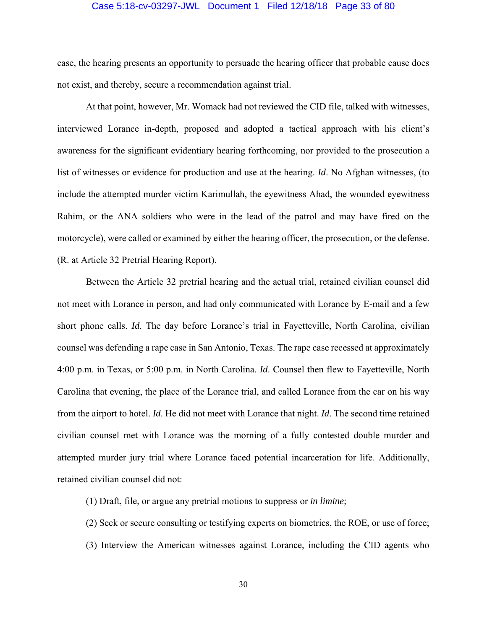# Case 5:18-cv-03297-JWL Document 1 Filed 12/18/18 Page 33 of 80

case, the hearing presents an opportunity to persuade the hearing officer that probable cause does not exist, and thereby, secure a recommendation against trial.

 At that point, however, Mr. Womack had not reviewed the CID file, talked with witnesses, interviewed Lorance in-depth, proposed and adopted a tactical approach with his client's awareness for the significant evidentiary hearing forthcoming, nor provided to the prosecution a list of witnesses or evidence for production and use at the hearing. *Id*. No Afghan witnesses, (to include the attempted murder victim Karimullah, the eyewitness Ahad, the wounded eyewitness Rahim, or the ANA soldiers who were in the lead of the patrol and may have fired on the motorcycle), were called or examined by either the hearing officer, the prosecution, or the defense. (R. at Article 32 Pretrial Hearing Report).

 Between the Article 32 pretrial hearing and the actual trial, retained civilian counsel did not meet with Lorance in person, and had only communicated with Lorance by E-mail and a few short phone calls. *Id*. The day before Lorance's trial in Fayetteville, North Carolina, civilian counsel was defending a rape case in San Antonio, Texas. The rape case recessed at approximately 4:00 p.m. in Texas, or 5:00 p.m. in North Carolina. *Id*. Counsel then flew to Fayetteville, North Carolina that evening, the place of the Lorance trial, and called Lorance from the car on his way from the airport to hotel. *Id*. He did not meet with Lorance that night. *Id*. The second time retained civilian counsel met with Lorance was the morning of a fully contested double murder and attempted murder jury trial where Lorance faced potential incarceration for life. Additionally, retained civilian counsel did not:

- (1) Draft, file, or argue any pretrial motions to suppress or *in limine*;
- (2) Seek or secure consulting or testifying experts on biometrics, the ROE, or use of force;
- (3) Interview the American witnesses against Lorance, including the CID agents who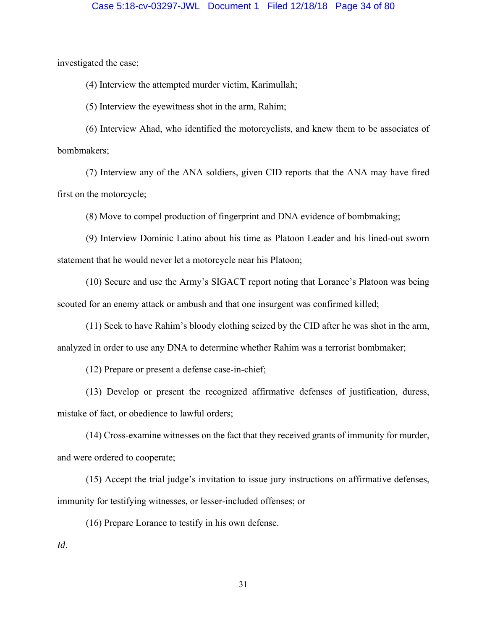# Case 5:18-cv-03297-JWL Document 1 Filed 12/18/18 Page 34 of 80

investigated the case;

(4) Interview the attempted murder victim, Karimullah;

(5) Interview the eyewitness shot in the arm, Rahim;

 (6) Interview Ahad, who identified the motorcyclists, and knew them to be associates of bombmakers;

 (7) Interview any of the ANA soldiers, given CID reports that the ANA may have fired first on the motorcycle;

(8) Move to compel production of fingerprint and DNA evidence of bombmaking;

 (9) Interview Dominic Latino about his time as Platoon Leader and his lined-out sworn statement that he would never let a motorcycle near his Platoon;

 (10) Secure and use the Army's SIGACT report noting that Lorance's Platoon was being scouted for an enemy attack or ambush and that one insurgent was confirmed killed;

 (11) Seek to have Rahim's bloody clothing seized by the CID after he was shot in the arm, analyzed in order to use any DNA to determine whether Rahim was a terrorist bombmaker;

(12) Prepare or present a defense case-in-chief;

 (13) Develop or present the recognized affirmative defenses of justification, duress, mistake of fact, or obedience to lawful orders;

 (14) Cross-examine witnesses on the fact that they received grants of immunity for murder, and were ordered to cooperate;

 (15) Accept the trial judge's invitation to issue jury instructions on affirmative defenses, immunity for testifying witnesses, or lesser-included offenses; or

(16) Prepare Lorance to testify in his own defense.

*Id*.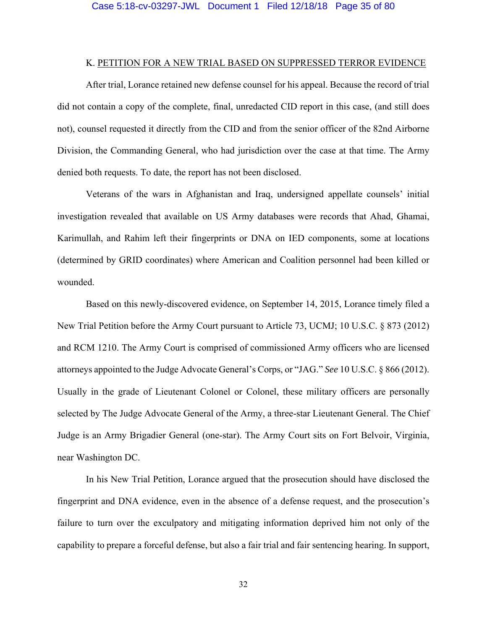# K. PETITION FOR A NEW TRIAL BASED ON SUPPRESSED TERROR EVIDENCE

 After trial, Lorance retained new defense counsel for his appeal. Because the record of trial did not contain a copy of the complete, final, unredacted CID report in this case, (and still does not), counsel requested it directly from the CID and from the senior officer of the 82nd Airborne Division, the Commanding General, who had jurisdiction over the case at that time. The Army denied both requests. To date, the report has not been disclosed.

 Veterans of the wars in Afghanistan and Iraq, undersigned appellate counsels' initial investigation revealed that available on US Army databases were records that Ahad, Ghamai, Karimullah, and Rahim left their fingerprints or DNA on IED components, some at locations (determined by GRID coordinates) where American and Coalition personnel had been killed or wounded.

 Based on this newly-discovered evidence, on September 14, 2015, Lorance timely filed a New Trial Petition before the Army Court pursuant to Article 73, UCMJ; 10 U.S.C. § 873 (2012) and RCM 1210. The Army Court is comprised of commissioned Army officers who are licensed attorneys appointed to the Judge Advocate General's Corps, or "JAG." *See* 10 U.S.C. § 866 (2012). Usually in the grade of Lieutenant Colonel or Colonel, these military officers are personally selected by The Judge Advocate General of the Army, a three-star Lieutenant General. The Chief Judge is an Army Brigadier General (one-star). The Army Court sits on Fort Belvoir, Virginia, near Washington DC.

 In his New Trial Petition, Lorance argued that the prosecution should have disclosed the fingerprint and DNA evidence, even in the absence of a defense request, and the prosecution's failure to turn over the exculpatory and mitigating information deprived him not only of the capability to prepare a forceful defense, but also a fair trial and fair sentencing hearing. In support,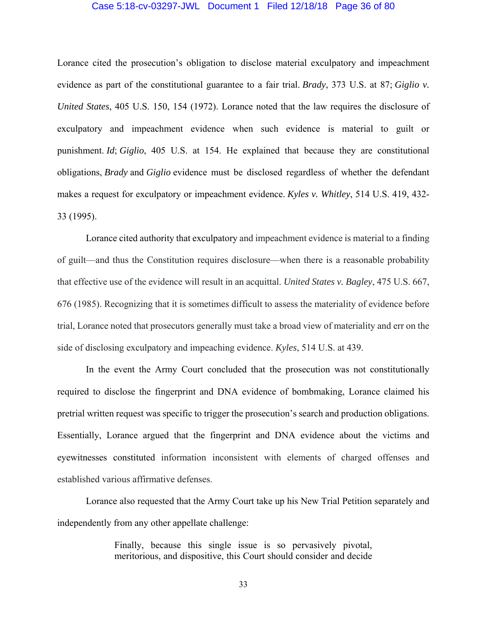# Case 5:18-cv-03297-JWL Document 1 Filed 12/18/18 Page 36 of 80

Lorance cited the prosecution's obligation to disclose material exculpatory and impeachment evidence as part of the constitutional guarantee to a fair trial. *Brady*, 373 U.S. at 87; *Giglio v. United States*, 405 U.S. 150, 154 (1972). Lorance noted that the law requires the disclosure of exculpatory and impeachment evidence when such evidence is material to guilt or punishment. *Id*; *Giglio*, 405 U.S. at 154. He explained that because they are constitutional obligations, *Brady* and *Giglio* evidence must be disclosed regardless of whether the defendant makes a request for exculpatory or impeachment evidence. *Kyles v. Whitley*, 514 U.S. 419, 432- 33 (1995).

 Lorance cited authority that exculpatory and impeachment evidence is material to a finding of guilt—and thus the Constitution requires disclosure—when there is a reasonable probability that effective use of the evidence will result in an acquittal. *United States v. Bagley*, 475 U.S. 667, 676 (1985). Recognizing that it is sometimes difficult to assess the materiality of evidence before trial, Lorance noted that prosecutors generally must take a broad view of materiality and err on the side of disclosing exculpatory and impeaching evidence. *Kyles*, 514 U.S. at 439.

 In the event the Army Court concluded that the prosecution was not constitutionally required to disclose the fingerprint and DNA evidence of bombmaking, Lorance claimed his pretrial written request was specific to trigger the prosecution's search and production obligations. Essentially, Lorance argued that the fingerprint and DNA evidence about the victims and eyewitnesses constituted information inconsistent with elements of charged offenses and established various affirmative defenses.

Lorance also requested that the Army Court take up his New Trial Petition separately and independently from any other appellate challenge:

> Finally, because this single issue is so pervasively pivotal, meritorious, and dispositive, this Court should consider and decide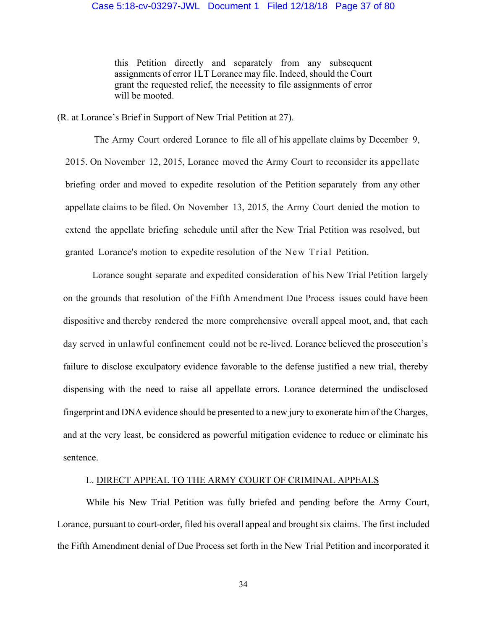## Case 5:18-cv-03297-JWL Document 1 Filed 12/18/18 Page 37 of 80

this Petition directly and separately from any subsequent assignments of error 1LT Lorance may file. Indeed, should the Court grant the requested relief, the necessity to file assignments of error will be mooted.

(R. at Lorance's Brief in Support of New Trial Petition at 27).

The Army Court ordered Lorance to file all of his appellate claims by December 9, 2015. On November 12, 2015, Lorance moved the Army Court to reconsider its appellate briefing order and moved to expedite resolution of the Petition separately from any other appellate claims to be filed. On November 13, 2015, the Army Court denied the motion to extend the appellate briefing schedule until after the New Trial Petition was resolved, but granted Lorance's motion to expedite resolution of the New Trial Petition.

Lorance sought separate and expedited consideration of his New Trial Petition largely on the grounds that resolution of the Fifth Amendment Due Process issues could have been dispositive and thereby rendered the more comprehensive overall appeal moot, and, that each day served in unlawful confinement could not be re-lived. Lorance believed the prosecution's failure to disclose exculpatory evidence favorable to the defense justified a new trial, thereby dispensing with the need to raise all appellate errors. Lorance determined the undisclosed fingerprint and DNA evidence should be presented to a new jury to exonerate him of the Charges, and at the very least, be considered as powerful mitigation evidence to reduce or eliminate his sentence.

## L. DIRECT APPEAL TO THE ARMY COURT OF CRIMINAL APPEALS

 While his New Trial Petition was fully briefed and pending before the Army Court, Lorance, pursuant to court-order, filed his overall appeal and brought six claims. The first included the Fifth Amendment denial of Due Process set forth in the New Trial Petition and incorporated it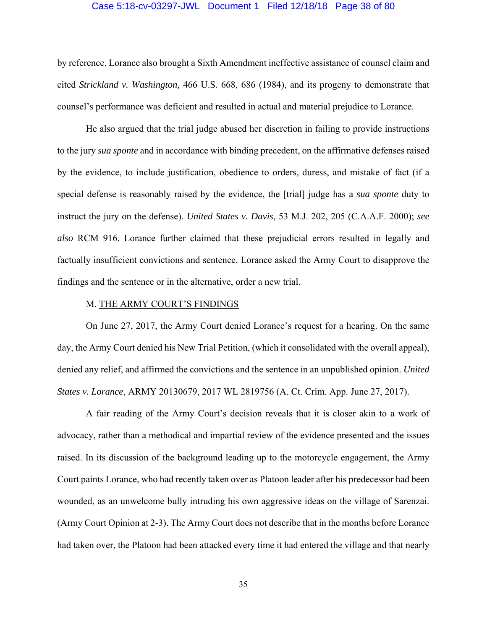#### Case 5:18-cv-03297-JWL Document 1 Filed 12/18/18 Page 38 of 80

by reference. Lorance also brought a Sixth Amendment ineffective assistance of counsel claim and cited *Strickland v. Washington,* 466 U.S. 668, 686 (1984), and its progeny to demonstrate that counsel's performance was deficient and resulted in actual and material prejudice to Lorance.

 He also argued that the trial judge abused her discretion in failing to provide instructions to the jury *sua sponte* and in accordance with binding precedent, on the affirmative defenses raised by the evidence, to include justification, obedience to orders, duress, and mistake of fact (if a special defense is reasonably raised by the evidence, the [trial] judge has a *sua sponte* duty to instruct the jury on the defense). *United States v. Davis*, 53 M.J. 202, 205 (C.A.A.F. 2000); *see also* RCM 916. Lorance further claimed that these prejudicial errors resulted in legally and factually insufficient convictions and sentence. Lorance asked the Army Court to disapprove the findings and the sentence or in the alternative, order a new trial.

## M. THE ARMY COURT'S FINDINGS

On June 27, 2017, the Army Court denied Lorance's request for a hearing. On the same day, the Army Court denied his New Trial Petition, (which it consolidated with the overall appeal), denied any relief, and affirmed the convictions and the sentence in an unpublished opinion. *United States v. Lorance*, ARMY 20130679, 2017 WL 2819756 (A. Ct. Crim. App. June 27, 2017).

A fair reading of the Army Court's decision reveals that it is closer akin to a work of advocacy, rather than a methodical and impartial review of the evidence presented and the issues raised. In its discussion of the background leading up to the motorcycle engagement, the Army Court paints Lorance, who had recently taken over as Platoon leader after his predecessor had been wounded, as an unwelcome bully intruding his own aggressive ideas on the village of Sarenzai. (Army Court Opinion at 2-3). The Army Court does not describe that in the months before Lorance had taken over, the Platoon had been attacked every time it had entered the village and that nearly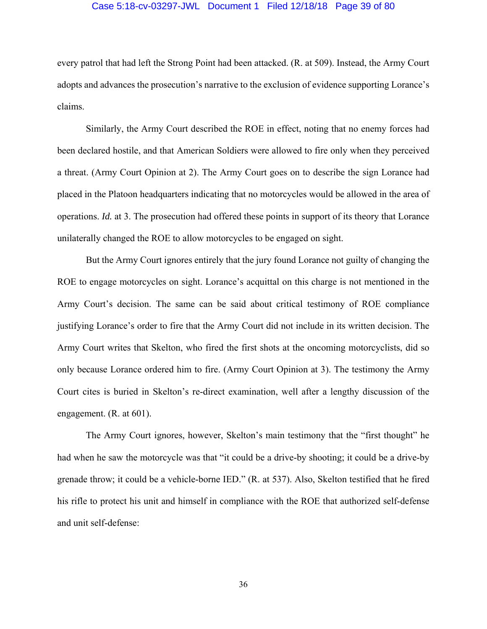#### Case 5:18-cv-03297-JWL Document 1 Filed 12/18/18 Page 39 of 80

every patrol that had left the Strong Point had been attacked. (R. at 509). Instead, the Army Court adopts and advances the prosecution's narrative to the exclusion of evidence supporting Lorance's claims.

Similarly, the Army Court described the ROE in effect, noting that no enemy forces had been declared hostile, and that American Soldiers were allowed to fire only when they perceived a threat. (Army Court Opinion at 2). The Army Court goes on to describe the sign Lorance had placed in the Platoon headquarters indicating that no motorcycles would be allowed in the area of operations. *Id.* at 3. The prosecution had offered these points in support of its theory that Lorance unilaterally changed the ROE to allow motorcycles to be engaged on sight.

 But the Army Court ignores entirely that the jury found Lorance not guilty of changing the ROE to engage motorcycles on sight. Lorance's acquittal on this charge is not mentioned in the Army Court's decision. The same can be said about critical testimony of ROE compliance justifying Lorance's order to fire that the Army Court did not include in its written decision. The Army Court writes that Skelton, who fired the first shots at the oncoming motorcyclists, did so only because Lorance ordered him to fire. (Army Court Opinion at 3). The testimony the Army Court cites is buried in Skelton's re-direct examination, well after a lengthy discussion of the engagement. (R. at 601).

 The Army Court ignores, however, Skelton's main testimony that the "first thought" he had when he saw the motorcycle was that "it could be a drive-by shooting; it could be a drive-by grenade throw; it could be a vehicle-borne IED." (R. at 537). Also, Skelton testified that he fired his rifle to protect his unit and himself in compliance with the ROE that authorized self-defense and unit self-defense: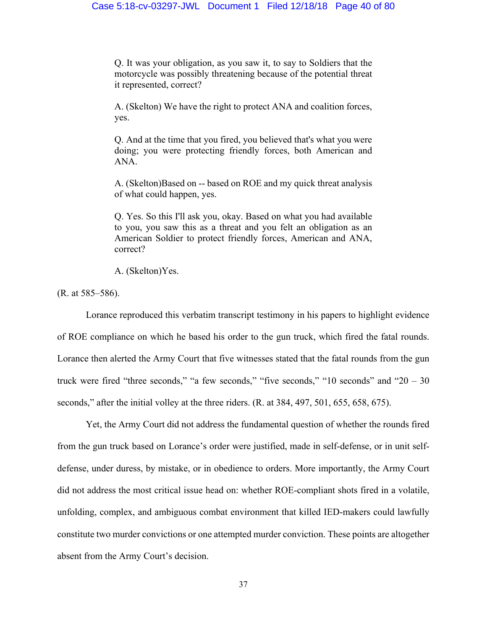Q. It was your obligation, as you saw it, to say to Soldiers that the motorcycle was possibly threatening because of the potential threat it represented, correct?

A. (Skelton) We have the right to protect ANA and coalition forces, yes.

Q. And at the time that you fired, you believed that's what you were doing; you were protecting friendly forces, both American and ANA.

A. (Skelton)Based on -- based on ROE and my quick threat analysis of what could happen, yes.

Q. Yes. So this I'll ask you, okay. Based on what you had available to you, you saw this as a threat and you felt an obligation as an American Soldier to protect friendly forces, American and ANA, correct?

A. (Skelton)Yes.

(R. at 585–586).

 Lorance reproduced this verbatim transcript testimony in his papers to highlight evidence of ROE compliance on which he based his order to the gun truck, which fired the fatal rounds. Lorance then alerted the Army Court that five witnesses stated that the fatal rounds from the gun truck were fired "three seconds," "a few seconds," "five seconds," "10 seconds" and " $20 - 30$ seconds," after the initial volley at the three riders. (R. at 384, 497, 501, 655, 658, 675).

 Yet, the Army Court did not address the fundamental question of whether the rounds fired from the gun truck based on Lorance's order were justified, made in self-defense, or in unit selfdefense, under duress, by mistake, or in obedience to orders. More importantly, the Army Court did not address the most critical issue head on: whether ROE-compliant shots fired in a volatile, unfolding, complex, and ambiguous combat environment that killed IED-makers could lawfully constitute two murder convictions or one attempted murder conviction. These points are altogether absent from the Army Court's decision.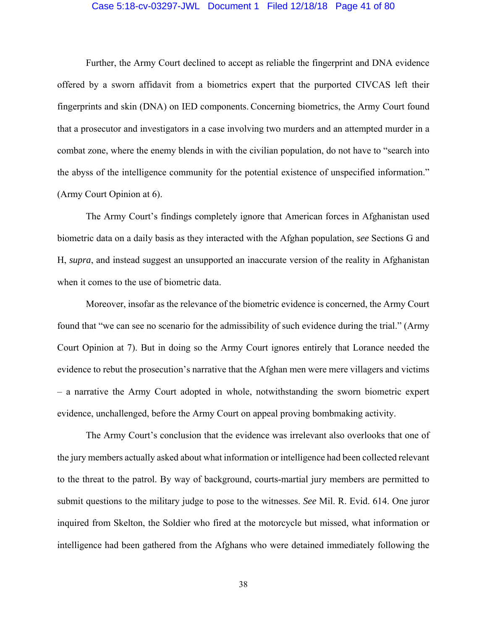#### Case 5:18-cv-03297-JWL Document 1 Filed 12/18/18 Page 41 of 80

Further, the Army Court declined to accept as reliable the fingerprint and DNA evidence offered by a sworn affidavit from a biometrics expert that the purported CIVCAS left their fingerprints and skin (DNA) on IED components. Concerning biometrics, the Army Court found that a prosecutor and investigators in a case involving two murders and an attempted murder in a combat zone, where the enemy blends in with the civilian population, do not have to "search into the abyss of the intelligence community for the potential existence of unspecified information." (Army Court Opinion at 6).

The Army Court's findings completely ignore that American forces in Afghanistan used biometric data on a daily basis as they interacted with the Afghan population, *see* Sections G and H, *supra*, and instead suggest an unsupported an inaccurate version of the reality in Afghanistan when it comes to the use of biometric data.

Moreover, insofar as the relevance of the biometric evidence is concerned, the Army Court found that "we can see no scenario for the admissibility of such evidence during the trial." (Army Court Opinion at 7). But in doing so the Army Court ignores entirely that Lorance needed the evidence to rebut the prosecution's narrative that the Afghan men were mere villagers and victims – a narrative the Army Court adopted in whole, notwithstanding the sworn biometric expert evidence, unchallenged, before the Army Court on appeal proving bombmaking activity.

The Army Court's conclusion that the evidence was irrelevant also overlooks that one of the jury members actually asked about what information or intelligence had been collected relevant to the threat to the patrol. By way of background, courts-martial jury members are permitted to submit questions to the military judge to pose to the witnesses. *See* Mil. R. Evid. 614. One juror inquired from Skelton, the Soldier who fired at the motorcycle but missed, what information or intelligence had been gathered from the Afghans who were detained immediately following the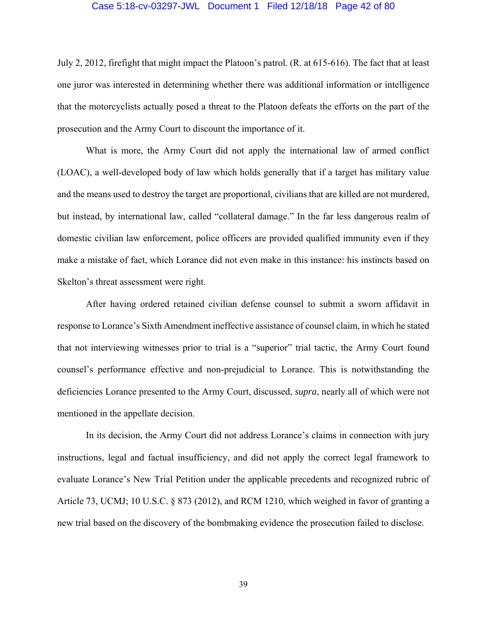#### Case 5:18-cv-03297-JWL Document 1 Filed 12/18/18 Page 42 of 80

July 2, 2012, firefight that might impact the Platoon's patrol. (R. at 615-616). The fact that at least one juror was interested in determining whether there was additional information or intelligence that the motorcyclists actually posed a threat to the Platoon defeats the efforts on the part of the prosecution and the Army Court to discount the importance of it.

 What is more, the Army Court did not apply the international law of armed conflict (LOAC), a well-developed body of law which holds generally that if a target has military value and the means used to destroy the target are proportional, civilians that are killed are not murdered, but instead, by international law, called "collateral damage." In the far less dangerous realm of domestic civilian law enforcement, police officers are provided qualified immunity even if they make a mistake of fact, which Lorance did not even make in this instance: his instincts based on Skelton's threat assessment were right.

 After having ordered retained civilian defense counsel to submit a sworn affidavit in response to Lorance's Sixth Amendment ineffective assistance of counsel claim, in which he stated that not interviewing witnesses prior to trial is a "superior" trial tactic, the Army Court found counsel's performance effective and non-prejudicial to Lorance. This is notwithstanding the deficiencies Lorance presented to the Army Court, discussed, *supra*, nearly all of which were not mentioned in the appellate decision.

In its decision, the Army Court did not address Lorance's claims in connection with jury instructions, legal and factual insufficiency, and did not apply the correct legal framework to evaluate Lorance's New Trial Petition under the applicable precedents and recognized rubric of Article 73, UCMJ; 10 U.S.C. § 873 (2012), and RCM 1210, which weighed in favor of granting a new trial based on the discovery of the bombmaking evidence the prosecution failed to disclose.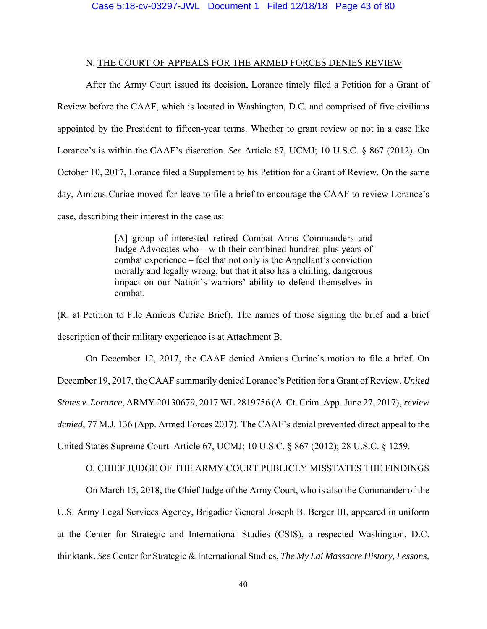## N. THE COURT OF APPEALS FOR THE ARMED FORCES DENIES REVIEW

 After the Army Court issued its decision, Lorance timely filed a Petition for a Grant of Review before the CAAF, which is located in Washington, D.C. and comprised of five civilians appointed by the President to fifteen-year terms. Whether to grant review or not in a case like Lorance's is within the CAAF's discretion. *See* Article 67, UCMJ; 10 U.S.C. § 867 (2012). On October 10, 2017, Lorance filed a Supplement to his Petition for a Grant of Review. On the same day, Amicus Curiae moved for leave to file a brief to encourage the CAAF to review Lorance's case, describing their interest in the case as:

> [A] group of interested retired Combat Arms Commanders and Judge Advocates who – with their combined hundred plus years of combat experience – feel that not only is the Appellant's conviction morally and legally wrong, but that it also has a chilling, dangerous impact on our Nation's warriors' ability to defend themselves in combat.

(R. at Petition to File Amicus Curiae Brief). The names of those signing the brief and a brief description of their military experience is at Attachment B.

On December 12, 2017, the CAAF denied Amicus Curiae's motion to file a brief. On December 19, 2017, the CAAF summarily denied Lorance's Petition for a Grant of Review. *United States v. Lorance*, ARMY 20130679, 2017 WL 2819756 (A. Ct. Crim. App. June 27, 2017), *review denied*, 77 M.J. 136 (App. Armed Forces 2017). The CAAF's denial prevented direct appeal to the United States Supreme Court. Article 67, UCMJ; 10 U.S.C. § 867 (2012); 28 U.S.C. § 1259.

# O. CHIEF JUDGE OF THE ARMY COURT PUBLICLY MISSTATES THE FINDINGS

 On March 15, 2018, the Chief Judge of the Army Court, who is also the Commander of the U.S. Army Legal Services Agency, Brigadier General Joseph B. Berger III, appeared in uniform at the Center for Strategic and International Studies (CSIS), a respected Washington, D.C. thinktank. *See* Center for Strategic & International Studies, *The My Lai Massacre History, Lessons,*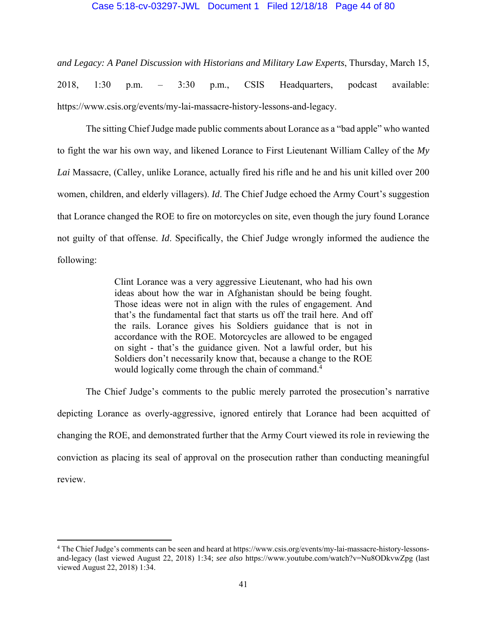## Case 5:18-cv-03297-JWL Document 1 Filed 12/18/18 Page 44 of 80

*and Legacy: A Panel Discussion with Historians and Military Law Experts*, Thursday, March 15, 2018, 1:30 p.m. – 3:30 p.m., CSIS Headquarters, podcast available: https://www.csis.org/events/my-lai-massacre-history-lessons-and-legacy.

 The sitting Chief Judge made public comments about Lorance as a "bad apple" who wanted to fight the war his own way, and likened Lorance to First Lieutenant William Calley of the *My Lai* Massacre, (Calley, unlike Lorance, actually fired his rifle and he and his unit killed over 200 women, children, and elderly villagers). *Id*. The Chief Judge echoed the Army Court's suggestion that Lorance changed the ROE to fire on motorcycles on site, even though the jury found Lorance not guilty of that offense. *Id*. Specifically, the Chief Judge wrongly informed the audience the following:

> Clint Lorance was a very aggressive Lieutenant, who had his own ideas about how the war in Afghanistan should be being fought. Those ideas were not in align with the rules of engagement. And that's the fundamental fact that starts us off the trail here. And off the rails. Lorance gives his Soldiers guidance that is not in accordance with the ROE. Motorcycles are allowed to be engaged on sight - that's the guidance given. Not a lawful order, but his Soldiers don't necessarily know that, because a change to the ROE would logically come through the chain of command.<sup>4</sup>

 The Chief Judge's comments to the public merely parroted the prosecution's narrative depicting Lorance as overly-aggressive, ignored entirely that Lorance had been acquitted of changing the ROE, and demonstrated further that the Army Court viewed its role in reviewing the conviction as placing its seal of approval on the prosecution rather than conducting meaningful review.

<sup>4</sup> The Chief Judge's comments can be seen and heard at https://www.csis.org/events/my-lai-massacre-history-lessonsand-legacy (last viewed August 22, 2018) 1:34; *see also* https://www.youtube.com/watch?v=Nu8ODkvwZpg (last viewed August 22, 2018) 1:34.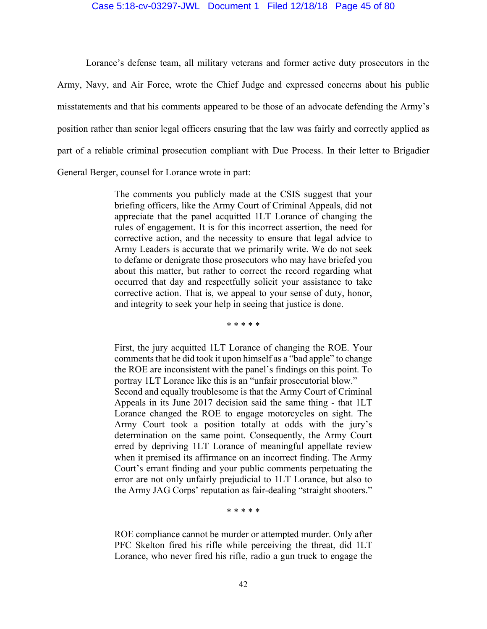Lorance's defense team, all military veterans and former active duty prosecutors in the Army, Navy, and Air Force, wrote the Chief Judge and expressed concerns about his public misstatements and that his comments appeared to be those of an advocate defending the Army's position rather than senior legal officers ensuring that the law was fairly and correctly applied as part of a reliable criminal prosecution compliant with Due Process. In their letter to Brigadier General Berger, counsel for Lorance wrote in part:

> The comments you publicly made at the CSIS suggest that your briefing officers, like the Army Court of Criminal Appeals, did not appreciate that the panel acquitted 1LT Lorance of changing the rules of engagement. It is for this incorrect assertion, the need for corrective action, and the necessity to ensure that legal advice to Army Leaders is accurate that we primarily write. We do not seek to defame or denigrate those prosecutors who may have briefed you about this matter, but rather to correct the record regarding what occurred that day and respectfully solicit your assistance to take corrective action. That is, we appeal to your sense of duty, honor, and integrity to seek your help in seeing that justice is done.

> > \* \* \* \* \*

First, the jury acquitted 1LT Lorance of changing the ROE. Your comments that he did took it upon himself as a "bad apple" to change the ROE are inconsistent with the panel's findings on this point. To portray 1LT Lorance like this is an "unfair prosecutorial blow." Second and equally troublesome is that the Army Court of Criminal Appeals in its June 2017 decision said the same thing - that 1LT Lorance changed the ROE to engage motorcycles on sight. The Army Court took a position totally at odds with the jury's determination on the same point. Consequently, the Army Court erred by depriving 1LT Lorance of meaningful appellate review when it premised its affirmance on an incorrect finding. The Army Court's errant finding and your public comments perpetuating the error are not only unfairly prejudicial to 1LT Lorance, but also to the Army JAG Corps' reputation as fair-dealing "straight shooters."

\* \* \* \* \*

ROE compliance cannot be murder or attempted murder. Only after PFC Skelton fired his rifle while perceiving the threat, did 1LT Lorance, who never fired his rifle, radio a gun truck to engage the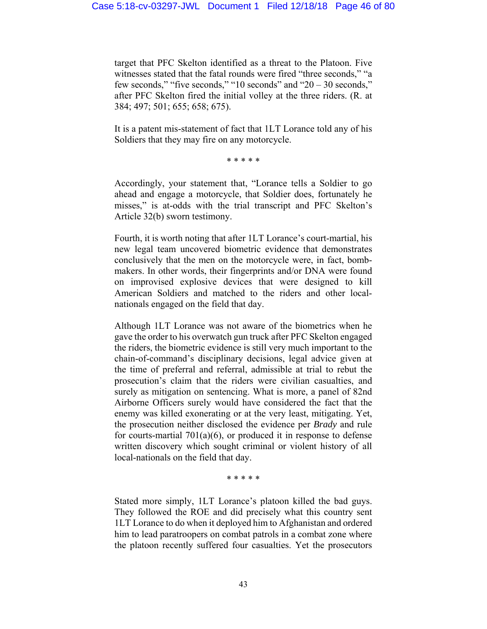target that PFC Skelton identified as a threat to the Platoon. Five witnesses stated that the fatal rounds were fired "three seconds," "a few seconds," "five seconds," "10 seconds" and "20 – 30 seconds," after PFC Skelton fired the initial volley at the three riders. (R. at 384; 497; 501; 655; 658; 675).

It is a patent mis-statement of fact that 1LT Lorance told any of his Soldiers that they may fire on any motorcycle.

\* \* \* \* \*

Accordingly, your statement that, "Lorance tells a Soldier to go ahead and engage a motorcycle, that Soldier does, fortunately he misses," is at-odds with the trial transcript and PFC Skelton's Article 32(b) sworn testimony.

Fourth, it is worth noting that after 1LT Lorance's court-martial, his new legal team uncovered biometric evidence that demonstrates conclusively that the men on the motorcycle were, in fact, bombmakers. In other words, their fingerprints and/or DNA were found on improvised explosive devices that were designed to kill American Soldiers and matched to the riders and other localnationals engaged on the field that day.

Although 1LT Lorance was not aware of the biometrics when he gave the order to his overwatch gun truck after PFC Skelton engaged the riders, the biometric evidence is still very much important to the chain-of-command's disciplinary decisions, legal advice given at the time of preferral and referral, admissible at trial to rebut the prosecution's claim that the riders were civilian casualties, and surely as mitigation on sentencing. What is more, a panel of 82nd Airborne Officers surely would have considered the fact that the enemy was killed exonerating or at the very least, mitigating. Yet, the prosecution neither disclosed the evidence per *Brady* and rule for courts-martial 701(a)(6), or produced it in response to defense written discovery which sought criminal or violent history of all local-nationals on the field that day.

\* \* \* \* \*

Stated more simply, 1LT Lorance's platoon killed the bad guys. They followed the ROE and did precisely what this country sent 1LT Lorance to do when it deployed him to Afghanistan and ordered him to lead paratroopers on combat patrols in a combat zone where the platoon recently suffered four casualties. Yet the prosecutors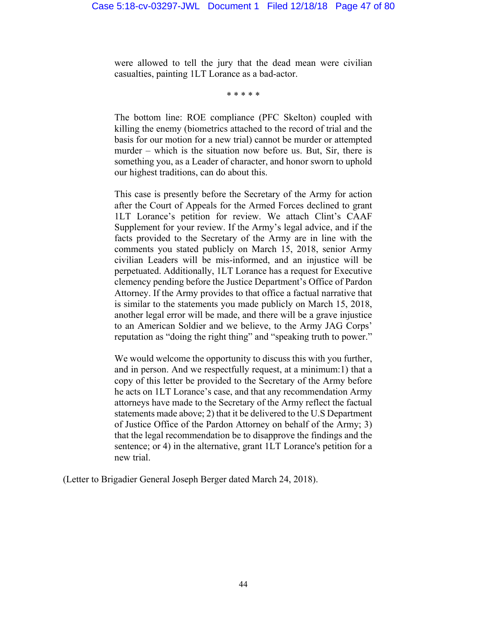were allowed to tell the jury that the dead mean were civilian casualties, painting 1LT Lorance as a bad-actor.

\* \* \* \* \*

The bottom line: ROE compliance (PFC Skelton) coupled with killing the enemy (biometrics attached to the record of trial and the basis for our motion for a new trial) cannot be murder or attempted murder – which is the situation now before us. But, Sir, there is something you, as a Leader of character, and honor sworn to uphold our highest traditions, can do about this.

This case is presently before the Secretary of the Army for action after the Court of Appeals for the Armed Forces declined to grant 1LT Lorance's petition for review. We attach Clint's CAAF Supplement for your review. If the Army's legal advice, and if the facts provided to the Secretary of the Army are in line with the comments you stated publicly on March 15, 2018, senior Army civilian Leaders will be mis-informed, and an injustice will be perpetuated. Additionally, 1LT Lorance has a request for Executive clemency pending before the Justice Department's Office of Pardon Attorney. If the Army provides to that office a factual narrative that is similar to the statements you made publicly on March 15, 2018, another legal error will be made, and there will be a grave injustice to an American Soldier and we believe, to the Army JAG Corps' reputation as "doing the right thing" and "speaking truth to power."

We would welcome the opportunity to discuss this with you further, and in person. And we respectfully request, at a minimum:1) that a copy of this letter be provided to the Secretary of the Army before he acts on 1LT Lorance's case, and that any recommendation Army attorneys have made to the Secretary of the Army reflect the factual statements made above; 2) that it be delivered to the U.S Department of Justice Office of the Pardon Attorney on behalf of the Army; 3) that the legal recommendation be to disapprove the findings and the sentence; or 4) in the alternative, grant 1LT Lorance's petition for a new trial.

(Letter to Brigadier General Joseph Berger dated March 24, 2018).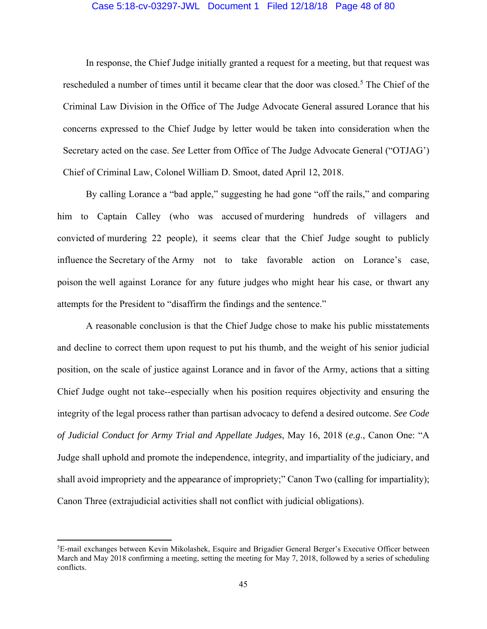#### Case 5:18-cv-03297-JWL Document 1 Filed 12/18/18 Page 48 of 80

 In response, the Chief Judge initially granted a request for a meeting, but that request was rescheduled a number of times until it became clear that the door was closed.<sup>5</sup> The Chief of the Criminal Law Division in the Office of The Judge Advocate General assured Lorance that his concerns expressed to the Chief Judge by letter would be taken into consideration when the Secretary acted on the case. *See* Letter from Office of The Judge Advocate General ("OTJAG') Chief of Criminal Law, Colonel William D. Smoot, dated April 12, 2018.

 By calling Lorance a "bad apple," suggesting he had gone "off the rails," and comparing him to Captain Calley (who was accused of murdering hundreds of villagers and convicted of murdering 22 people), it seems clear that the Chief Judge sought to publicly influence the Secretary of the Army not to take favorable action on Lorance's case, poison the well against Lorance for any future judges who might hear his case, or thwart any attempts for the President to "disaffirm the findings and the sentence."

 A reasonable conclusion is that the Chief Judge chose to make his public misstatements and decline to correct them upon request to put his thumb, and the weight of his senior judicial position, on the scale of justice against Lorance and in favor of the Army, actions that a sitting Chief Judge ought not take--especially when his position requires objectivity and ensuring the integrity of the legal process rather than partisan advocacy to defend a desired outcome. *See Code of Judicial Conduct for Army Trial and Appellate Judges*, May 16, 2018 (*e.g*., Canon One: "A Judge shall uphold and promote the independence, integrity, and impartiality of the judiciary, and shall avoid impropriety and the appearance of impropriety;" Canon Two (calling for impartiality); Canon Three (extrajudicial activities shall not conflict with judicial obligations).

<sup>5</sup> E-mail exchanges between Kevin Mikolashek, Esquire and Brigadier General Berger's Executive Officer between March and May 2018 confirming a meeting, setting the meeting for May 7, 2018, followed by a series of scheduling conflicts.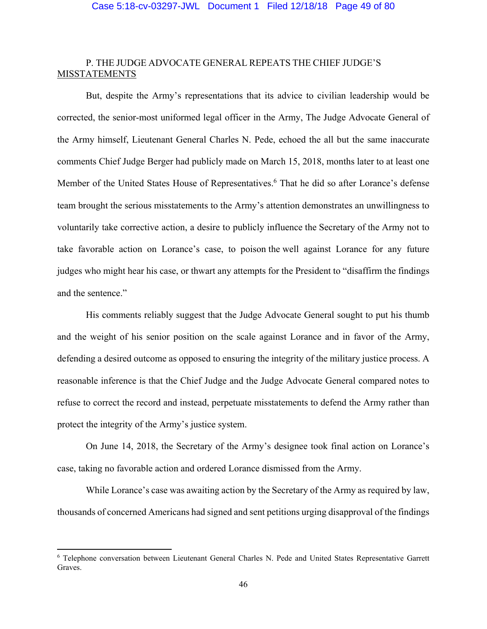# P. THE JUDGE ADVOCATE GENERAL REPEATS THE CHIEF JUDGE'S MISSTATEMENTS

 But, despite the Army's representations that its advice to civilian leadership would be corrected, the senior-most uniformed legal officer in the Army, The Judge Advocate General of the Army himself, Lieutenant General Charles N. Pede, echoed the all but the same inaccurate comments Chief Judge Berger had publicly made on March 15, 2018, months later to at least one Member of the United States House of Representatives.<sup>6</sup> That he did so after Lorance's defense team brought the serious misstatements to the Army's attention demonstrates an unwillingness to voluntarily take corrective action, a desire to publicly influence the Secretary of the Army not to take favorable action on Lorance's case, to poison the well against Lorance for any future judges who might hear his case, or thwart any attempts for the President to "disaffirm the findings and the sentence."

 His comments reliably suggest that the Judge Advocate General sought to put his thumb and the weight of his senior position on the scale against Lorance and in favor of the Army, defending a desired outcome as opposed to ensuring the integrity of the military justice process. A reasonable inference is that the Chief Judge and the Judge Advocate General compared notes to refuse to correct the record and instead, perpetuate misstatements to defend the Army rather than protect the integrity of the Army's justice system.

 On June 14, 2018, the Secretary of the Army's designee took final action on Lorance's case, taking no favorable action and ordered Lorance dismissed from the Army.

 While Lorance's case was awaiting action by the Secretary of the Army as required by law, thousands of concerned Americans had signed and sent petitions urging disapproval of the findings

<sup>6</sup> Telephone conversation between Lieutenant General Charles N. Pede and United States Representative Garrett Graves.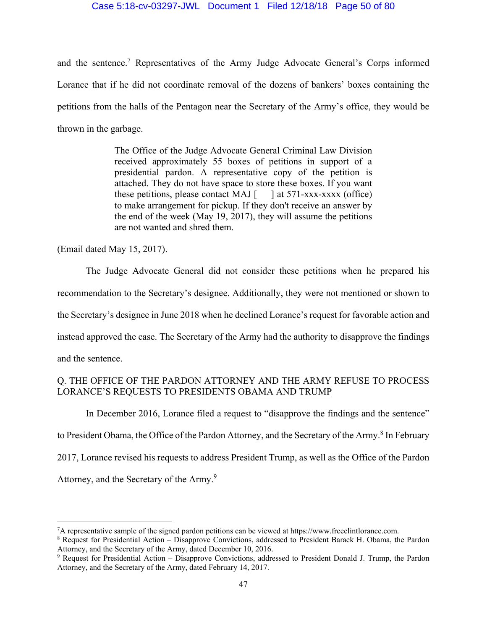## Case 5:18-cv-03297-JWL Document 1 Filed 12/18/18 Page 50 of 80

and the sentence.<sup>7</sup> Representatives of the Army Judge Advocate General's Corps informed Lorance that if he did not coordinate removal of the dozens of bankers' boxes containing the petitions from the halls of the Pentagon near the Secretary of the Army's office, they would be thrown in the garbage.

> The Office of the Judge Advocate General Criminal Law Division received approximately 55 boxes of petitions in support of a presidential pardon. A representative copy of the petition is attached. They do not have space to store these boxes. If you want these petitions, please contact MAJ  $\lceil \cdot \cdot \rceil$  at 571-xxx-xxxx (office) to make arrangement for pickup. If they don't receive an answer by the end of the week (May 19, 2017), they will assume the petitions are not wanted and shred them.

(Email dated May 15, 2017).

 The Judge Advocate General did not consider these petitions when he prepared his recommendation to the Secretary's designee. Additionally, they were not mentioned or shown to the Secretary's designee in June 2018 when he declined Lorance's request for favorable action and instead approved the case. The Secretary of the Army had the authority to disapprove the findings and the sentence.

# Q. THE OFFICE OF THE PARDON ATTORNEY AND THE ARMY REFUSE TO PROCESS LORANCE'S REQUESTS TO PRESIDENTS OBAMA AND TRUMP

 In December 2016, Lorance filed a request to "disapprove the findings and the sentence" to President Obama, the Office of the Pardon Attorney, and the Secretary of the Army.<sup>8</sup> In February 2017, Lorance revised his requests to address President Trump, as well as the Office of the Pardon Attorney, and the Secretary of the Army.<sup>9</sup>

<sup>7</sup> A representative sample of the signed pardon petitions can be viewed at https://www.freeclintlorance.com.

<sup>&</sup>lt;sup>8</sup> Request for Presidential Action – Disapprove Convictions, addressed to President Barack H. Obama, the Pardon Attorney, and the Secretary of the Army, dated December 10, 2016.

<sup>9</sup> Request for Presidential Action – Disapprove Convictions, addressed to President Donald J. Trump, the Pardon Attorney, and the Secretary of the Army, dated February 14, 2017.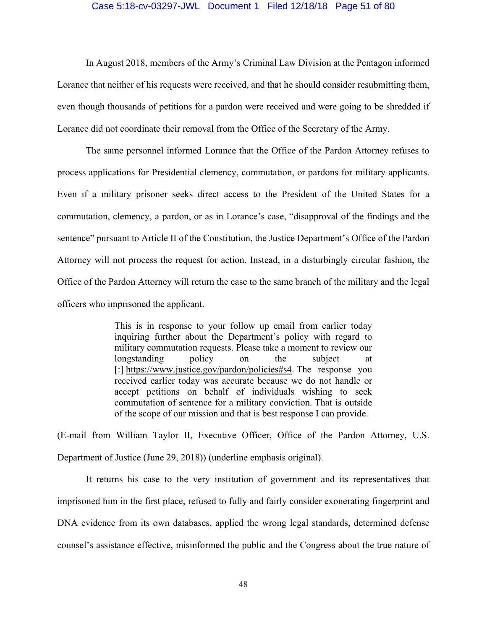#### Case 5:18-cv-03297-JWL Document 1 Filed 12/18/18 Page 51 of 80

 In August 2018, members of the Army's Criminal Law Division at the Pentagon informed Lorance that neither of his requests were received, and that he should consider resubmitting them, even though thousands of petitions for a pardon were received and were going to be shredded if Lorance did not coordinate their removal from the Office of the Secretary of the Army.

 The same personnel informed Lorance that the Office of the Pardon Attorney refuses to process applications for Presidential clemency, commutation, or pardons for military applicants. Even if a military prisoner seeks direct access to the President of the United States for a commutation, clemency, a pardon, or as in Lorance's case, "disapproval of the findings and the sentence" pursuant to Article II of the Constitution, the Justice Department's Office of the Pardon Attorney will not process the request for action. Instead, in a disturbingly circular fashion, the Office of the Pardon Attorney will return the case to the same branch of the military and the legal officers who imprisoned the applicant.

> This is in response to your follow up email from earlier today inquiring further about the Department's policy with regard to military commutation requests. Please take a moment to review our longstanding policy on the subject at [:] https://www.justice.gov/pardon/policies#s4. The response you received earlier today was accurate because we do not handle or accept petitions on behalf of individuals wishing to seek commutation of sentence for a military conviction. That is outside of the scope of our mission and that is best response I can provide.

(E-mail from William Taylor II, Executive Officer, Office of the Pardon Attorney, U.S. Department of Justice (June 29, 2018)) (underline emphasis original).

 It returns his case to the very institution of government and its representatives that imprisoned him in the first place, refused to fully and fairly consider exonerating fingerprint and DNA evidence from its own databases, applied the wrong legal standards, determined defense counsel's assistance effective, misinformed the public and the Congress about the true nature of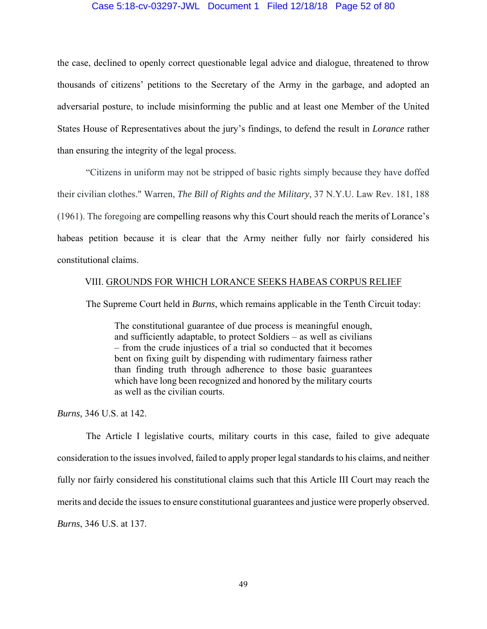## Case 5:18-cv-03297-JWL Document 1 Filed 12/18/18 Page 52 of 80

the case, declined to openly correct questionable legal advice and dialogue, threatened to throw thousands of citizens' petitions to the Secretary of the Army in the garbage, and adopted an adversarial posture, to include misinforming the public and at least one Member of the United States House of Representatives about the jury's findings, to defend the result in *Lorance* rather than ensuring the integrity of the legal process.

 "Citizens in uniform may not be stripped of basic rights simply because they have doffed their civilian clothes." Warren, *The Bill of Rights and the Military*, 37 N.Y.U. Law Rev. 181, 188 (1961). The foregoing are compelling reasons why this Court should reach the merits of Lorance's habeas petition because it is clear that the Army neither fully nor fairly considered his constitutional claims.

## VIII. GROUNDS FOR WHICH LORANCE SEEKS HABEAS CORPUS RELIEF

The Supreme Court held in *Burns*, which remains applicable in the Tenth Circuit today:

The constitutional guarantee of due process is meaningful enough, and sufficiently adaptable, to protect Soldiers – as well as civilians – from the crude injustices of a trial so conducted that it becomes bent on fixing guilt by dispending with rudimentary fairness rather than finding truth through adherence to those basic guarantees which have long been recognized and honored by the military courts as well as the civilian courts.

*Burns,* 346 U.S. at 142.

The Article I legislative courts, military courts in this case, failed to give adequate consideration to the issues involved, failed to apply proper legal standards to his claims, and neither fully nor fairly considered his constitutional claims such that this Article III Court may reach the merits and decide the issues to ensure constitutional guarantees and justice were properly observed. *Burns*, 346 U.S. at 137.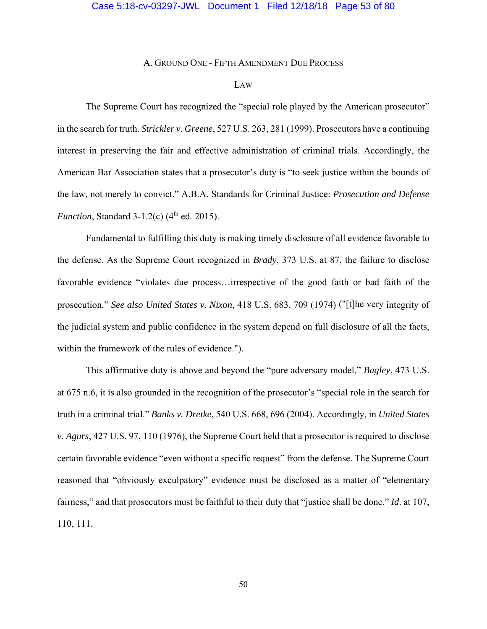A. GROUND ONE - FIFTH AMENDMENT DUE PROCESS

## LAW

 The Supreme Court has recognized the "special role played by the American prosecutor" in the search for truth. *Strickler v. Greene*, 527 U.S. 263, 281 (1999). Prosecutors have a continuing interest in preserving the fair and effective administration of criminal trials. Accordingly, the American Bar Association states that a prosecutor's duty is "to seek justice within the bounds of the law, not merely to convict." A.B.A. Standards for Criminal Justice: *Prosecution and Defense Function*, Standard  $3-1.2(c)$  (4<sup>th</sup> ed. 2015).

 Fundamental to fulfilling this duty is making timely disclosure of all evidence favorable to the defense. As the Supreme Court recognized in *Brady*, 373 U.S. at 87, the failure to disclose favorable evidence "violates due process…irrespective of the good faith or bad faith of the prosecution." *See also United States v. Nixon,* 418 U.S. 683, 709 (1974) ("[t]he very integrity of the judicial system and public confidence in the system depend on full disclosure of all the facts, within the framework of the rules of evidence.").

 This affirmative duty is above and beyond the "pure adversary model," *Bagley*, 473 U.S. at 675 n.6, it is also grounded in the recognition of the prosecutor's "special role in the search for truth in a criminal trial." *Banks v. Dretke*, 540 U.S. 668, 696 (2004). Accordingly, in *United States v. Agurs*, 427 U.S. 97, 110 (1976), the Supreme Court held that a prosecutor is required to disclose certain favorable evidence "even without a specific request" from the defense. The Supreme Court reasoned that "obviously exculpatory" evidence must be disclosed as a matter of "elementary fairness," and that prosecutors must be faithful to their duty that "justice shall be done." *Id*. at 107, 110, 111.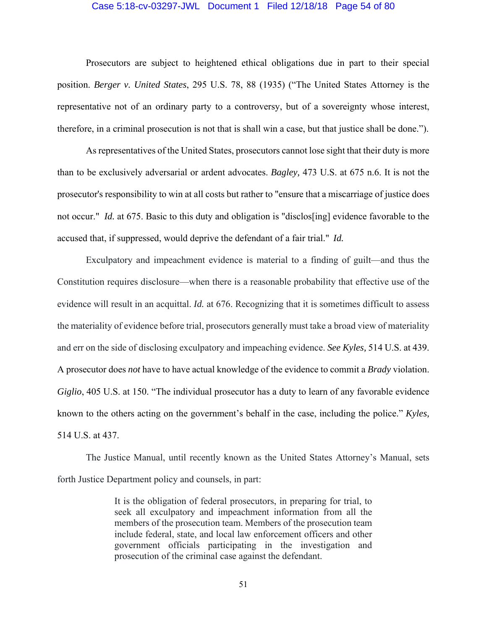#### Case 5:18-cv-03297-JWL Document 1 Filed 12/18/18 Page 54 of 80

 Prosecutors are subject to heightened ethical obligations due in part to their special position. *Berger v. United States*, 295 U.S. 78, 88 (1935) ("The United States Attorney is the representative not of an ordinary party to a controversy, but of a sovereignty whose interest, therefore, in a criminal prosecution is not that is shall win a case, but that justice shall be done.").

 As representatives of the United States, prosecutors cannot lose sight that their duty is more than to be exclusively adversarial or ardent advocates. *Bagley,* 473 U.S. at 675 n.6. It is not the prosecutor's responsibility to win at all costs but rather to "ensure that a miscarriage of justice does not occur." *Id.* at 675. Basic to this duty and obligation is "disclos[ing] evidence favorable to the accused that, if suppressed, would deprive the defendant of a fair trial." *Id.* 

 Exculpatory and impeachment evidence is material to a finding of guilt—and thus the Constitution requires disclosure—when there is a reasonable probability that effective use of the evidence will result in an acquittal. *Id.* at 676. Recognizing that it is sometimes difficult to assess the materiality of evidence before trial, prosecutors generally must take a broad view of materiality and err on the side of disclosing exculpatory and impeaching evidence. *See Kyles,* 514 U.S. at 439. A prosecutor does *not* have to have actual knowledge of the evidence to commit a *Brady* violation. *Giglio*, 405 U.S. at 150. "The individual prosecutor has a duty to learn of any favorable evidence known to the others acting on the government's behalf in the case, including the police." *Kyles,*  514 U.S. at 437.

The Justice Manual, until recently known as the United States Attorney's Manual, sets forth Justice Department policy and counsels, in part:

> It is the obligation of federal prosecutors, in preparing for trial, to seek all exculpatory and impeachment information from all the members of the prosecution team. Members of the prosecution team include federal, state, and local law enforcement officers and other government officials participating in the investigation and prosecution of the criminal case against the defendant.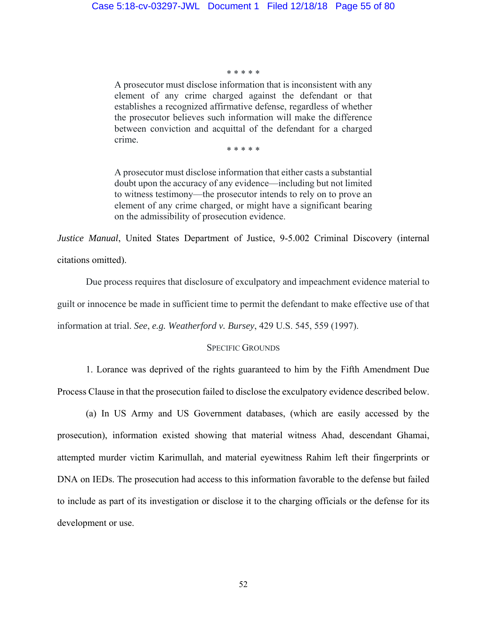\* \* \* \* \*

A prosecutor must disclose information that is inconsistent with any element of any crime charged against the defendant or that establishes a recognized affirmative defense, regardless of whether the prosecutor believes such information will make the difference between conviction and acquittal of the defendant for a charged crime.

\* \* \* \* \*

A prosecutor must disclose information that either casts a substantial doubt upon the accuracy of any evidence—including but not limited to witness testimony—the prosecutor intends to rely on to prove an element of any crime charged, or might have a significant bearing on the admissibility of prosecution evidence.

*Justice Manual*, United States Department of Justice, 9-5.002 Criminal Discovery (internal citations omitted).

 Due process requires that disclosure of exculpatory and impeachment evidence material to guilt or innocence be made in sufficient time to permit the defendant to make effective use of that information at trial. *See*, *e.g. Weatherford v. Bursey*, 429 U.S. 545, 559 (1997).

# SPECIFIC GROUNDS

 1. Lorance was deprived of the rights guaranteed to him by the Fifth Amendment Due Process Clause in that the prosecution failed to disclose the exculpatory evidence described below.

 (a) In US Army and US Government databases, (which are easily accessed by the prosecution), information existed showing that material witness Ahad, descendant Ghamai, attempted murder victim Karimullah, and material eyewitness Rahim left their fingerprints or DNA on IEDs. The prosecution had access to this information favorable to the defense but failed to include as part of its investigation or disclose it to the charging officials or the defense for its development or use.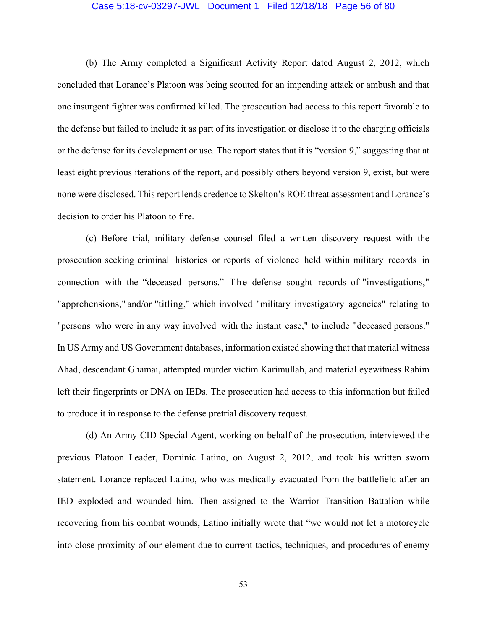#### Case 5:18-cv-03297-JWL Document 1 Filed 12/18/18 Page 56 of 80

 (b) The Army completed a Significant Activity Report dated August 2, 2012, which concluded that Lorance's Platoon was being scouted for an impending attack or ambush and that one insurgent fighter was confirmed killed. The prosecution had access to this report favorable to the defense but failed to include it as part of its investigation or disclose it to the charging officials or the defense for its development or use. The report states that it is "version 9," suggesting that at least eight previous iterations of the report, and possibly others beyond version 9, exist, but were none were disclosed. This report lends credence to Skelton's ROE threat assessment and Lorance's decision to order his Platoon to fire.

 (c) Before trial, military defense counsel filed a written discovery request with the prosecution seeking criminal histories or reports of violence held within military records in connection with the "deceased persons." The defense sought records of "investigations," "apprehensions," and/or "titling," which involved "military investigatory agencies" relating to "persons who were in any way involved with the instant case," to include "deceased persons." In US Army and US Government databases, information existed showing that that material witness Ahad, descendant Ghamai, attempted murder victim Karimullah, and material eyewitness Rahim left their fingerprints or DNA on IEDs. The prosecution had access to this information but failed to produce it in response to the defense pretrial discovery request.

 (d) An Army CID Special Agent, working on behalf of the prosecution, interviewed the previous Platoon Leader, Dominic Latino, on August 2, 2012, and took his written sworn statement. Lorance replaced Latino, who was medically evacuated from the battlefield after an IED exploded and wounded him. Then assigned to the Warrior Transition Battalion while recovering from his combat wounds, Latino initially wrote that "we would not let a motorcycle into close proximity of our element due to current tactics, techniques, and procedures of enemy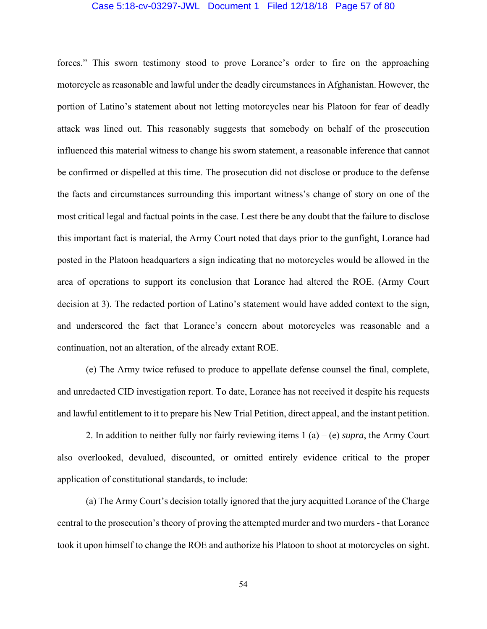#### Case 5:18-cv-03297-JWL Document 1 Filed 12/18/18 Page 57 of 80

forces." This sworn testimony stood to prove Lorance's order to fire on the approaching motorcycle as reasonable and lawful under the deadly circumstances in Afghanistan. However, the portion of Latino's statement about not letting motorcycles near his Platoon for fear of deadly attack was lined out. This reasonably suggests that somebody on behalf of the prosecution influenced this material witness to change his sworn statement, a reasonable inference that cannot be confirmed or dispelled at this time. The prosecution did not disclose or produce to the defense the facts and circumstances surrounding this important witness's change of story on one of the most critical legal and factual points in the case. Lest there be any doubt that the failure to disclose this important fact is material, the Army Court noted that days prior to the gunfight, Lorance had posted in the Platoon headquarters a sign indicating that no motorcycles would be allowed in the area of operations to support its conclusion that Lorance had altered the ROE. (Army Court decision at 3). The redacted portion of Latino's statement would have added context to the sign, and underscored the fact that Lorance's concern about motorcycles was reasonable and a continuation, not an alteration, of the already extant ROE.

 (e) The Army twice refused to produce to appellate defense counsel the final, complete, and unredacted CID investigation report. To date, Lorance has not received it despite his requests and lawful entitlement to it to prepare his New Trial Petition, direct appeal, and the instant petition.

2. In addition to neither fully nor fairly reviewing items  $1(a) - (e)$  *supra*, the Army Court also overlooked, devalued, discounted, or omitted entirely evidence critical to the proper application of constitutional standards, to include:

 (a) The Army Court's decision totally ignored that the jury acquitted Lorance of the Charge central to the prosecution's theory of proving the attempted murder and two murders - that Lorance took it upon himself to change the ROE and authorize his Platoon to shoot at motorcycles on sight.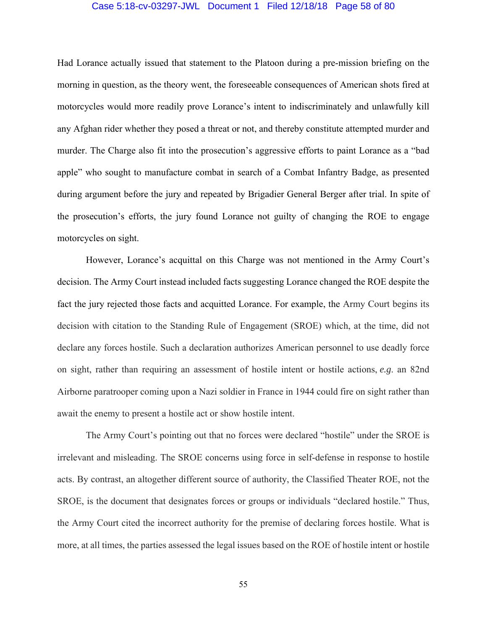#### Case 5:18-cv-03297-JWL Document 1 Filed 12/18/18 Page 58 of 80

Had Lorance actually issued that statement to the Platoon during a pre-mission briefing on the morning in question, as the theory went, the foreseeable consequences of American shots fired at motorcycles would more readily prove Lorance's intent to indiscriminately and unlawfully kill any Afghan rider whether they posed a threat or not, and thereby constitute attempted murder and murder. The Charge also fit into the prosecution's aggressive efforts to paint Lorance as a "bad apple" who sought to manufacture combat in search of a Combat Infantry Badge, as presented during argument before the jury and repeated by Brigadier General Berger after trial. In spite of the prosecution's efforts, the jury found Lorance not guilty of changing the ROE to engage motorcycles on sight.

 However, Lorance's acquittal on this Charge was not mentioned in the Army Court's decision. The Army Court instead included facts suggesting Lorance changed the ROE despite the fact the jury rejected those facts and acquitted Lorance. For example, the Army Court begins its decision with citation to the Standing Rule of Engagement (SROE) which, at the time, did not declare any forces hostile. Such a declaration authorizes American personnel to use deadly force on sight, rather than requiring an assessment of hostile intent or hostile actions, *e.g*. an 82nd Airborne paratrooper coming upon a Nazi soldier in France in 1944 could fire on sight rather than await the enemy to present a hostile act or show hostile intent.

 The Army Court's pointing out that no forces were declared "hostile" under the SROE is irrelevant and misleading. The SROE concerns using force in self-defense in response to hostile acts. By contrast, an altogether different source of authority, the Classified Theater ROE, not the SROE, is the document that designates forces or groups or individuals "declared hostile." Thus, the Army Court cited the incorrect authority for the premise of declaring forces hostile. What is more, at all times, the parties assessed the legal issues based on the ROE of hostile intent or hostile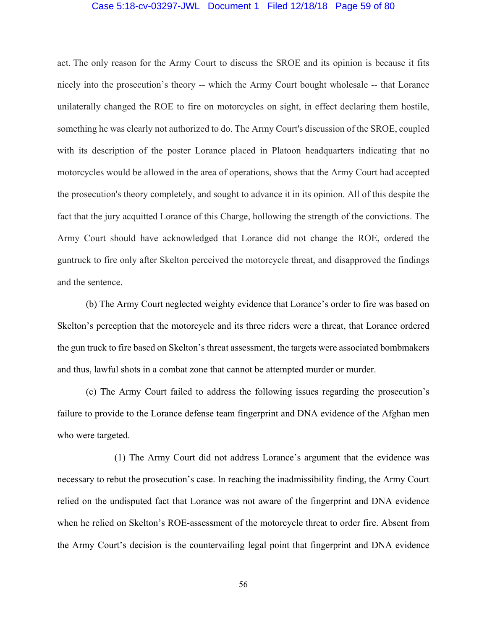#### Case 5:18-cv-03297-JWL Document 1 Filed 12/18/18 Page 59 of 80

act. The only reason for the Army Court to discuss the SROE and its opinion is because it fits nicely into the prosecution's theory -- which the Army Court bought wholesale -- that Lorance unilaterally changed the ROE to fire on motorcycles on sight, in effect declaring them hostile, something he was clearly not authorized to do. The Army Court's discussion of the SROE, coupled with its description of the poster Lorance placed in Platoon headquarters indicating that no motorcycles would be allowed in the area of operations, shows that the Army Court had accepted the prosecution's theory completely, and sought to advance it in its opinion. All of this despite the fact that the jury acquitted Lorance of this Charge, hollowing the strength of the convictions. The Army Court should have acknowledged that Lorance did not change the ROE, ordered the guntruck to fire only after Skelton perceived the motorcycle threat, and disapproved the findings and the sentence.

 (b) The Army Court neglected weighty evidence that Lorance's order to fire was based on Skelton's perception that the motorcycle and its three riders were a threat, that Lorance ordered the gun truck to fire based on Skelton's threat assessment, the targets were associated bombmakers and thus, lawful shots in a combat zone that cannot be attempted murder or murder.

 (c) The Army Court failed to address the following issues regarding the prosecution's failure to provide to the Lorance defense team fingerprint and DNA evidence of the Afghan men who were targeted.

 (1) The Army Court did not address Lorance's argument that the evidence was necessary to rebut the prosecution's case. In reaching the inadmissibility finding, the Army Court relied on the undisputed fact that Lorance was not aware of the fingerprint and DNA evidence when he relied on Skelton's ROE-assessment of the motorcycle threat to order fire. Absent from the Army Court's decision is the countervailing legal point that fingerprint and DNA evidence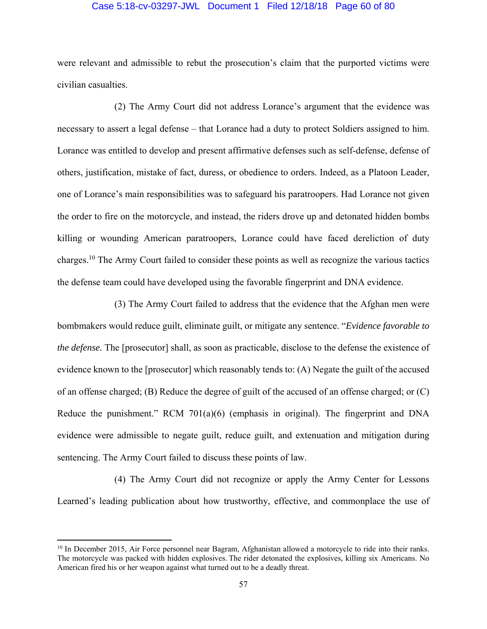#### Case 5:18-cv-03297-JWL Document 1 Filed 12/18/18 Page 60 of 80

were relevant and admissible to rebut the prosecution's claim that the purported victims were civilian casualties.

 (2) The Army Court did not address Lorance's argument that the evidence was necessary to assert a legal defense – that Lorance had a duty to protect Soldiers assigned to him. Lorance was entitled to develop and present affirmative defenses such as self-defense, defense of others, justification, mistake of fact, duress, or obedience to orders. Indeed, as a Platoon Leader, one of Lorance's main responsibilities was to safeguard his paratroopers. Had Lorance not given the order to fire on the motorcycle, and instead, the riders drove up and detonated hidden bombs killing or wounding American paratroopers, Lorance could have faced dereliction of duty charges.10 The Army Court failed to consider these points as well as recognize the various tactics the defense team could have developed using the favorable fingerprint and DNA evidence.

 (3) The Army Court failed to address that the evidence that the Afghan men were bombmakers would reduce guilt, eliminate guilt, or mitigate any sentence. "*Evidence favorable to the defense.* The [prosecutor] shall, as soon as practicable, disclose to the defense the existence of evidence known to the [prosecutor] which reasonably tends to: (A) Negate the guilt of the accused of an offense charged; (B) Reduce the degree of guilt of the accused of an offense charged; or (C) Reduce the punishment." RCM 701(a)(6) (emphasis in original). The fingerprint and DNA evidence were admissible to negate guilt, reduce guilt, and extenuation and mitigation during sentencing. The Army Court failed to discuss these points of law.

 (4) The Army Court did not recognize or apply the Army Center for Lessons Learned's leading publication about how trustworthy, effective, and commonplace the use of

<sup>&</sup>lt;sup>10</sup> In December 2015, Air Force personnel near Bagram, Afghanistan allowed a motorcycle to ride into their ranks. The motorcycle was packed with hidden explosives. The rider detonated the explosives, killing six Americans. No American fired his or her weapon against what turned out to be a deadly threat.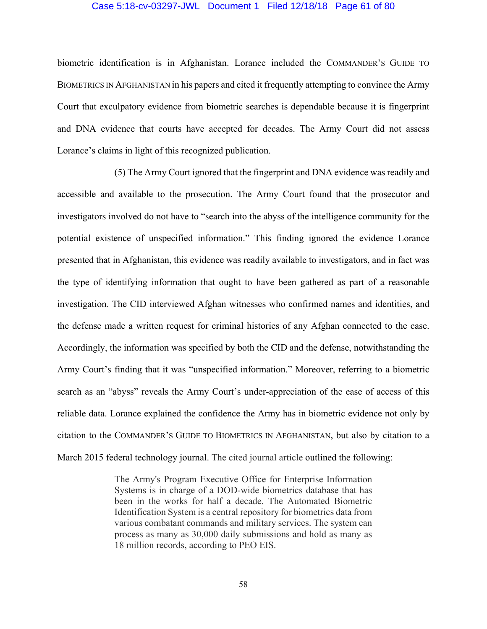#### Case 5:18-cv-03297-JWL Document 1 Filed 12/18/18 Page 61 of 80

biometric identification is in Afghanistan. Lorance included the COMMANDER'S GUIDE TO BIOMETRICS IN AFGHANISTAN in his papers and cited it frequently attempting to convince the Army Court that exculpatory evidence from biometric searches is dependable because it is fingerprint and DNA evidence that courts have accepted for decades. The Army Court did not assess Lorance's claims in light of this recognized publication.

 (5) The Army Court ignored that the fingerprint and DNA evidence was readily and accessible and available to the prosecution. The Army Court found that the prosecutor and investigators involved do not have to "search into the abyss of the intelligence community for the potential existence of unspecified information." This finding ignored the evidence Lorance presented that in Afghanistan, this evidence was readily available to investigators, and in fact was the type of identifying information that ought to have been gathered as part of a reasonable investigation. The CID interviewed Afghan witnesses who confirmed names and identities, and the defense made a written request for criminal histories of any Afghan connected to the case. Accordingly, the information was specified by both the CID and the defense, notwithstanding the Army Court's finding that it was "unspecified information." Moreover, referring to a biometric search as an "abyss" reveals the Army Court's under-appreciation of the ease of access of this reliable data. Lorance explained the confidence the Army has in biometric evidence not only by citation to the COMMANDER'S GUIDE TO BIOMETRICS IN AFGHANISTAN, but also by citation to a March 2015 federal technology journal. The cited journal article outlined the following:

> The Army's Program Executive Office for Enterprise Information Systems is in charge of a DOD-wide biometrics database that has been in the works for half a decade. The Automated Biometric Identification System is a central repository for biometrics data from various combatant commands and military services. The system can process as many as 30,000 daily submissions and hold as many as 18 million records, according to PEO EIS.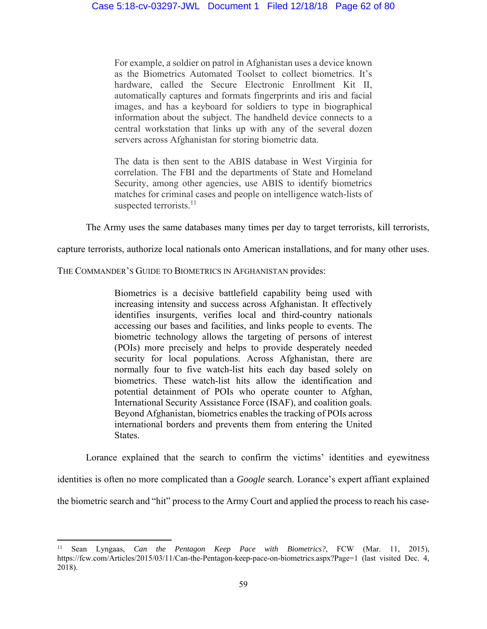For example, a soldier on patrol in Afghanistan uses a device known as the Biometrics Automated Toolset to collect biometrics. It's hardware, called the Secure Electronic Enrollment Kit II, automatically captures and formats fingerprints and iris and facial images, and has a keyboard for soldiers to type in biographical information about the subject. The handheld device connects to a central workstation that links up with any of the several dozen servers across Afghanistan for storing biometric data.

The data is then sent to the ABIS database in West Virginia for correlation. The FBI and the departments of State and Homeland Security, among other agencies, use ABIS to identify biometrics matches for criminal cases and people on intelligence watch-lists of suspected terrorists. $11$ 

The Army uses the same databases many times per day to target terrorists, kill terrorists,

capture terrorists, authorize local nationals onto American installations, and for many other uses.

THE COMMANDER'S GUIDE TO BIOMETRICS IN AFGHANISTAN provides:

Biometrics is a decisive battlefield capability being used with increasing intensity and success across Afghanistan. It effectively identifies insurgents, verifies local and third-country nationals accessing our bases and facilities, and links people to events. The biometric technology allows the targeting of persons of interest (POIs) more precisely and helps to provide desperately needed security for local populations. Across Afghanistan, there are normally four to five watch-list hits each day based solely on biometrics. These watch-list hits allow the identification and potential detainment of POIs who operate counter to Afghan, International Security Assistance Force (ISAF), and coalition goals. Beyond Afghanistan, biometrics enables the tracking of POIs across international borders and prevents them from entering the United States.

Lorance explained that the search to confirm the victims' identities and eyewitness

identities is often no more complicated than a *Google* search. Lorance's expert affiant explained

the biometric search and "hit" process to the Army Court and applied the process to reach his case-

<sup>11</sup> Sean Lyngaas, *Can the Pentagon Keep Pace with Biometrics?*, FCW (Mar. 11, 2015), https://fcw.com/Articles/2015/03/11/Can-the-Pentagon-keep-pace-on-biometrics.aspx?Page=1 (last visited Dec. 4, 2018).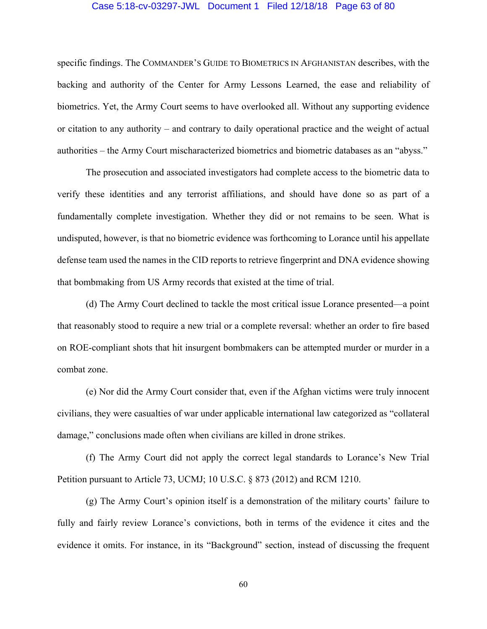#### Case 5:18-cv-03297-JWL Document 1 Filed 12/18/18 Page 63 of 80

specific findings. The COMMANDER'S GUIDE TO BIOMETRICS IN AFGHANISTAN describes, with the backing and authority of the Center for Army Lessons Learned, the ease and reliability of biometrics. Yet, the Army Court seems to have overlooked all. Without any supporting evidence or citation to any authority – and contrary to daily operational practice and the weight of actual authorities – the Army Court mischaracterized biometrics and biometric databases as an "abyss."

 The prosecution and associated investigators had complete access to the biometric data to verify these identities and any terrorist affiliations, and should have done so as part of a fundamentally complete investigation. Whether they did or not remains to be seen. What is undisputed, however, is that no biometric evidence was forthcoming to Lorance until his appellate defense team used the names in the CID reports to retrieve fingerprint and DNA evidence showing that bombmaking from US Army records that existed at the time of trial.

 (d) The Army Court declined to tackle the most critical issue Lorance presented—a point that reasonably stood to require a new trial or a complete reversal: whether an order to fire based on ROE-compliant shots that hit insurgent bombmakers can be attempted murder or murder in a combat zone.

 (e) Nor did the Army Court consider that, even if the Afghan victims were truly innocent civilians, they were casualties of war under applicable international law categorized as "collateral damage," conclusions made often when civilians are killed in drone strikes.

 (f) The Army Court did not apply the correct legal standards to Lorance's New Trial Petition pursuant to Article 73, UCMJ; 10 U.S.C. § 873 (2012) and RCM 1210.

 (g) The Army Court's opinion itself is a demonstration of the military courts' failure to fully and fairly review Lorance's convictions, both in terms of the evidence it cites and the evidence it omits. For instance, in its "Background" section, instead of discussing the frequent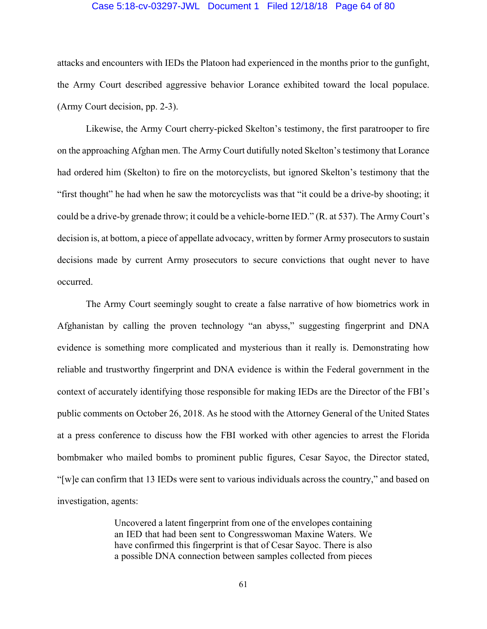#### Case 5:18-cv-03297-JWL Document 1 Filed 12/18/18 Page 64 of 80

attacks and encounters with IEDs the Platoon had experienced in the months prior to the gunfight, the Army Court described aggressive behavior Lorance exhibited toward the local populace. (Army Court decision, pp. 2-3).

 Likewise, the Army Court cherry-picked Skelton's testimony, the first paratrooper to fire on the approaching Afghan men. The Army Court dutifully noted Skelton's testimony that Lorance had ordered him (Skelton) to fire on the motorcyclists, but ignored Skelton's testimony that the "first thought" he had when he saw the motorcyclists was that "it could be a drive-by shooting; it could be a drive-by grenade throw; it could be a vehicle-borne IED." (R. at 537). The Army Court's decision is, at bottom, a piece of appellate advocacy, written by former Army prosecutors to sustain decisions made by current Army prosecutors to secure convictions that ought never to have occurred.

 The Army Court seemingly sought to create a false narrative of how biometrics work in Afghanistan by calling the proven technology "an abyss," suggesting fingerprint and DNA evidence is something more complicated and mysterious than it really is. Demonstrating how reliable and trustworthy fingerprint and DNA evidence is within the Federal government in the context of accurately identifying those responsible for making IEDs are the Director of the FBI's public comments on October 26, 2018. As he stood with the Attorney General of the United States at a press conference to discuss how the FBI worked with other agencies to arrest the Florida bombmaker who mailed bombs to prominent public figures, Cesar Sayoc, the Director stated, "[w]e can confirm that 13 IEDs were sent to various individuals across the country," and based on investigation, agents:

> Uncovered a latent fingerprint from one of the envelopes containing an IED that had been sent to Congresswoman Maxine Waters. We have confirmed this fingerprint is that of Cesar Sayoc. There is also a possible DNA connection between samples collected from pieces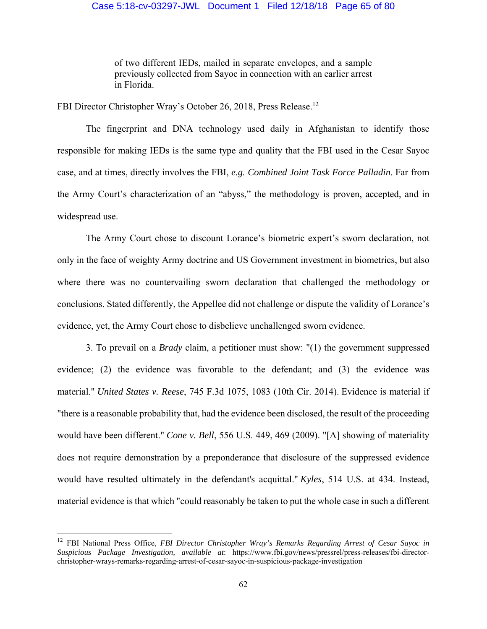of two different IEDs, mailed in separate envelopes, and a sample previously collected from Sayoc in connection with an earlier arrest in Florida.

FBI Director Christopher Wray's October 26, 2018, Press Release.<sup>12</sup>

 The fingerprint and DNA technology used daily in Afghanistan to identify those responsible for making IEDs is the same type and quality that the FBI used in the Cesar Sayoc case, and at times, directly involves the FBI, *e.g. Combined Joint Task Force Palladin*. Far from the Army Court's characterization of an "abyss," the methodology is proven, accepted, and in widespread use.

 The Army Court chose to discount Lorance's biometric expert's sworn declaration, not only in the face of weighty Army doctrine and US Government investment in biometrics, but also where there was no countervailing sworn declaration that challenged the methodology or conclusions. Stated differently, the Appellee did not challenge or dispute the validity of Lorance's evidence, yet, the Army Court chose to disbelieve unchallenged sworn evidence.

 3. To prevail on a *Brady* claim, a petitioner must show: "(1) the government suppressed evidence; (2) the evidence was favorable to the defendant; and (3) the evidence was material." *United States v. Reese*, 745 F.3d 1075, 1083 (10th Cir. 2014). Evidence is material if "there is a reasonable probability that, had the evidence been disclosed, the result of the proceeding would have been different." *Cone v. Bell*, 556 U.S. 449, 469 (2009). "[A] showing of materiality does not require demonstration by a preponderance that disclosure of the suppressed evidence would have resulted ultimately in the defendant's acquittal." *Kyles*, 514 U.S. at 434. Instead, material evidence is that which "could reasonably be taken to put the whole case in such a different

<sup>&</sup>lt;sup>12</sup> FBI National Press Office, *FBI Director Christopher Wray's Remarks Regarding Arrest of Cesar Sayoc in Suspicious Package Investigation, available at*: https://www.fbi.gov/news/pressrel/press-releases/fbi-directorchristopher-wrays-remarks-regarding-arrest-of-cesar-sayoc-in-suspicious-package-investigation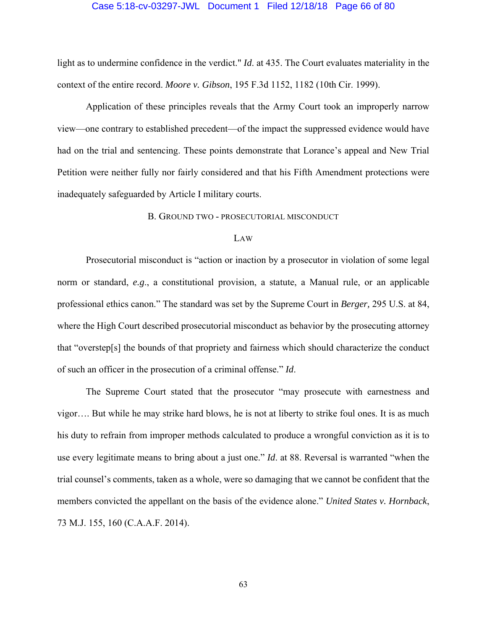#### Case 5:18-cv-03297-JWL Document 1 Filed 12/18/18 Page 66 of 80

light as to undermine confidence in the verdict." *Id*. at 435. The Court evaluates materiality in the context of the entire record. *Moore v. Gibson*, 195 F.3d 1152, 1182 (10th Cir. 1999).

 Application of these principles reveals that the Army Court took an improperly narrow view—one contrary to established precedent—of the impact the suppressed evidence would have had on the trial and sentencing. These points demonstrate that Lorance's appeal and New Trial Petition were neither fully nor fairly considered and that his Fifth Amendment protections were inadequately safeguarded by Article I military courts.

### B. GROUND TWO - PROSECUTORIAL MISCONDUCT

## LAW

 Prosecutorial misconduct is "action or inaction by a prosecutor in violation of some legal norm or standard, *e.g*., a constitutional provision, a statute, a Manual rule, or an applicable professional ethics canon." The standard was set by the Supreme Court in *Berger,* 295 U.S. at 84, where the High Court described prosecutorial misconduct as behavior by the prosecuting attorney that "overstep[s] the bounds of that propriety and fairness which should characterize the conduct of such an officer in the prosecution of a criminal offense." *Id*.

 The Supreme Court stated that the prosecutor "may prosecute with earnestness and vigor…. But while he may strike hard blows, he is not at liberty to strike foul ones. It is as much his duty to refrain from improper methods calculated to produce a wrongful conviction as it is to use every legitimate means to bring about a just one." *Id*. at 88. Reversal is warranted "when the trial counsel's comments, taken as a whole, were so damaging that we cannot be confident that the members convicted the appellant on the basis of the evidence alone." *United States v. Hornback*, 73 M.J. 155, 160 (C.A.A.F. 2014).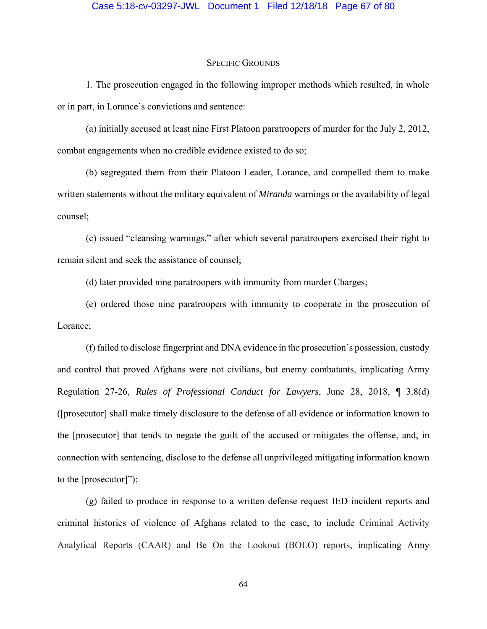## SPECIFIC GROUNDS

 1. The prosecution engaged in the following improper methods which resulted, in whole or in part, in Lorance's convictions and sentence:

 (a) initially accused at least nine First Platoon paratroopers of murder for the July 2, 2012, combat engagements when no credible evidence existed to do so;

 (b) segregated them from their Platoon Leader, Lorance, and compelled them to make written statements without the military equivalent of *Miranda* warnings or the availability of legal counsel;

 (c) issued "cleansing warnings," after which several paratroopers exercised their right to remain silent and seek the assistance of counsel;

(d) later provided nine paratroopers with immunity from murder Charges;

 (e) ordered those nine paratroopers with immunity to cooperate in the prosecution of Lorance;

 (f) failed to disclose fingerprint and DNA evidence in the prosecution's possession, custody and control that proved Afghans were not civilians, but enemy combatants, implicating Army Regulation 27-26, *Rules of Professional Conduct for Lawyers*, June 28, 2018, ¶ 3.8(d) ([prosecutor] shall make timely disclosure to the defense of all evidence or information known to the [prosecutor] that tends to negate the guilt of the accused or mitigates the offense, and, in connection with sentencing, disclose to the defense all unprivileged mitigating information known to the [prosecutor]");

 (g) failed to produce in response to a written defense request IED incident reports and criminal histories of violence of Afghans related to the case, to include Criminal Activity Analytical Reports (CAAR) and Be On the Lookout (BOLO) reports, implicating Army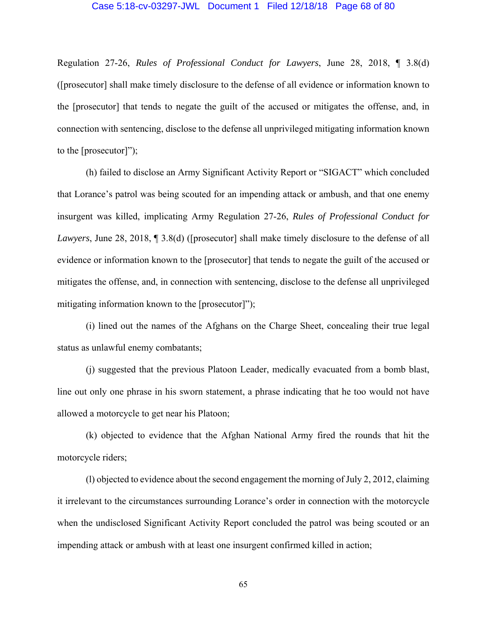#### Case 5:18-cv-03297-JWL Document 1 Filed 12/18/18 Page 68 of 80

Regulation 27-26, *Rules of Professional Conduct for Lawyers*, June 28, 2018, ¶ 3.8(d) ([prosecutor] shall make timely disclosure to the defense of all evidence or information known to the [prosecutor] that tends to negate the guilt of the accused or mitigates the offense, and, in connection with sentencing, disclose to the defense all unprivileged mitigating information known to the [prosecutor]");

 (h) failed to disclose an Army Significant Activity Report or "SIGACT" which concluded that Lorance's patrol was being scouted for an impending attack or ambush, and that one enemy insurgent was killed, implicating Army Regulation 27-26, *Rules of Professional Conduct for Lawyers*, June 28, 2018,  $\P$  3.8(d) ([prosecutor] shall make timely disclosure to the defense of all evidence or information known to the [prosecutor] that tends to negate the guilt of the accused or mitigates the offense, and, in connection with sentencing, disclose to the defense all unprivileged mitigating information known to the [prosecutor]");

 (i) lined out the names of the Afghans on the Charge Sheet, concealing their true legal status as unlawful enemy combatants;

 (j) suggested that the previous Platoon Leader, medically evacuated from a bomb blast, line out only one phrase in his sworn statement, a phrase indicating that he too would not have allowed a motorcycle to get near his Platoon;

 (k) objected to evidence that the Afghan National Army fired the rounds that hit the motorcycle riders;

 (l) objected to evidence about the second engagement the morning of July 2, 2012, claiming it irrelevant to the circumstances surrounding Lorance's order in connection with the motorcycle when the undisclosed Significant Activity Report concluded the patrol was being scouted or an impending attack or ambush with at least one insurgent confirmed killed in action;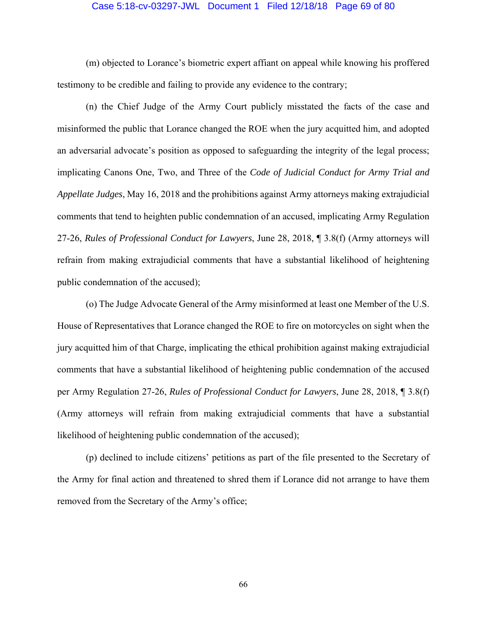#### Case 5:18-cv-03297-JWL Document 1 Filed 12/18/18 Page 69 of 80

 (m) objected to Lorance's biometric expert affiant on appeal while knowing his proffered testimony to be credible and failing to provide any evidence to the contrary;

 (n) the Chief Judge of the Army Court publicly misstated the facts of the case and misinformed the public that Lorance changed the ROE when the jury acquitted him, and adopted an adversarial advocate's position as opposed to safeguarding the integrity of the legal process; implicating Canons One, Two, and Three of the *Code of Judicial Conduct for Army Trial and Appellate Judges*, May 16, 2018 and the prohibitions against Army attorneys making extrajudicial comments that tend to heighten public condemnation of an accused, implicating Army Regulation 27-26, *Rules of Professional Conduct for Lawyers*, June 28, 2018, ¶ 3.8(f) (Army attorneys will refrain from making extrajudicial comments that have a substantial likelihood of heightening public condemnation of the accused);

 (o) The Judge Advocate General of the Army misinformed at least one Member of the U.S. House of Representatives that Lorance changed the ROE to fire on motorcycles on sight when the jury acquitted him of that Charge, implicating the ethical prohibition against making extrajudicial comments that have a substantial likelihood of heightening public condemnation of the accused per Army Regulation 27-26, *Rules of Professional Conduct for Lawyers*, June 28, 2018, ¶ 3.8(f) (Army attorneys will refrain from making extrajudicial comments that have a substantial likelihood of heightening public condemnation of the accused);

 (p) declined to include citizens' petitions as part of the file presented to the Secretary of the Army for final action and threatened to shred them if Lorance did not arrange to have them removed from the Secretary of the Army's office;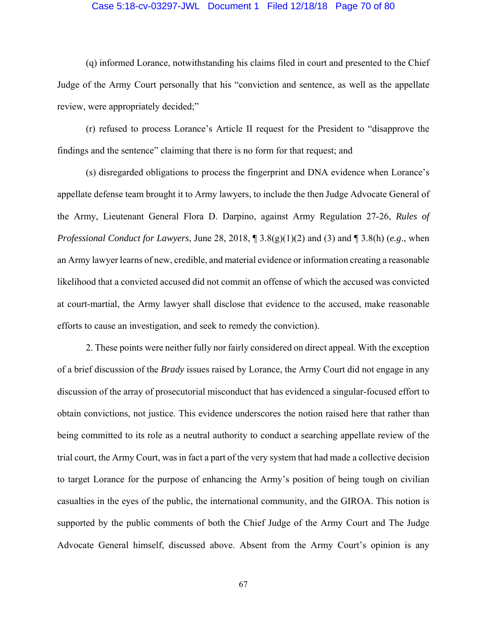#### Case 5:18-cv-03297-JWL Document 1 Filed 12/18/18 Page 70 of 80

 (q) informed Lorance, notwithstanding his claims filed in court and presented to the Chief Judge of the Army Court personally that his "conviction and sentence, as well as the appellate review, were appropriately decided;"

 (r) refused to process Lorance's Article II request for the President to "disapprove the findings and the sentence" claiming that there is no form for that request; and

 (s) disregarded obligations to process the fingerprint and DNA evidence when Lorance's appellate defense team brought it to Army lawyers, to include the then Judge Advocate General of the Army, Lieutenant General Flora D. Darpino, against Army Regulation 27-26, *Rules of Professional Conduct for Lawyers*, June 28, 2018, ¶ 3.8(g)(1)(2) and (3) and ¶ 3.8(h) (*e.g*., when an Army lawyer learns of new, credible, and material evidence or information creating a reasonable likelihood that a convicted accused did not commit an offense of which the accused was convicted at court-martial, the Army lawyer shall disclose that evidence to the accused, make reasonable efforts to cause an investigation, and seek to remedy the conviction).

 2. These points were neither fully nor fairly considered on direct appeal. With the exception of a brief discussion of the *Brady* issues raised by Lorance, the Army Court did not engage in any discussion of the array of prosecutorial misconduct that has evidenced a singular-focused effort to obtain convictions, not justice. This evidence underscores the notion raised here that rather than being committed to its role as a neutral authority to conduct a searching appellate review of the trial court, the Army Court, was in fact a part of the very system that had made a collective decision to target Lorance for the purpose of enhancing the Army's position of being tough on civilian casualties in the eyes of the public, the international community, and the GIROA. This notion is supported by the public comments of both the Chief Judge of the Army Court and The Judge Advocate General himself, discussed above. Absent from the Army Court's opinion is any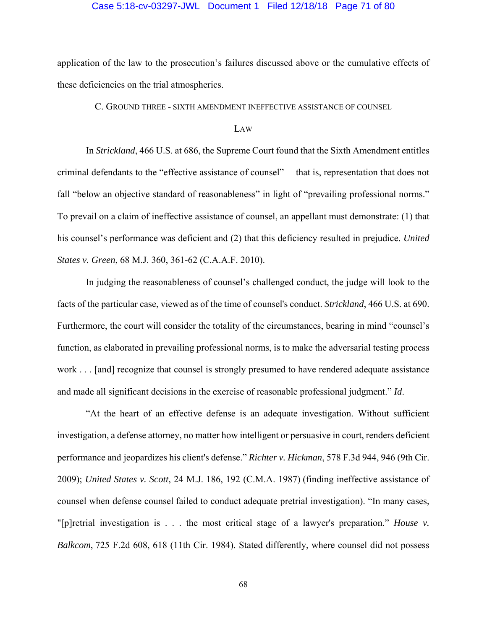#### Case 5:18-cv-03297-JWL Document 1 Filed 12/18/18 Page 71 of 80

application of the law to the prosecution's failures discussed above or the cumulative effects of these deficiencies on the trial atmospherics.

C. GROUND THREE - SIXTH AMENDMENT INEFFECTIVE ASSISTANCE OF COUNSEL

## LAW

In *Strickland*, 466 U.S. at 686, the Supreme Court found that the Sixth Amendment entitles criminal defendants to the "effective assistance of counsel"— that is, representation that does not fall "below an objective standard of reasonableness" in light of "prevailing professional norms." To prevail on a claim of ineffective assistance of counsel, an appellant must demonstrate: (1) that his counsel's performance was deficient and (2) that this deficiency resulted in prejudice. *United States v. Green*, 68 M.J. 360, 361-62 (C.A.A.F. 2010).

In judging the reasonableness of counsel's challenged conduct, the judge will look to the facts of the particular case, viewed as of the time of counsel's conduct. *Strickland*, 466 U.S. at 690. Furthermore, the court will consider the totality of the circumstances, bearing in mind "counsel's function, as elaborated in prevailing professional norms, is to make the adversarial testing process work . . . [and] recognize that counsel is strongly presumed to have rendered adequate assistance and made all significant decisions in the exercise of reasonable professional judgment." *Id*.

"At the heart of an effective defense is an adequate investigation. Without sufficient investigation, a defense attorney, no matter how intelligent or persuasive in court, renders deficient performance and jeopardizes his client's defense." *Richter v. Hickman*, 578 F.3d 944, 946 (9th Cir. 2009); *United States v. Scott*, 24 M.J. 186, 192 (C.M.A. 1987) (finding ineffective assistance of counsel when defense counsel failed to conduct adequate pretrial investigation). "In many cases, "[p]retrial investigation is . . . the most critical stage of a lawyer's preparation." *House v. Balkcom*, 725 F.2d 608, 618 (11th Cir. 1984). Stated differently, where counsel did not possess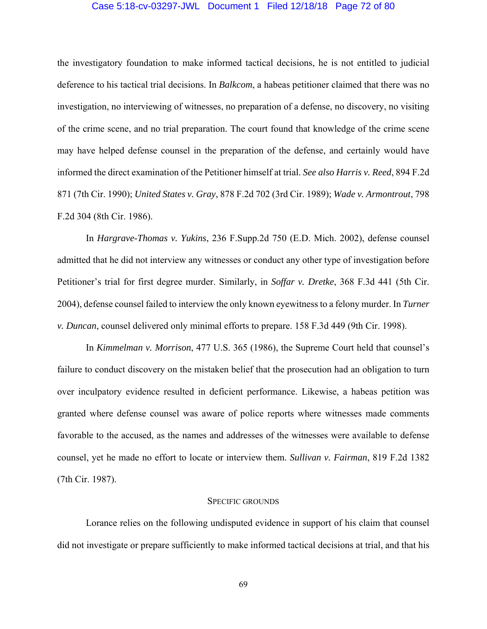#### Case 5:18-cv-03297-JWL Document 1 Filed 12/18/18 Page 72 of 80

the investigatory foundation to make informed tactical decisions, he is not entitled to judicial deference to his tactical trial decisions. In *Balkcom*, a habeas petitioner claimed that there was no investigation, no interviewing of witnesses, no preparation of a defense, no discovery, no visiting of the crime scene, and no trial preparation. The court found that knowledge of the crime scene may have helped defense counsel in the preparation of the defense, and certainly would have informed the direct examination of the Petitioner himself at trial. *See also Harris v. Reed*, 894 F.2d 871 (7th Cir. 1990); *United States v. Gray*, 878 F.2d 702 (3rd Cir. 1989); *Wade v. Armontrout*, 798 F.2d 304 (8th Cir. 1986).

In *Hargrave-Thomas v. Yukins*, 236 F.Supp.2d 750 (E.D. Mich. 2002), defense counsel admitted that he did not interview any witnesses or conduct any other type of investigation before Petitioner's trial for first degree murder. Similarly, in *Soffar v. Dretke*, 368 F.3d 441 (5th Cir. 2004), defense counsel failed to interview the only known eyewitness to a felony murder. In *Turner v. Duncan*, counsel delivered only minimal efforts to prepare. 158 F.3d 449 (9th Cir. 1998).

In *Kimmelman v. Morrison*, 477 U.S. 365 (1986), the Supreme Court held that counsel's failure to conduct discovery on the mistaken belief that the prosecution had an obligation to turn over inculpatory evidence resulted in deficient performance. Likewise, a habeas petition was granted where defense counsel was aware of police reports where witnesses made comments favorable to the accused, as the names and addresses of the witnesses were available to defense counsel, yet he made no effort to locate or interview them. *Sullivan v. Fairman*, 819 F.2d 1382 (7th Cir. 1987).

#### SPECIFIC GROUNDS

 Lorance relies on the following undisputed evidence in support of his claim that counsel did not investigate or prepare sufficiently to make informed tactical decisions at trial, and that his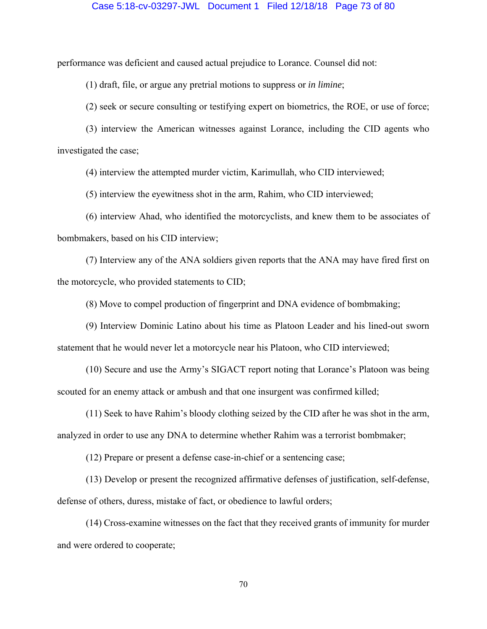#### Case 5:18-cv-03297-JWL Document 1 Filed 12/18/18 Page 73 of 80

performance was deficient and caused actual prejudice to Lorance. Counsel did not:

(1) draft, file, or argue any pretrial motions to suppress or *in limine*;

(2) seek or secure consulting or testifying expert on biometrics, the ROE, or use of force;

 (3) interview the American witnesses against Lorance, including the CID agents who investigated the case;

(4) interview the attempted murder victim, Karimullah, who CID interviewed;

(5) interview the eyewitness shot in the arm, Rahim, who CID interviewed;

 (6) interview Ahad, who identified the motorcyclists, and knew them to be associates of bombmakers, based on his CID interview;

 (7) Interview any of the ANA soldiers given reports that the ANA may have fired first on the motorcycle, who provided statements to CID;

(8) Move to compel production of fingerprint and DNA evidence of bombmaking;

 (9) Interview Dominic Latino about his time as Platoon Leader and his lined-out sworn statement that he would never let a motorcycle near his Platoon, who CID interviewed;

 (10) Secure and use the Army's SIGACT report noting that Lorance's Platoon was being scouted for an enemy attack or ambush and that one insurgent was confirmed killed;

 (11) Seek to have Rahim's bloody clothing seized by the CID after he was shot in the arm, analyzed in order to use any DNA to determine whether Rahim was a terrorist bombmaker;

(12) Prepare or present a defense case-in-chief or a sentencing case;

 (13) Develop or present the recognized affirmative defenses of justification, self-defense, defense of others, duress, mistake of fact, or obedience to lawful orders;

 (14) Cross-examine witnesses on the fact that they received grants of immunity for murder and were ordered to cooperate;

70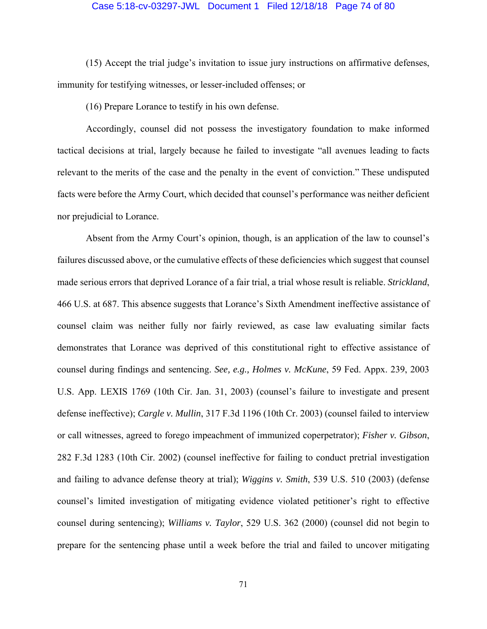#### Case 5:18-cv-03297-JWL Document 1 Filed 12/18/18 Page 74 of 80

 (15) Accept the trial judge's invitation to issue jury instructions on affirmative defenses, immunity for testifying witnesses, or lesser-included offenses; or

(16) Prepare Lorance to testify in his own defense.

 Accordingly, counsel did not possess the investigatory foundation to make informed tactical decisions at trial, largely because he failed to investigate "all avenues leading to facts relevant to the merits of the case and the penalty in the event of conviction." These undisputed facts were before the Army Court, which decided that counsel's performance was neither deficient nor prejudicial to Lorance.

 Absent from the Army Court's opinion, though, is an application of the law to counsel's failures discussed above, or the cumulative effects of these deficiencies which suggest that counsel made serious errors that deprived Lorance of a fair trial, a trial whose result is reliable. *Strickland*, 466 U.S. at 687. This absence suggests that Lorance's Sixth Amendment ineffective assistance of counsel claim was neither fully nor fairly reviewed, as case law evaluating similar facts demonstrates that Lorance was deprived of this constitutional right to effective assistance of counsel during findings and sentencing. *See, e.g., Holmes v. McKune*, 59 Fed. Appx. 239, 2003 U.S. App. LEXIS 1769 (10th Cir. Jan. 31, 2003) (counsel's failure to investigate and present defense ineffective); *Cargle v. Mullin*, 317 F.3d 1196 (10th Cr. 2003) (counsel failed to interview or call witnesses, agreed to forego impeachment of immunized coperpetrator); *Fisher v. Gibson*, 282 F.3d 1283 (10th Cir. 2002) (counsel ineffective for failing to conduct pretrial investigation and failing to advance defense theory at trial); *Wiggins v. Smith*, 539 U.S. 510 (2003) (defense counsel's limited investigation of mitigating evidence violated petitioner's right to effective counsel during sentencing); *Williams v. Taylor*, 529 U.S. 362 (2000) (counsel did not begin to prepare for the sentencing phase until a week before the trial and failed to uncover mitigating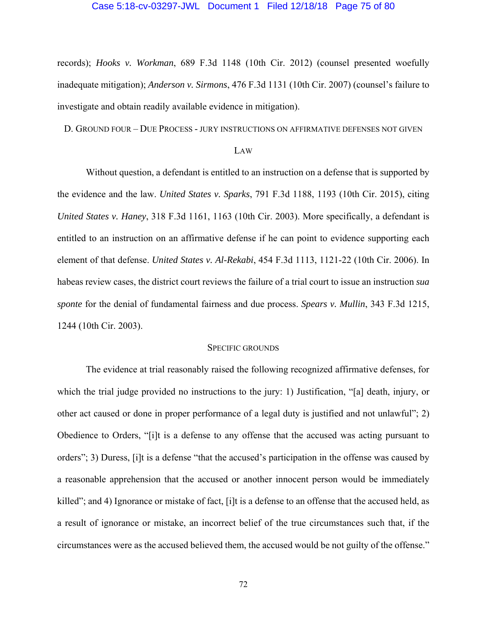#### Case 5:18-cv-03297-JWL Document 1 Filed 12/18/18 Page 75 of 80

records); *Hooks v. Workman*, 689 F.3d 1148 (10th Cir. 2012) (counsel presented woefully inadequate mitigation); *Anderson v. Sirmons*, 476 F.3d 1131 (10th Cir. 2007) (counsel's failure to investigate and obtain readily available evidence in mitigation).

D. GROUND FOUR – DUE PROCESS - JURY INSTRUCTIONS ON AFFIRMATIVE DEFENSES NOT GIVEN

## LAW

 Without question, a defendant is entitled to an instruction on a defense that is supported by the evidence and the law. *United States v. Sparks*, 791 F.3d 1188, 1193 (10th Cir. 2015), citing *United States v. Haney*, 318 F.3d 1161, 1163 (10th Cir. 2003). More specifically, a defendant is entitled to an instruction on an affirmative defense if he can point to evidence supporting each element of that defense. *United States v. Al-Rekabi*, 454 F.3d 1113, 1121-22 (10th Cir. 2006). In habeas review cases, the district court reviews the failure of a trial court to issue an instruction *sua sponte* for the denial of fundamental fairness and due process. *Spears v. Mullin*, 343 F.3d 1215, 1244 (10th Cir. 2003).

#### SPECIFIC GROUNDS

 The evidence at trial reasonably raised the following recognized affirmative defenses, for which the trial judge provided no instructions to the jury: 1) Justification, "[a] death, injury, or other act caused or done in proper performance of a legal duty is justified and not unlawful"; 2) Obedience to Orders, "[i]t is a defense to any offense that the accused was acting pursuant to orders"; 3) Duress, [i]t is a defense "that the accused's participation in the offense was caused by a reasonable apprehension that the accused or another innocent person would be immediately killed"; and 4) Ignorance or mistake of fact, [i]t is a defense to an offense that the accused held, as a result of ignorance or mistake, an incorrect belief of the true circumstances such that, if the circumstances were as the accused believed them, the accused would be not guilty of the offense."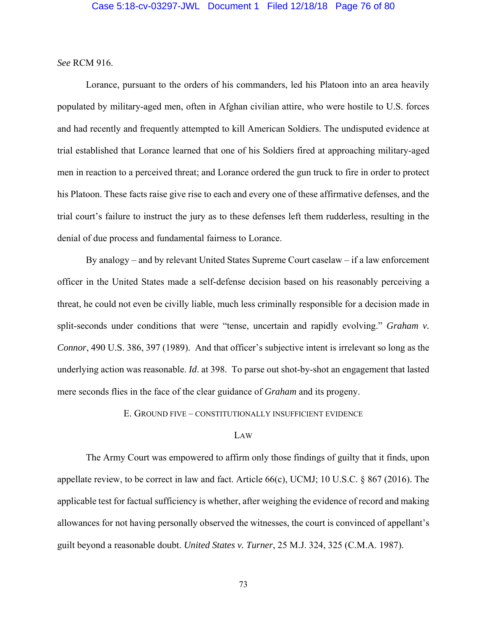*See* RCM 916.

 Lorance, pursuant to the orders of his commanders, led his Platoon into an area heavily populated by military-aged men, often in Afghan civilian attire, who were hostile to U.S. forces and had recently and frequently attempted to kill American Soldiers. The undisputed evidence at trial established that Lorance learned that one of his Soldiers fired at approaching military-aged men in reaction to a perceived threat; and Lorance ordered the gun truck to fire in order to protect his Platoon. These facts raise give rise to each and every one of these affirmative defenses, and the trial court's failure to instruct the jury as to these defenses left them rudderless, resulting in the denial of due process and fundamental fairness to Lorance.

 By analogy – and by relevant United States Supreme Court caselaw – if a law enforcement officer in the United States made a self-defense decision based on his reasonably perceiving a threat, he could not even be civilly liable, much less criminally responsible for a decision made in split-seconds under conditions that were "tense, uncertain and rapidly evolving." *Graham v. Connor*, 490 U.S. 386, 397 (1989). And that officer's subjective intent is irrelevant so long as the underlying action was reasonable. *Id*. at 398. To parse out shot-by-shot an engagement that lasted mere seconds flies in the face of the clear guidance of *Graham* and its progeny.

E. GROUND FIVE – CONSTITUTIONALLY INSUFFICIENT EVIDENCE

#### LAW

 The Army Court was empowered to affirm only those findings of guilty that it finds, upon appellate review, to be correct in law and fact. Article 66(c), UCMJ; 10 U.S.C. § 867 (2016). The applicable test for factual sufficiency is whether, after weighing the evidence of record and making allowances for not having personally observed the witnesses, the court is convinced of appellant's guilt beyond a reasonable doubt. *United States v. Turner*, 25 M.J. 324, 325 (C.M.A. 1987).

73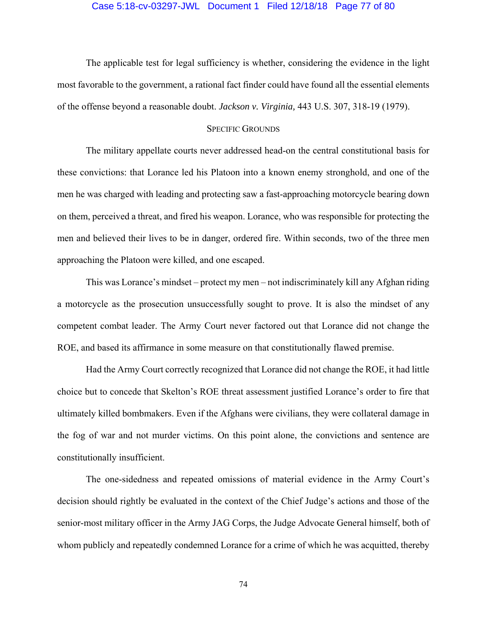#### Case 5:18-cv-03297-JWL Document 1 Filed 12/18/18 Page 77 of 80

 The applicable test for legal sufficiency is whether, considering the evidence in the light most favorable to the government, a rational fact finder could have found all the essential elements of the offense beyond a reasonable doubt. *Jackson v. Virginia,* 443 U.S. 307, 318-19 (1979).

## SPECIFIC GROUNDS

The military appellate courts never addressed head-on the central constitutional basis for these convictions: that Lorance led his Platoon into a known enemy stronghold, and one of the men he was charged with leading and protecting saw a fast-approaching motorcycle bearing down on them, perceived a threat, and fired his weapon. Lorance, who was responsible for protecting the men and believed their lives to be in danger, ordered fire. Within seconds, two of the three men approaching the Platoon were killed, and one escaped.

This was Lorance's mindset – protect my men – not indiscriminately kill any Afghan riding a motorcycle as the prosecution unsuccessfully sought to prove. It is also the mindset of any competent combat leader. The Army Court never factored out that Lorance did not change the ROE, and based its affirmance in some measure on that constitutionally flawed premise.

Had the Army Court correctly recognized that Lorance did not change the ROE, it had little choice but to concede that Skelton's ROE threat assessment justified Lorance's order to fire that ultimately killed bombmakers. Even if the Afghans were civilians, they were collateral damage in the fog of war and not murder victims. On this point alone, the convictions and sentence are constitutionally insufficient.

The one-sidedness and repeated omissions of material evidence in the Army Court's decision should rightly be evaluated in the context of the Chief Judge's actions and those of the senior-most military officer in the Army JAG Corps, the Judge Advocate General himself, both of whom publicly and repeatedly condemned Lorance for a crime of which he was acquitted, thereby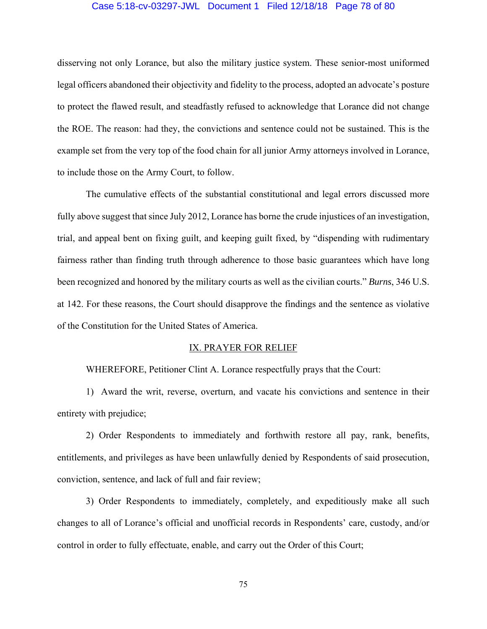#### Case 5:18-cv-03297-JWL Document 1 Filed 12/18/18 Page 78 of 80

disserving not only Lorance, but also the military justice system. These senior-most uniformed legal officers abandoned their objectivity and fidelity to the process, adopted an advocate's posture to protect the flawed result, and steadfastly refused to acknowledge that Lorance did not change the ROE. The reason: had they, the convictions and sentence could not be sustained. This is the example set from the very top of the food chain for all junior Army attorneys involved in Lorance, to include those on the Army Court, to follow.

The cumulative effects of the substantial constitutional and legal errors discussed more fully above suggest that since July 2012, Lorance has borne the crude injustices of an investigation, trial, and appeal bent on fixing guilt, and keeping guilt fixed, by "dispending with rudimentary fairness rather than finding truth through adherence to those basic guarantees which have long been recognized and honored by the military courts as well as the civilian courts." *Burns*, 346 U.S. at 142. For these reasons, the Court should disapprove the findings and the sentence as violative of the Constitution for the United States of America.

#### IX. PRAYER FOR RELIEF

WHEREFORE, Petitioner Clint A. Lorance respectfully prays that the Court:

 1) Award the writ, reverse, overturn, and vacate his convictions and sentence in their entirety with prejudice;

 2) Order Respondents to immediately and forthwith restore all pay, rank, benefits, entitlements, and privileges as have been unlawfully denied by Respondents of said prosecution, conviction, sentence, and lack of full and fair review;

 3) Order Respondents to immediately, completely, and expeditiously make all such changes to all of Lorance's official and unofficial records in Respondents' care, custody, and/or control in order to fully effectuate, enable, and carry out the Order of this Court;

75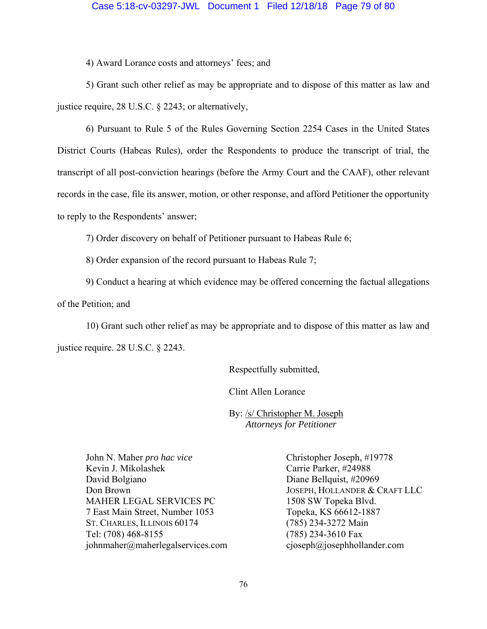#### Case 5:18-cv-03297-JWL Document 1 Filed 12/18/18 Page 79 of 80

4) Award Lorance costs and attorneys' fees; and

 5) Grant such other relief as may be appropriate and to dispose of this matter as law and justice require, 28 U.S.C. § 2243; or alternatively,

 6) Pursuant to Rule 5 of the Rules Governing Section 2254 Cases in the United States District Courts (Habeas Rules), order the Respondents to produce the transcript of trial, the transcript of all post-conviction hearings (before the Army Court and the CAAF), other relevant records in the case, file its answer, motion, or other response, and afford Petitioner the opportunity to reply to the Respondents' answer;

7) Order discovery on behalf of Petitioner pursuant to Habeas Rule 6;

8) Order expansion of the record pursuant to Habeas Rule 7;

 9) Conduct a hearing at which evidence may be offered concerning the factual allegations of the Petition; and

 10) Grant such other relief as may be appropriate and to dispose of this matter as law and justice require. 28 U.S.C. § 2243.

Respectfully submitted,

Clint Allen Lorance

 By: /s/ Christopher M. Joseph *Attorneys for Petitioner* 

John N. Maher *pro hac vice* Christopher Joseph, #19778 Kevin J. Mikolashek Carrie Parker, #24988 David Bolgiano Diane Bellquist, #20969 MAHER LEGAL SERVICES PC 1508 SW Topeka Blvd. 7 East Main Street, Number 1053 Topeka, KS 66612-1887 ST. CHARLES, ILLINOIS 60174 (785) 234-3272 Main Tel: (708) 468-8155 (785) 234-3610 Fax johnmaher@maherlegalservices.com cjoseph@josephhollander.com

Don Brown JOSEPH, HOLLANDER & CRAFT LLC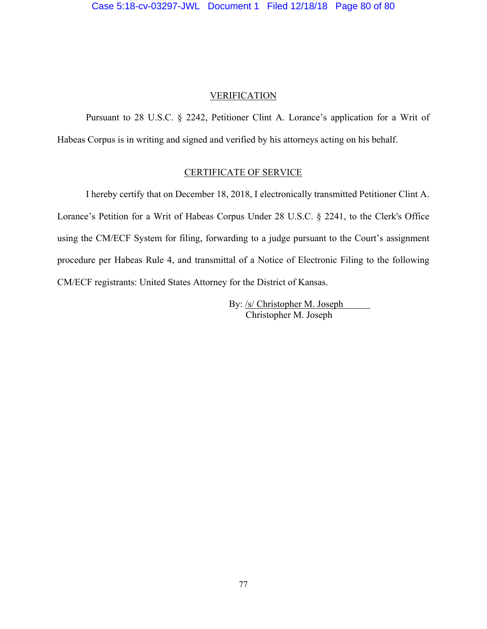# **VERIFICATION**

 Pursuant to 28 U.S.C. § 2242, Petitioner Clint A. Lorance's application for a Writ of Habeas Corpus is in writing and signed and verified by his attorneys acting on his behalf.

## CERTIFICATE OF SERVICE

 I hereby certify that on December 18, 2018, I electronically transmitted Petitioner Clint A. Lorance's Petition for a Writ of Habeas Corpus Under 28 U.S.C. § 2241, to the Clerk's Office using the CM/ECF System for filing, forwarding to a judge pursuant to the Court's assignment procedure per Habeas Rule 4, and transmittal of a Notice of Electronic Filing to the following CM/ECF registrants: United States Attorney for the District of Kansas.

> By: <u>/s/ Christopher M. Joseph</u> Christopher M. Joseph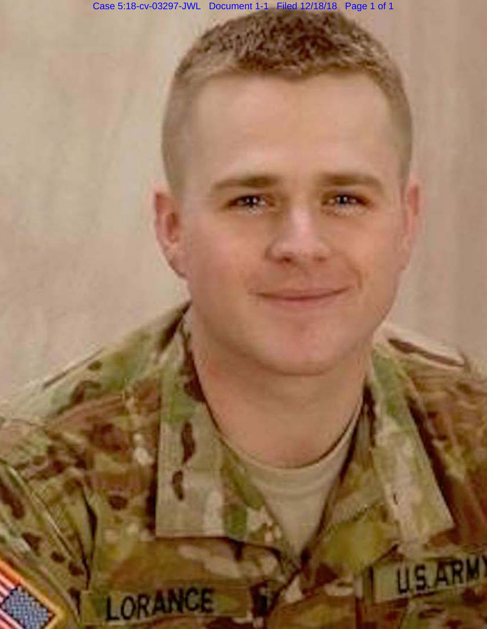ORANCE

 $\mathbf{m}$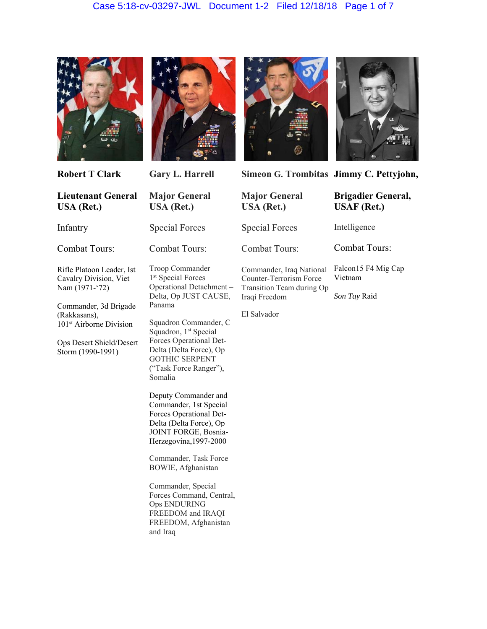## Case 5:18-cv-03297-JWL Document 1-2 Filed 12/18/18 Page 1 of 7





**Robert T Clark** 

**Gary L. Harrell** 

**Major General USA (Ret.)** 

Special Forces

Panama

# **Lieutenant General USA (Ret.)**

Infantry

Combat Tours:

Rifle Platoon Leader, Ist Cavalry Division, Viet Nam (1971-'72)

Commander, 3d Brigade (Rakkasans), 101st Airborne Division

Ops Desert Shield/Desert Storm (1990-1991)

Combat Tours: Troop Commander 1<sup>st</sup> Special Forces Operational Detachment – Delta, Op JUST CAUSE,

Squadron Commander, C Squadron, 1<sup>st</sup> Special Forces Operational Det-Delta (Delta Force), Op GOTHIC SERPENT ("Task Force Ranger"), Somalia

Deputy Commander and Commander, 1st Special Forces Operational Det-Delta (Delta Force), Op JOINT FORGE, Bosnia-Herzegovina,1997-2000

Commander, Task Force BOWIE, Afghanistan

Commander, Special Forces Command, Central, Ops ENDURING FREEDOM and IRAQI FREEDOM, Afghanistan and Iraq





**Simeon G. Trombitas Jimmy C. Pettyjohn,** 

| <b>Major General</b><br><b>USA</b> (Ret.)                                        | <b>Brigadier General,</b><br><b>USAF</b> (Ret.) |
|----------------------------------------------------------------------------------|-------------------------------------------------|
| <b>Special Forces</b>                                                            | Intelligence                                    |
| Combat Tours:                                                                    | Combat Tours:                                   |
| Commander, Iraq National<br>Counter-Terrorism Force<br>Transition Team during Op | Falcon15 F4 Mig Cap<br>Vietnam                  |
| Iraqi Freedom                                                                    | Son Tay Raid                                    |

El Salvador

# **Ret.)** nce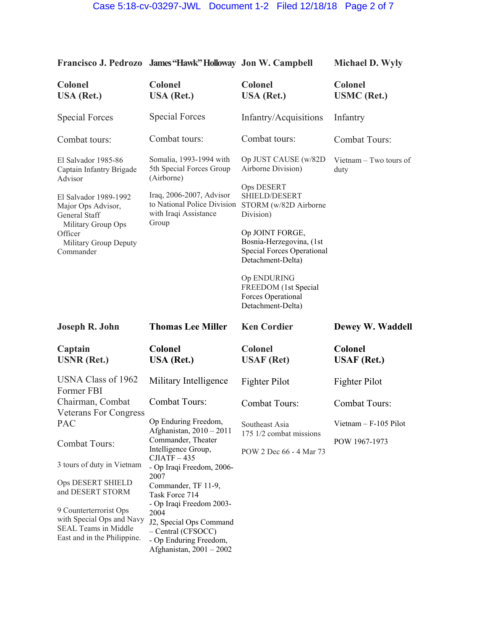# Case 5:18-cv-03297-JWL Document 1-2 Filed 12/18/18 Page 2 of 7

|                                                                                                            | Francisco J. Pedrozo James "Hawk" Holloway Jon W. Campbell                                                                              |                                                                                                | <b>Michael D. Wyly</b>         |
|------------------------------------------------------------------------------------------------------------|-----------------------------------------------------------------------------------------------------------------------------------------|------------------------------------------------------------------------------------------------|--------------------------------|
| <b>Colonel</b><br><b>USA</b> (Ret.)                                                                        | <b>Colonel</b><br><b>USA</b> (Ret.)                                                                                                     | <b>Colonel</b><br><b>USA</b> (Ret.)                                                            | Colonel<br><b>USMC</b> (Ret.)  |
| <b>Special Forces</b>                                                                                      | <b>Special Forces</b>                                                                                                                   | Infantry/Acquisitions                                                                          | Infantry                       |
| Combat tours:                                                                                              | Combat tours:                                                                                                                           | Combat tours:                                                                                  | <b>Combat Tours:</b>           |
| El Salvador 1985-86<br>Captain Infantry Brigade<br>Advisor                                                 | Somalia, 1993-1994 with<br>5th Special Forces Group<br>(Airborne)                                                                       | Op JUST CAUSE (w/82D<br>Airborne Division)                                                     | Vietnam – Two tours of<br>duty |
| El Salvador 1989-1992<br>Major Ops Advisor,<br>General Staff                                               | Iraq, 2006-2007, Advisor<br>to National Police Division<br>with Iraqi Assistance<br>Group                                               | Ops DESERT<br>SHIELD/DESERT<br>STORM (w/82D Airborne<br>Division)                              |                                |
| Military Group Ops<br>Officer<br>Military Group Deputy<br>Commander                                        |                                                                                                                                         | Op JOINT FORGE,<br>Bosnia-Herzegovina, (1st<br>Special Forces Operational<br>Detachment-Delta) |                                |
|                                                                                                            |                                                                                                                                         | Op ENDURING<br>FREEDOM (1st Special<br>Forces Operational<br>Detachment-Delta)                 |                                |
| Joseph R. John                                                                                             | <b>Thomas Lee Miller</b>                                                                                                                | <b>Ken Cordier</b>                                                                             | Dewey W. Waddell               |
| Captain<br><b>USNR</b> (Ret.)                                                                              | <b>Colonel</b><br><b>USA</b> (Ret.)                                                                                                     | <b>Colonel</b><br><b>USAF</b> (Ret)                                                            | Colonel<br><b>USAF</b> (Ret.)  |
| <b>USNA Class of 1962</b><br>Former FBI                                                                    | Military Intelligence                                                                                                                   | Fighter Pilot                                                                                  | Fighter Pilot                  |
| Chairman, Combat<br><b>Veterans For Congress</b>                                                           | <b>Combat Tours:</b>                                                                                                                    | <b>Combat Tours:</b>                                                                           | <b>Combat Tours:</b>           |
| <b>PAC</b>                                                                                                 | Op Enduring Freedom,<br>Afghanistan, 2010 - 2011                                                                                        | Southeast Asia<br>175 1/2 combat missions                                                      | Vietnam - F-105 Pilot          |
| <b>Combat Tours:</b>                                                                                       | Commander, Theater<br>Intelligence Group,<br>$CJIATF-435$                                                                               | POW 2 Dec 66 - 4 Mar 73                                                                        | POW 1967-1973                  |
| 3 tours of duty in Vietnam                                                                                 | - Op Iraqi Freedom, 2006-<br>2007                                                                                                       |                                                                                                |                                |
| Ops DESERT SHIELD<br>and DESERT STORM                                                                      | Commander, TF 11-9,<br>Task Force 714                                                                                                   |                                                                                                |                                |
| 9 Counterterrorist Ops<br>with Special Ops and Navy<br>SEAL Teams in Middle<br>East and in the Philippine. | - Op Iraqi Freedom 2003-<br>2004<br>J2, Special Ops Command<br>- Central (CFSOCC)<br>- Op Enduring Freedom,<br>Afghanistan, 2001 - 2002 |                                                                                                |                                |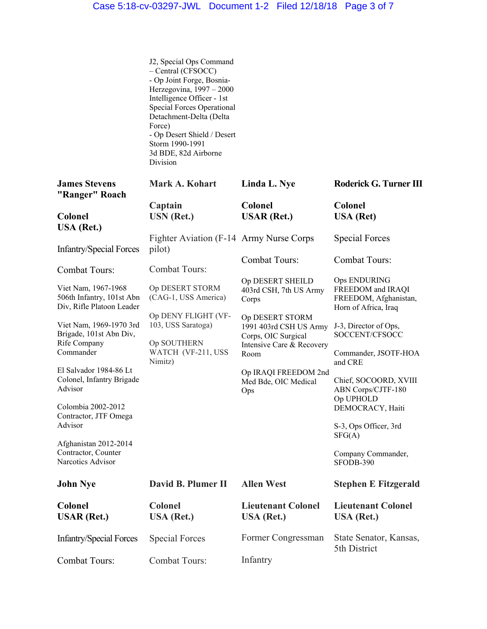|                                                                                                                                                                                            | J2, Special Ops Command<br>- Central (CFSOCC)<br>- Op Joint Forge, Bosnia-<br>Herzegovina, 1997 - 2000<br>Intelligence Officer - 1st<br><b>Special Forces Operational</b><br>Detachment-Delta (Delta<br>Force)<br>- Op Desert Shield / Desert<br>Storm 1990-1991<br>3d BDE, 82d Airborne<br>Division |                                                                                                                                                                                      |                                                                                                                                                                  |
|--------------------------------------------------------------------------------------------------------------------------------------------------------------------------------------------|------------------------------------------------------------------------------------------------------------------------------------------------------------------------------------------------------------------------------------------------------------------------------------------------------|--------------------------------------------------------------------------------------------------------------------------------------------------------------------------------------|------------------------------------------------------------------------------------------------------------------------------------------------------------------|
| <b>James Stevens</b><br>"Ranger" Roach                                                                                                                                                     | Mark A. Kohart                                                                                                                                                                                                                                                                                       | Linda L. Nye                                                                                                                                                                         | Roderick G. Turner III                                                                                                                                           |
| <b>Colonel</b><br><b>USA</b> (Ret.)                                                                                                                                                        | Captain<br><b>USN</b> (Ret.)                                                                                                                                                                                                                                                                         | Colonel<br><b>USAR</b> (Ret.)                                                                                                                                                        | <b>Colonel</b><br><b>USA</b> (Ret)                                                                                                                               |
| <b>Infantry/Special Forces</b>                                                                                                                                                             | Fighter Aviation (F-14 Army Nurse Corps)<br>pilot)                                                                                                                                                                                                                                                   |                                                                                                                                                                                      | <b>Special Forces</b>                                                                                                                                            |
| <b>Combat Tours:</b>                                                                                                                                                                       | <b>Combat Tours:</b>                                                                                                                                                                                                                                                                                 | <b>Combat Tours:</b>                                                                                                                                                                 | <b>Combat Tours:</b>                                                                                                                                             |
| Viet Nam, 1967-1968<br>506th Infantry, 101st Abn<br>Div, Rifle Platoon Leader<br>Viet Nam, 1969-1970 3rd<br>Brigade, 101st Abn Div,<br>Rife Company<br>Commander<br>El Salvador 1984-86 Lt | Op DESERT STORM<br>(CAG-1, USS America)<br>Op DENY FLIGHT (VF-<br>103, USS Saratoga)<br>Op SOUTHERN<br>WATCH (VF-211, USS<br>Nimitz)                                                                                                                                                                 | Op DESERT SHEILD<br>403rd CSH, 7th US Army<br>Corps<br>Op DESERT STORM<br>1991 403rd CSH US Army<br>Corps, OIC Surgical<br>Intensive Care & Recovery<br>Room<br>Op IRAQI FREEDOM 2nd | Ops ENDURING<br>FREEDOM and IRAQI<br>FREEDOM, Afghanistan,<br>Horn of Africa, Iraq<br>J-3, Director of Ops,<br>SOCCENT/CFSOCC<br>Commander, JSOTF-HOA<br>and CRE |
| Colonel, Infantry Brigade<br>Advisor<br>Colombia 2002-2012<br>Contractor, JTF Omega<br>Advisor                                                                                             |                                                                                                                                                                                                                                                                                                      | Med Bde, OIC Medical<br>Ops                                                                                                                                                          | Chief, SOCOORD, XVIII<br>ABN Corps/CJTF-180<br>Op UPHOLD<br>DEMOCRACY, Haiti<br>S-3, Ops Officer, 3rd<br>SFG(A)                                                  |
| Afghanistan 2012-2014<br>Contractor, Counter<br>Narcotics Advisor                                                                                                                          |                                                                                                                                                                                                                                                                                                      |                                                                                                                                                                                      | Company Commander,<br>SFODB-390                                                                                                                                  |
| <b>John Nye</b>                                                                                                                                                                            | David B. Plumer II                                                                                                                                                                                                                                                                                   | <b>Allen West</b>                                                                                                                                                                    | <b>Stephen E Fitzgerald</b>                                                                                                                                      |
| Colonel<br><b>USAR</b> (Ret.)                                                                                                                                                              | <b>Colonel</b><br><b>USA</b> (Ret.)                                                                                                                                                                                                                                                                  | <b>Lieutenant Colonel</b><br><b>USA</b> (Ret.)                                                                                                                                       | <b>Lieutenant Colonel</b><br><b>USA</b> (Ret.)                                                                                                                   |
| <b>Infantry/Special Forces</b>                                                                                                                                                             | <b>Special Forces</b>                                                                                                                                                                                                                                                                                | Former Congressman                                                                                                                                                                   | State Senator, Kansas,<br>5th District                                                                                                                           |
| <b>Combat Tours:</b>                                                                                                                                                                       | <b>Combat Tours:</b>                                                                                                                                                                                                                                                                                 | Infantry                                                                                                                                                                             |                                                                                                                                                                  |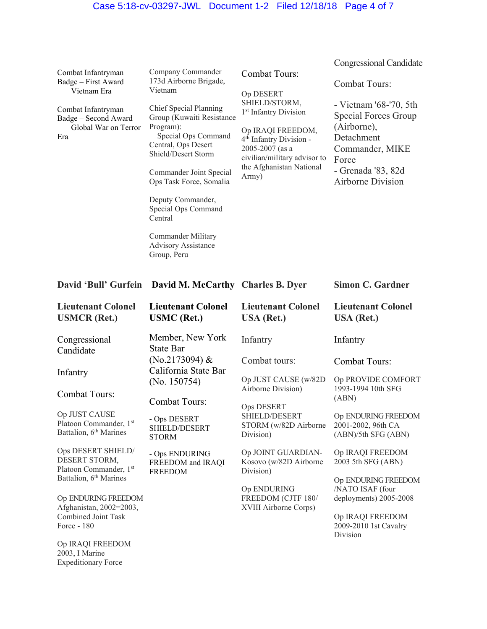# Case 5:18-cv-03297-JWL Document 1-2 Filed 12/18/18 Page 4 of 7

| Combat Infantryman<br>Badge - First Award<br>Vietnam Era<br>Combat Infantryman<br>Badge - Second Award<br>Global War on Terror<br>Era | Company Commander<br>173d Airborne Brigade,<br>Vietnam<br><b>Chief Special Planning</b><br>Group (Kuwaiti Resistance<br>Program):<br>Special Ops Command<br>Central, Ops Desert<br>Shield/Desert Storm<br>Commander Joint Special<br>Ops Task Force, Somalia<br>Deputy Commander,<br>Special Ops Command<br>Central<br>Commander Military<br><b>Advisory Assistance</b><br>Group, Peru | <b>Combat Tours:</b><br>Op DESERT<br>SHIELD/STORM,<br>1 <sup>st</sup> Infantry Division<br>Op IRAQI FREEDOM,<br>4 <sup>th</sup> Infantry Division -<br>2005-2007 (as a<br>civilian/military advisor to<br>the Afghanistan National<br>Army) | <b>Congressional Candidate</b><br><b>Combat Tours:</b><br>- Vietnam '68-'70, 5th<br><b>Special Forces Group</b><br>(Airborne),<br>Detachment<br>Commander, MIKE<br>Force<br>- Grenada '83, 82d<br>Airborne Division |
|---------------------------------------------------------------------------------------------------------------------------------------|----------------------------------------------------------------------------------------------------------------------------------------------------------------------------------------------------------------------------------------------------------------------------------------------------------------------------------------------------------------------------------------|---------------------------------------------------------------------------------------------------------------------------------------------------------------------------------------------------------------------------------------------|---------------------------------------------------------------------------------------------------------------------------------------------------------------------------------------------------------------------|
| David 'Bull' Gurfein                                                                                                                  | David M. McCarthy Charles B. Dyer                                                                                                                                                                                                                                                                                                                                                      |                                                                                                                                                                                                                                             | <b>Simon C. Gardner</b>                                                                                                                                                                                             |
| <b>Lieutenant Colonel</b><br><b>USMCR</b> (Ret.)                                                                                      | <b>Lieutenant Colonel</b><br><b>USMC</b> (Ret.)                                                                                                                                                                                                                                                                                                                                        | <b>Lieutenant Colonel</b><br><b>USA</b> (Ret.)                                                                                                                                                                                              | <b>Lieutenant Colonel</b><br><b>USA</b> (Ret.)                                                                                                                                                                      |
| Congressional<br>Candidate                                                                                                            | Member, New York<br><b>State Bar</b>                                                                                                                                                                                                                                                                                                                                                   | Infantry                                                                                                                                                                                                                                    | Infantry                                                                                                                                                                                                            |
|                                                                                                                                       | $(No.2173094)$ &<br>California State Bar                                                                                                                                                                                                                                                                                                                                               | Combat tours:                                                                                                                                                                                                                               | <b>Combat Tours:</b>                                                                                                                                                                                                |
| Infantry                                                                                                                              | (No. 150754)                                                                                                                                                                                                                                                                                                                                                                           | Op JUST CAUSE (w/82D<br>Airborne Division)                                                                                                                                                                                                  | Op PROVIDE COMFORT<br>1993-1994 10th SFG                                                                                                                                                                            |
| <b>Combat Tours:</b>                                                                                                                  | <b>Combat Tours:</b>                                                                                                                                                                                                                                                                                                                                                                   | Ops DESERT                                                                                                                                                                                                                                  | (ABN)                                                                                                                                                                                                               |
| Op JUST CAUSE -<br>Platoon Commander, 1st<br>Battalion, 6 <sup>th</sup> Marines                                                       | - Ops DESERT<br>SHIELD/DESERT<br><b>STORM</b>                                                                                                                                                                                                                                                                                                                                          | SHIELD/DESERT<br>STORM (w/82D Airborne<br>Division)                                                                                                                                                                                         | Op ENDURING FREEDOM<br>2001-2002, 96th CA<br>(ABN)/5th SFG (ABN)                                                                                                                                                    |
| Ops DESERT SHIELD/<br>DESERT STORM,<br>Platoon Commander, 1st                                                                         | - Ops ENDURING<br>FREEDOM and IRAQI<br><b>FREEDOM</b>                                                                                                                                                                                                                                                                                                                                  | Op JOINT GUARDIAN-<br>Kosovo (w/82D Airborne<br>Division)                                                                                                                                                                                   | Op IRAQI FREEDOM<br>2003 5th SFG (ABN)                                                                                                                                                                              |
| Battalion, 6 <sup>th</sup> Marines<br>Op ENDURING FREEDOM<br>Afghanistan, 2002=2003,<br>Combined Joint Task<br>Force - 180            |                                                                                                                                                                                                                                                                                                                                                                                        | Op ENDURING<br>FREEDOM (CJTF 180/<br>XVIII Airborne Corps)                                                                                                                                                                                  | Op ENDURING FREEDOM<br>/NATO ISAF (four<br>deployments) 2005-2008<br>Op IRAQI FREEDOM<br>2009-2010 1st Cavalry<br>Division                                                                                          |
| Op IRAQI FREEDOM<br>2003, I Marine<br><b>Expeditionary Force</b>                                                                      |                                                                                                                                                                                                                                                                                                                                                                                        |                                                                                                                                                                                                                                             |                                                                                                                                                                                                                     |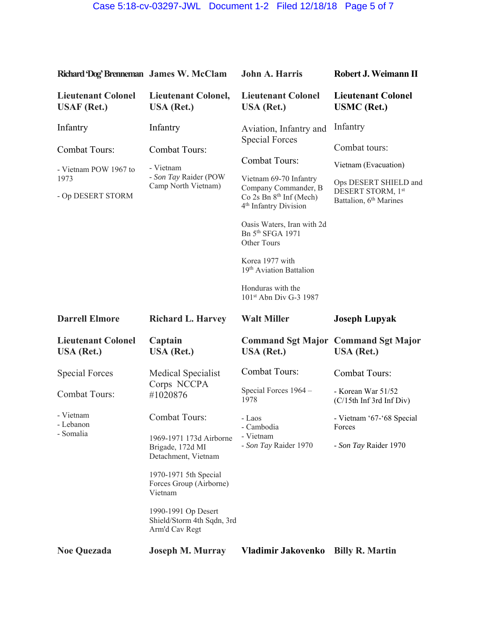| Richard 'Dog' Brenneman James W. McClam                                         |                                                                                               | <b>John A. Harris</b>                                                                                                                                                                                                                                                                                                                                                                       | Robert J. Weimann II                                                                                                                  |
|---------------------------------------------------------------------------------|-----------------------------------------------------------------------------------------------|---------------------------------------------------------------------------------------------------------------------------------------------------------------------------------------------------------------------------------------------------------------------------------------------------------------------------------------------------------------------------------------------|---------------------------------------------------------------------------------------------------------------------------------------|
| <b>Lieutenant Colonel</b><br><b>USAF</b> (Ret.)                                 | <b>Lieutenant Colonel,</b><br><b>USA</b> (Ret.)                                               | <b>Lieutenant Colonel</b><br><b>USA</b> (Ret.)                                                                                                                                                                                                                                                                                                                                              | <b>Lieutenant Colonel</b><br><b>USMC</b> (Ret.)                                                                                       |
| Infantry<br>Combat Tours:<br>- Vietnam POW 1967 to<br>1973<br>- Op DESERT STORM | Infantry<br><b>Combat Tours:</b><br>- Vietnam<br>- Son Tay Raider (POW<br>Camp North Vietnam) | Aviation, Infantry and<br><b>Special Forces</b><br><b>Combat Tours:</b><br>Vietnam 69-70 Infantry<br>Company Commander, B<br>Co 2s Bn 8 <sup>th</sup> Inf (Mech)<br>4 <sup>th</sup> Infantry Division<br>Oasis Waters, Iran with 2d<br>Bn 5 <sup>th</sup> SFGA 1971<br>Other Tours<br>Korea 1977 with<br>19 <sup>th</sup> Aviation Battalion<br>Honduras with the<br>101st Abn Div G-3 1987 | Infantry<br>Combat tours:<br>Vietnam (Evacuation)<br>Ops DESERT SHIELD and<br>DESERT STORM, 1st<br>Battalion, 6 <sup>th</sup> Marines |
| <b>Darrell Elmore</b>                                                           | <b>Richard L. Harvey</b>                                                                      | <b>Walt Miller</b>                                                                                                                                                                                                                                                                                                                                                                          | <b>Joseph Lupyak</b>                                                                                                                  |
| <b>Lieutenant Colonel</b><br><b>USA</b> (Ret.)                                  | Captain<br><b>USA</b> (Ret.)                                                                  | <b>USA</b> (Ret.)                                                                                                                                                                                                                                                                                                                                                                           | <b>Command Sgt Major Command Sgt Major</b><br><b>USA</b> (Ret.)                                                                       |
| <b>Special Forces</b>                                                           | <b>Medical Specialist</b><br>Corps NCCPA<br>#1020876                                          | <b>Combat Tours:</b>                                                                                                                                                                                                                                                                                                                                                                        | <b>Combat Tours:</b>                                                                                                                  |
| <b>Combat Tours:</b>                                                            |                                                                                               | Special Forces 1964 -<br>1978                                                                                                                                                                                                                                                                                                                                                               | - Korean War 51/52<br>(C/15th Inf 3rd Inf Div)                                                                                        |
| - Vietnam<br>- Lebanon<br>- Somalia                                             | <b>Combat Tours:</b><br>1969-1971 173d Airborne<br>Brigade, 172d MI<br>Detachment, Vietnam    | - Laos<br>- Cambodia<br>- Vietnam<br>- Son Tay Raider 1970                                                                                                                                                                                                                                                                                                                                  | - Vietnam '67-'68 Special<br>Forces                                                                                                   |
|                                                                                 |                                                                                               |                                                                                                                                                                                                                                                                                                                                                                                             | - Son Tay Raider 1970                                                                                                                 |
|                                                                                 | 1970-1971 5th Special<br>Forces Group (Airborne)<br>Vietnam                                   |                                                                                                                                                                                                                                                                                                                                                                                             |                                                                                                                                       |
|                                                                                 | 1990-1991 Op Desert<br>Shield/Storm 4th Sqdn, 3rd<br>Arm'd Cav Regt                           |                                                                                                                                                                                                                                                                                                                                                                                             |                                                                                                                                       |
| <b>Noe Quezada</b>                                                              | <b>Joseph M. Murray</b>                                                                       | Vladimir Jakovenko                                                                                                                                                                                                                                                                                                                                                                          | <b>Billy R. Martin</b>                                                                                                                |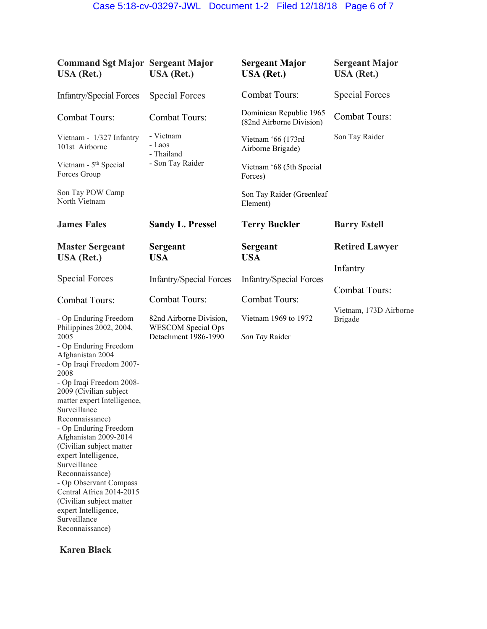| <b>Command Sgt Major Sergeant Major</b><br><b>USA</b> (Ret.)                                                                                                                                                                                                                                                                                                                                                                                                                                        | <b>USA</b> (Ret.)                                     | <b>Sergeant Major</b><br><b>USA</b> (Ret.)          | <b>Sergeant Major</b><br><b>USA</b> (Ret.) |
|-----------------------------------------------------------------------------------------------------------------------------------------------------------------------------------------------------------------------------------------------------------------------------------------------------------------------------------------------------------------------------------------------------------------------------------------------------------------------------------------------------|-------------------------------------------------------|-----------------------------------------------------|--------------------------------------------|
| <b>Infantry/Special Forces</b>                                                                                                                                                                                                                                                                                                                                                                                                                                                                      | <b>Special Forces</b>                                 | <b>Combat Tours:</b>                                | <b>Special Forces</b>                      |
| <b>Combat Tours:</b>                                                                                                                                                                                                                                                                                                                                                                                                                                                                                | <b>Combat Tours:</b>                                  | Dominican Republic 1965<br>(82nd Airborne Division) | <b>Combat Tours:</b>                       |
| Vietnam - 1/327 Infantry<br>101st Airborne                                                                                                                                                                                                                                                                                                                                                                                                                                                          | - Vietnam<br>- Laos<br>- Thailand<br>- Son Tay Raider | Vietnam '66 (173rd<br>Airborne Brigade)             | Son Tay Raider                             |
| Vietnam - 5 <sup>th</sup> Special<br>Forces Group                                                                                                                                                                                                                                                                                                                                                                                                                                                   |                                                       | Vietnam '68 (5th Special<br>Forces)                 |                                            |
| Son Tay POW Camp<br>North Vietnam                                                                                                                                                                                                                                                                                                                                                                                                                                                                   |                                                       | Son Tay Raider (Greenleaf<br>Element)               |                                            |
| <b>James Fales</b>                                                                                                                                                                                                                                                                                                                                                                                                                                                                                  | <b>Sandy L. Pressel</b>                               | <b>Terry Buckler</b>                                | <b>Barry Estell</b>                        |
| <b>Master Sergeant</b><br><b>USA</b> (Ret.)                                                                                                                                                                                                                                                                                                                                                                                                                                                         | <b>Sergeant</b><br><b>USA</b>                         | <b>Sergeant</b><br><b>USA</b>                       | <b>Retired Lawyer</b>                      |
|                                                                                                                                                                                                                                                                                                                                                                                                                                                                                                     |                                                       |                                                     | Infantry                                   |
| <b>Special Forces</b>                                                                                                                                                                                                                                                                                                                                                                                                                                                                               | <b>Infantry/Special Forces</b>                        | <b>Infantry/Special Forces</b>                      | <b>Combat Tours:</b>                       |
| <b>Combat Tours:</b>                                                                                                                                                                                                                                                                                                                                                                                                                                                                                | <b>Combat Tours:</b>                                  | <b>Combat Tours:</b>                                |                                            |
| - Op Enduring Freedom<br>Philippines 2002, 2004,                                                                                                                                                                                                                                                                                                                                                                                                                                                    | 82nd Airborne Division,<br><b>WESCOM</b> Special Ops  | Vietnam 1969 to 1972                                | Vietnam, 173D Airborne<br><b>Brigade</b>   |
| 2005<br>- Op Enduring Freedom<br>Afghanistan 2004<br>- Op Iraqi Freedom 2007-<br>2008<br>- Op Iraqi Freedom 2008-<br>2009 (Civilian subject<br>matter expert Intelligence,<br>Surveillance<br>Reconnaissance)<br>- Op Enduring Freedom<br>Afghanistan 2009-2014<br>(Civilian subject matter<br>expert Intelligence,<br>Surveillance<br>Reconnaissance)<br>- Op Observant Compass<br>Central Africa 2014-2015<br>(Civilian subject matter<br>expert Intelligence,<br>Surveillance<br>Reconnaissance) | Detachment 1986-1990                                  | Son Tay Raider                                      |                                            |

# **Karen Black**